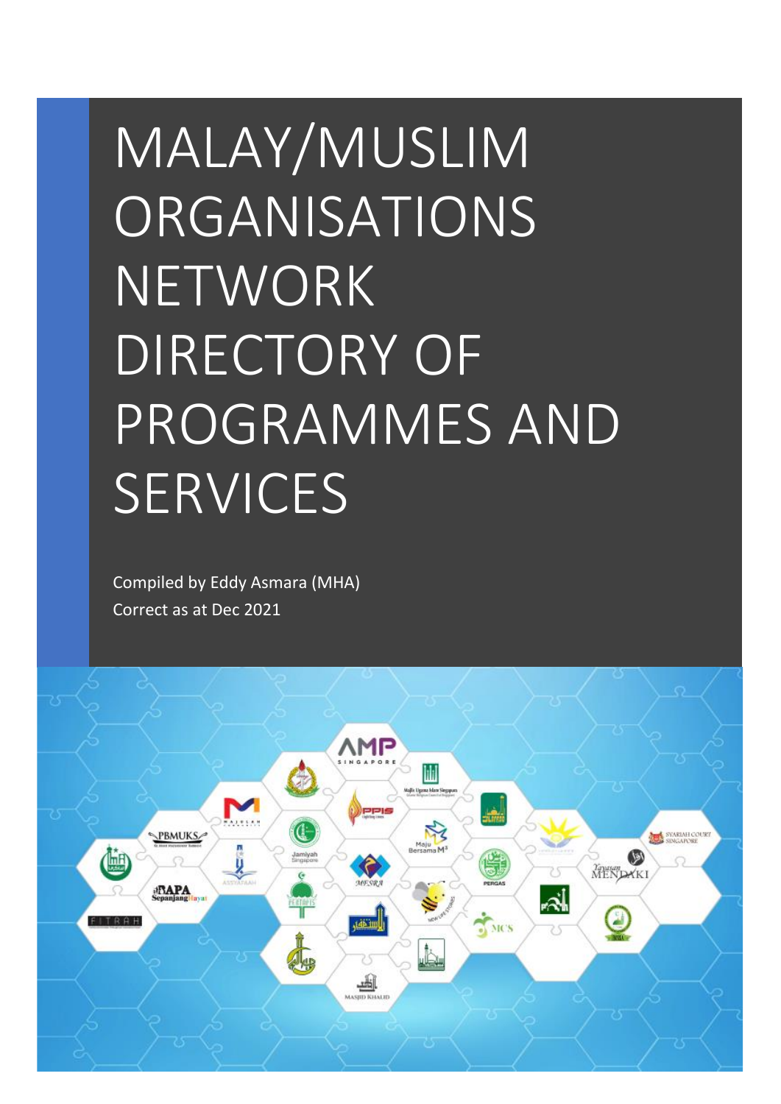# MALAY/MUSLIM **ORGANISATIONS** NETWORK DIRECTORY OF PROGRAMMES AND **SERVICES**

Compiled by Eddy Asmara (MHA) Correct as at Dec 2021

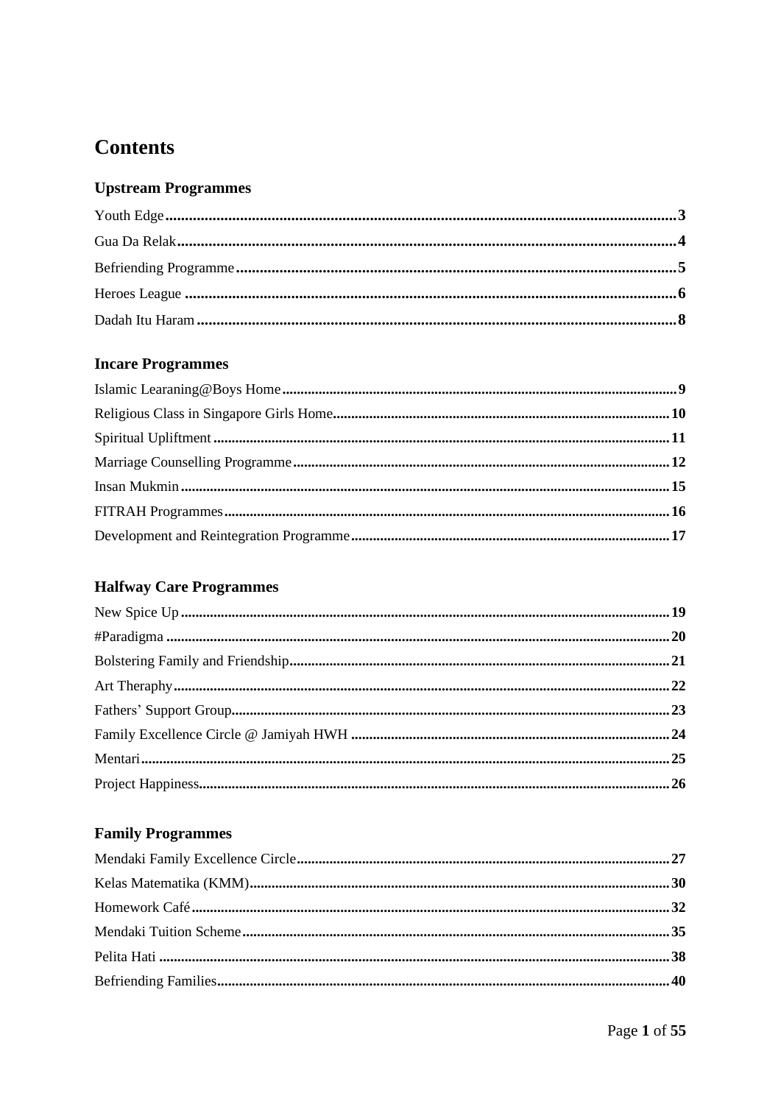## **Contents**

## **Upstream Programmes**

#### **Incare Programmes**

## **Halfway Care Programmes**

## **Family Programmes**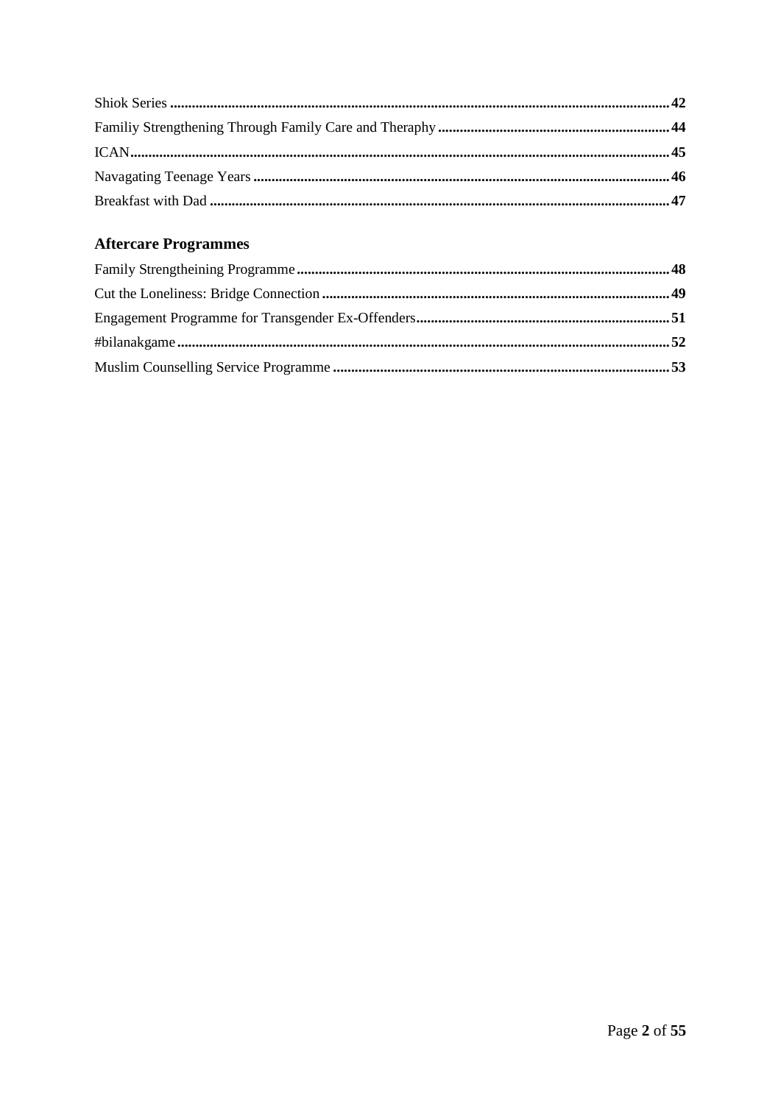## **Aftercare Programmes**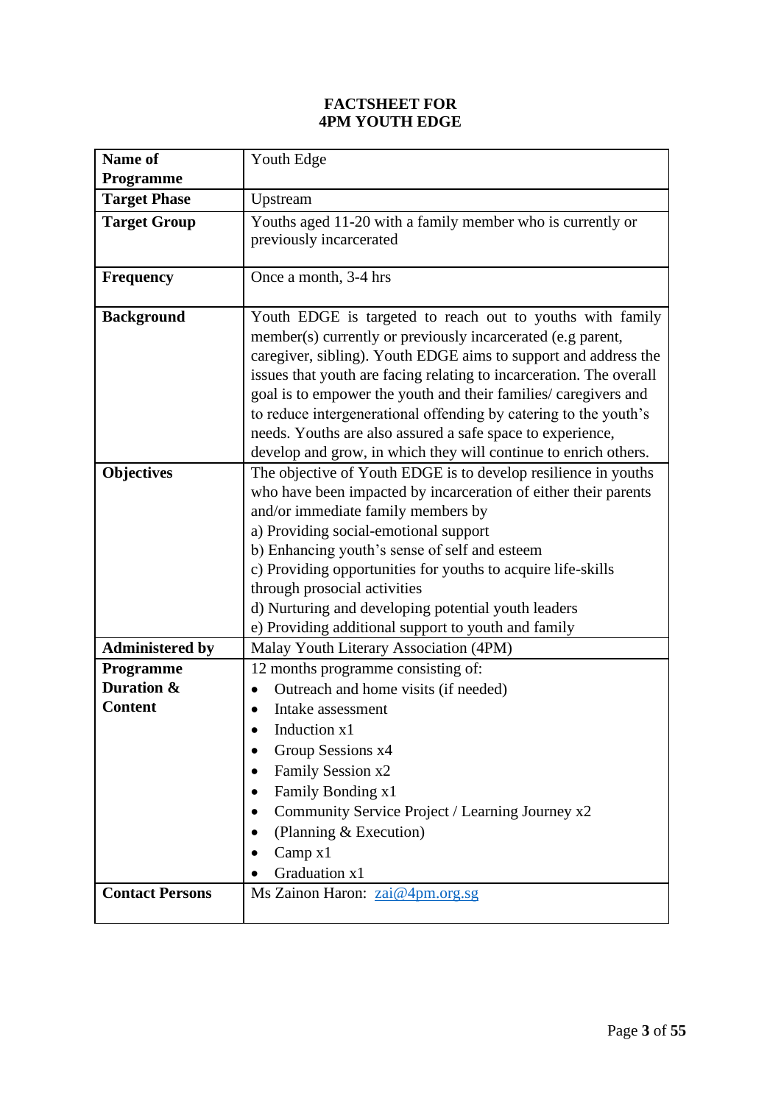#### **FACTSHEET FOR 4PM YOUTH EDGE**

| <b>Name of</b>         | Youth Edge                                                          |
|------------------------|---------------------------------------------------------------------|
| <b>Programme</b>       |                                                                     |
| <b>Target Phase</b>    | Upstream                                                            |
| <b>Target Group</b>    | Youths aged 11-20 with a family member who is currently or          |
|                        | previously incarcerated                                             |
|                        |                                                                     |
| <b>Frequency</b>       | Once a month, 3-4 hrs                                               |
| <b>Background</b>      | Youth EDGE is targeted to reach out to youths with family           |
|                        | member(s) currently or previously incarcerated (e.g parent,         |
|                        | caregiver, sibling). Youth EDGE aims to support and address the     |
|                        | issues that youth are facing relating to incarceration. The overall |
|                        | goal is to empower the youth and their families/ caregivers and     |
|                        | to reduce intergenerational offending by catering to the youth's    |
|                        | needs. Youths are also assured a safe space to experience,          |
|                        | develop and grow, in which they will continue to enrich others.     |
| <b>Objectives</b>      | The objective of Youth EDGE is to develop resilience in youths      |
|                        | who have been impacted by incarceration of either their parents     |
|                        | and/or immediate family members by                                  |
|                        | a) Providing social-emotional support                               |
|                        | b) Enhancing youth's sense of self and esteem                       |
|                        | c) Providing opportunities for youths to acquire life-skills        |
|                        | through prosocial activities                                        |
|                        | d) Nurturing and developing potential youth leaders                 |
|                        | e) Providing additional support to youth and family                 |
| <b>Administered by</b> | Malay Youth Literary Association (4PM)                              |
| Programme              | 12 months programme consisting of:                                  |
| Duration &             | Outreach and home visits (if needed)                                |
| <b>Content</b>         | Intake assessment                                                   |
|                        | Induction x1                                                        |
|                        | Group Sessions x4                                                   |
|                        | Family Session x2                                                   |
|                        | Family Bonding x1                                                   |
|                        | Community Service Project / Learning Journey x2                     |
|                        | (Planning & Execution)                                              |
|                        | Camp x1                                                             |
|                        | Graduation x1                                                       |
| <b>Contact Persons</b> | Ms Zainon Haron: zai@4pm.org.sg                                     |
|                        |                                                                     |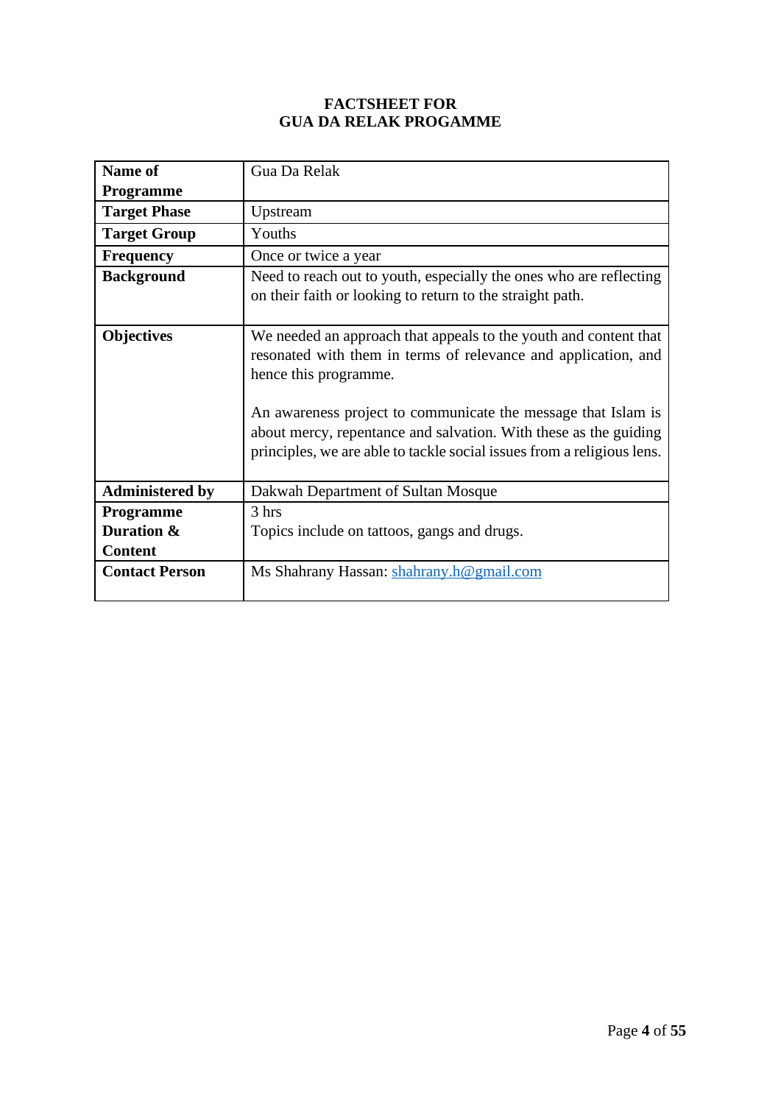#### **FACTSHEET FOR GUA DA RELAK PROGAMME**

| Name of                | Gua Da Relak                                                                                                                                                                                                                                                                                                                                                               |
|------------------------|----------------------------------------------------------------------------------------------------------------------------------------------------------------------------------------------------------------------------------------------------------------------------------------------------------------------------------------------------------------------------|
|                        |                                                                                                                                                                                                                                                                                                                                                                            |
| <b>Programme</b>       |                                                                                                                                                                                                                                                                                                                                                                            |
| <b>Target Phase</b>    | Upstream                                                                                                                                                                                                                                                                                                                                                                   |
| <b>Target Group</b>    | Youths                                                                                                                                                                                                                                                                                                                                                                     |
| <b>Frequency</b>       | Once or twice a year                                                                                                                                                                                                                                                                                                                                                       |
| <b>Background</b>      | Need to reach out to youth, especially the ones who are reflecting<br>on their faith or looking to return to the straight path.                                                                                                                                                                                                                                            |
| <b>Objectives</b>      | We needed an approach that appeals to the youth and content that<br>resonated with them in terms of relevance and application, and<br>hence this programme.<br>An awareness project to communicate the message that Islam is<br>about mercy, repentance and salvation. With these as the guiding<br>principles, we are able to tackle social issues from a religious lens. |
| <b>Administered by</b> | Dakwah Department of Sultan Mosque                                                                                                                                                                                                                                                                                                                                         |
| Programme              | 3 hrs                                                                                                                                                                                                                                                                                                                                                                      |
| Duration &             | Topics include on tattoos, gangs and drugs.                                                                                                                                                                                                                                                                                                                                |
| <b>Content</b>         |                                                                                                                                                                                                                                                                                                                                                                            |
| <b>Contact Person</b>  | Ms Shahrany Hassan: shahrany.h@gmail.com                                                                                                                                                                                                                                                                                                                                   |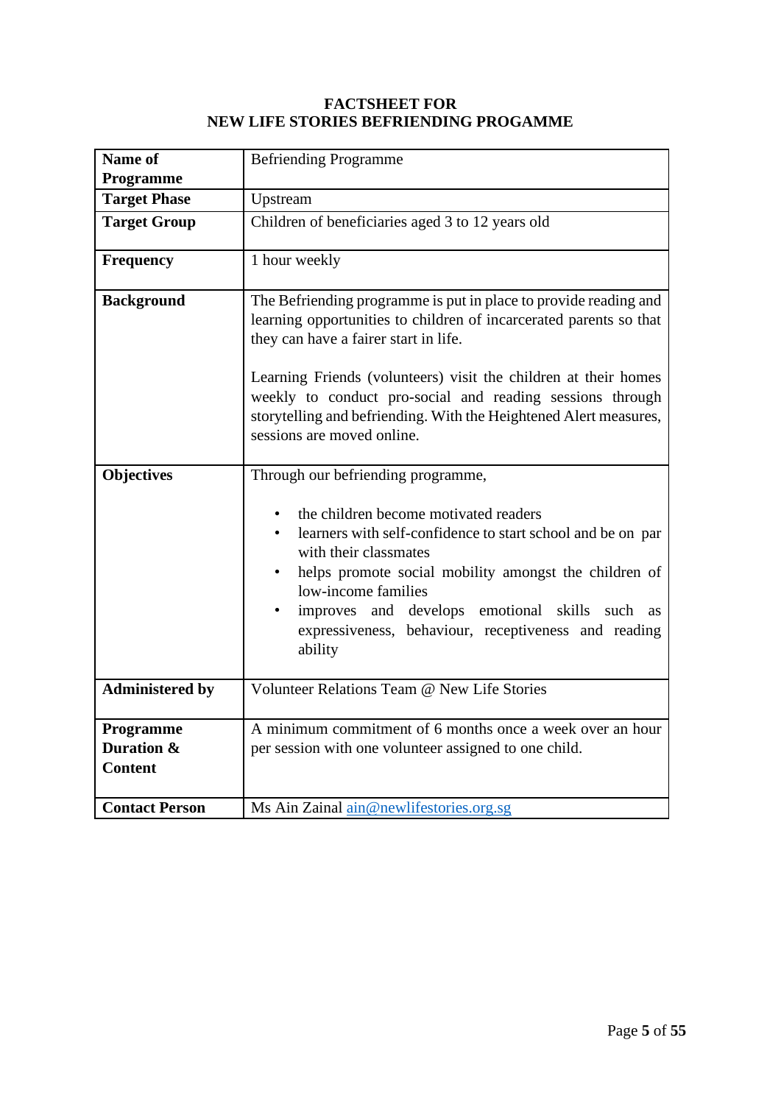#### **FACTSHEET FOR NEW LIFE STORIES BEFRIENDING PROGAMME**

| Name of                                   | <b>Befriending Programme</b>                                                                                                                                                                                                                                                                                                                                                                                       |
|-------------------------------------------|--------------------------------------------------------------------------------------------------------------------------------------------------------------------------------------------------------------------------------------------------------------------------------------------------------------------------------------------------------------------------------------------------------------------|
| Programme                                 |                                                                                                                                                                                                                                                                                                                                                                                                                    |
| <b>Target Phase</b>                       | Upstream                                                                                                                                                                                                                                                                                                                                                                                                           |
| <b>Target Group</b>                       | Children of beneficiaries aged 3 to 12 years old                                                                                                                                                                                                                                                                                                                                                                   |
| Frequency                                 | 1 hour weekly                                                                                                                                                                                                                                                                                                                                                                                                      |
| <b>Background</b>                         | The Befriending programme is put in place to provide reading and<br>learning opportunities to children of incarcerated parents so that<br>they can have a fairer start in life.<br>Learning Friends (volunteers) visit the children at their homes<br>weekly to conduct pro-social and reading sessions through<br>storytelling and befriending. With the Heightened Alert measures,<br>sessions are moved online. |
| <b>Objectives</b>                         | Through our befriending programme,<br>the children become motivated readers<br>learners with self-confidence to start school and be on par<br>with their classmates<br>helps promote social mobility amongst the children of<br>$\bullet$<br>low-income families<br>improves and develops emotional skills<br>such as<br>expressiveness, behaviour, receptiveness and reading<br>ability                           |
| <b>Administered by</b>                    | Volunteer Relations Team @ New Life Stories                                                                                                                                                                                                                                                                                                                                                                        |
| Programme<br>Duration &<br><b>Content</b> | A minimum commitment of 6 months once a week over an hour<br>per session with one volunteer assigned to one child.                                                                                                                                                                                                                                                                                                 |
| <b>Contact Person</b>                     | Ms Ain Zainal ain@newlifestories.org.sg                                                                                                                                                                                                                                                                                                                                                                            |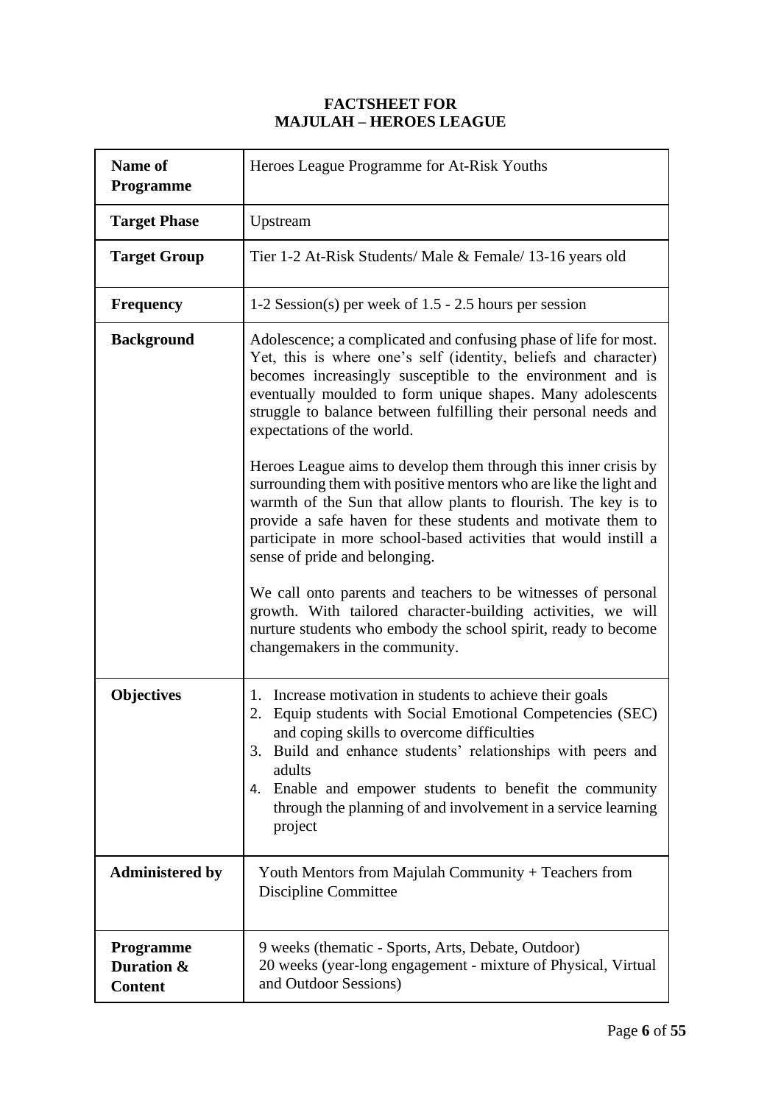#### **FACTSHEET FOR MAJULAH – HEROES LEAGUE**

| Name of<br>Programme                             | Heroes League Programme for At-Risk Youths                                                                                                                                                                                                                                                                                                                                                                                                                                                                                                                                                                                                                                                                                                                                                                                                                                                                                                                                           |
|--------------------------------------------------|--------------------------------------------------------------------------------------------------------------------------------------------------------------------------------------------------------------------------------------------------------------------------------------------------------------------------------------------------------------------------------------------------------------------------------------------------------------------------------------------------------------------------------------------------------------------------------------------------------------------------------------------------------------------------------------------------------------------------------------------------------------------------------------------------------------------------------------------------------------------------------------------------------------------------------------------------------------------------------------|
| <b>Target Phase</b>                              | Upstream                                                                                                                                                                                                                                                                                                                                                                                                                                                                                                                                                                                                                                                                                                                                                                                                                                                                                                                                                                             |
| <b>Target Group</b>                              | Tier 1-2 At-Risk Students/ Male & Female/ 13-16 years old                                                                                                                                                                                                                                                                                                                                                                                                                                                                                                                                                                                                                                                                                                                                                                                                                                                                                                                            |
| <b>Frequency</b>                                 | 1-2 Session(s) per week of 1.5 - 2.5 hours per session                                                                                                                                                                                                                                                                                                                                                                                                                                                                                                                                                                                                                                                                                                                                                                                                                                                                                                                               |
| <b>Background</b>                                | Adolescence; a complicated and confusing phase of life for most.<br>Yet, this is where one's self (identity, beliefs and character)<br>becomes increasingly susceptible to the environment and is<br>eventually moulded to form unique shapes. Many adolescents<br>struggle to balance between fulfilling their personal needs and<br>expectations of the world.<br>Heroes League aims to develop them through this inner crisis by<br>surrounding them with positive mentors who are like the light and<br>warmth of the Sun that allow plants to flourish. The key is to<br>provide a safe haven for these students and motivate them to<br>participate in more school-based activities that would instill a<br>sense of pride and belonging.<br>We call onto parents and teachers to be witnesses of personal<br>growth. With tailored character-building activities, we will<br>nurture students who embody the school spirit, ready to become<br>changemakers in the community. |
| <b>Objectives</b>                                | Increase motivation in students to achieve their goals<br>1.<br>2. Equip students with Social Emotional Competencies (SEC)<br>and coping skills to overcome difficulties<br>3. Build and enhance students' relationships with peers and<br>adults<br>4. Enable and empower students to benefit the community<br>through the planning of and involvement in a service learning<br>project                                                                                                                                                                                                                                                                                                                                                                                                                                                                                                                                                                                             |
| <b>Administered by</b>                           | Youth Mentors from Majulah Community + Teachers from<br>Discipline Committee                                                                                                                                                                                                                                                                                                                                                                                                                                                                                                                                                                                                                                                                                                                                                                                                                                                                                                         |
| <b>Programme</b><br>Duration &<br><b>Content</b> | 9 weeks (thematic - Sports, Arts, Debate, Outdoor)<br>20 weeks (year-long engagement - mixture of Physical, Virtual<br>and Outdoor Sessions)                                                                                                                                                                                                                                                                                                                                                                                                                                                                                                                                                                                                                                                                                                                                                                                                                                         |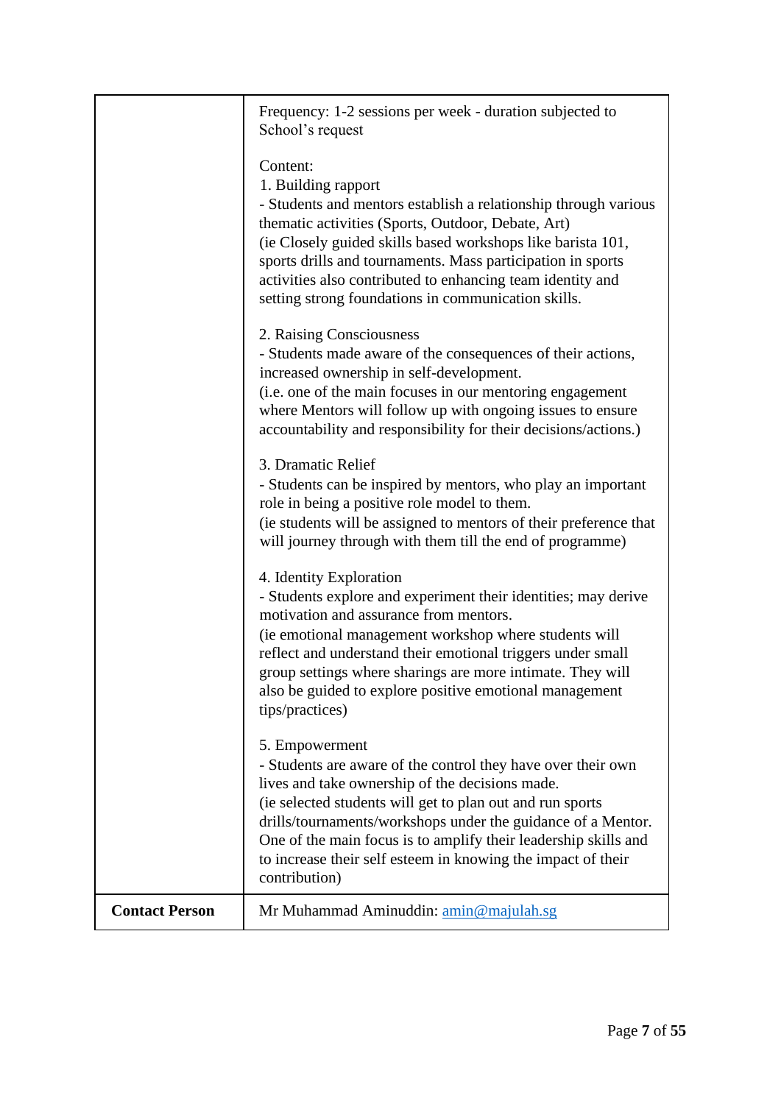|                       | Frequency: 1-2 sessions per week - duration subjected to<br>School's request                                                                                                                                                                                                                                                                                                                                       |
|-----------------------|--------------------------------------------------------------------------------------------------------------------------------------------------------------------------------------------------------------------------------------------------------------------------------------------------------------------------------------------------------------------------------------------------------------------|
|                       | Content:<br>1. Building rapport<br>- Students and mentors establish a relationship through various<br>thematic activities (Sports, Outdoor, Debate, Art)<br>(ie Closely guided skills based workshops like barista 101,<br>sports drills and tournaments. Mass participation in sports<br>activities also contributed to enhancing team identity and<br>setting strong foundations in communication skills.        |
|                       | 2. Raising Consciousness<br>- Students made aware of the consequences of their actions,<br>increased ownership in self-development.<br>(i.e. one of the main focuses in our mentoring engagement<br>where Mentors will follow up with ongoing issues to ensure<br>accountability and responsibility for their decisions/actions.)                                                                                  |
|                       | 3. Dramatic Relief<br>- Students can be inspired by mentors, who play an important<br>role in being a positive role model to them.<br>(ie students will be assigned to mentors of their preference that<br>will journey through with them till the end of programme)                                                                                                                                               |
|                       | 4. Identity Exploration<br>- Students explore and experiment their identities; may derive<br>motivation and assurance from mentors.<br>(ie emotional management workshop where students will<br>reflect and understand their emotional triggers under small<br>group settings where sharings are more intimate. They will<br>also be guided to explore positive emotional management<br>tips/practices)            |
|                       | 5. Empowerment<br>- Students are aware of the control they have over their own<br>lives and take ownership of the decisions made.<br>(ie selected students will get to plan out and run sports<br>drills/tournaments/workshops under the guidance of a Mentor.<br>One of the main focus is to amplify their leadership skills and<br>to increase their self esteem in knowing the impact of their<br>contribution) |
| <b>Contact Person</b> | Mr Muhammad Aminuddin: amin@majulah.sg                                                                                                                                                                                                                                                                                                                                                                             |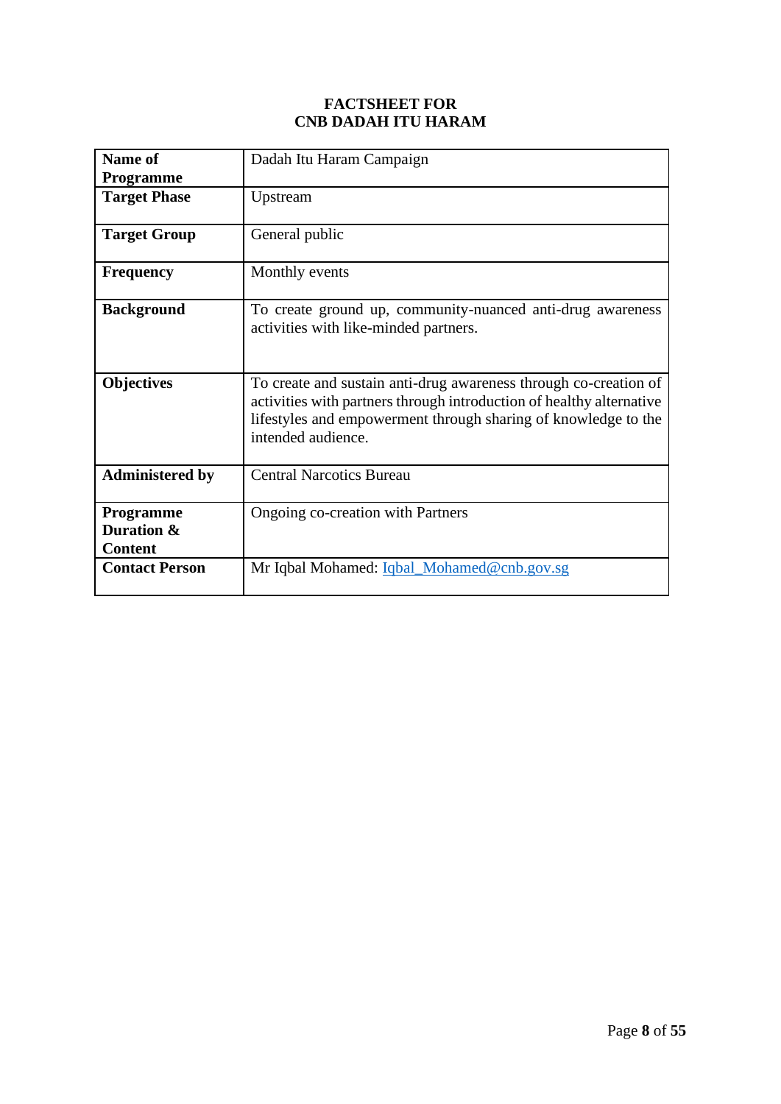#### **FACTSHEET FOR CNB DADAH ITU HARAM**

| Name of                                          | Dadah Itu Haram Campaign                                                                                                                                                                                                         |
|--------------------------------------------------|----------------------------------------------------------------------------------------------------------------------------------------------------------------------------------------------------------------------------------|
| <b>Programme</b>                                 |                                                                                                                                                                                                                                  |
| <b>Target Phase</b>                              | Upstream                                                                                                                                                                                                                         |
| <b>Target Group</b>                              | General public                                                                                                                                                                                                                   |
| <b>Frequency</b>                                 | Monthly events                                                                                                                                                                                                                   |
| <b>Background</b>                                | To create ground up, community-nuanced anti-drug awareness<br>activities with like-minded partners.                                                                                                                              |
| <b>Objectives</b>                                | To create and sustain anti-drug awareness through co-creation of<br>activities with partners through introduction of healthy alternative<br>lifestyles and empowerment through sharing of knowledge to the<br>intended audience. |
| <b>Administered by</b>                           | <b>Central Narcotics Bureau</b>                                                                                                                                                                                                  |
| <b>Programme</b><br>Duration &<br><b>Content</b> | Ongoing co-creation with Partners                                                                                                                                                                                                |
| <b>Contact Person</b>                            | Mr Iqbal Mohamed: Iqbal_Mohamed@cnb.gov.sg                                                                                                                                                                                       |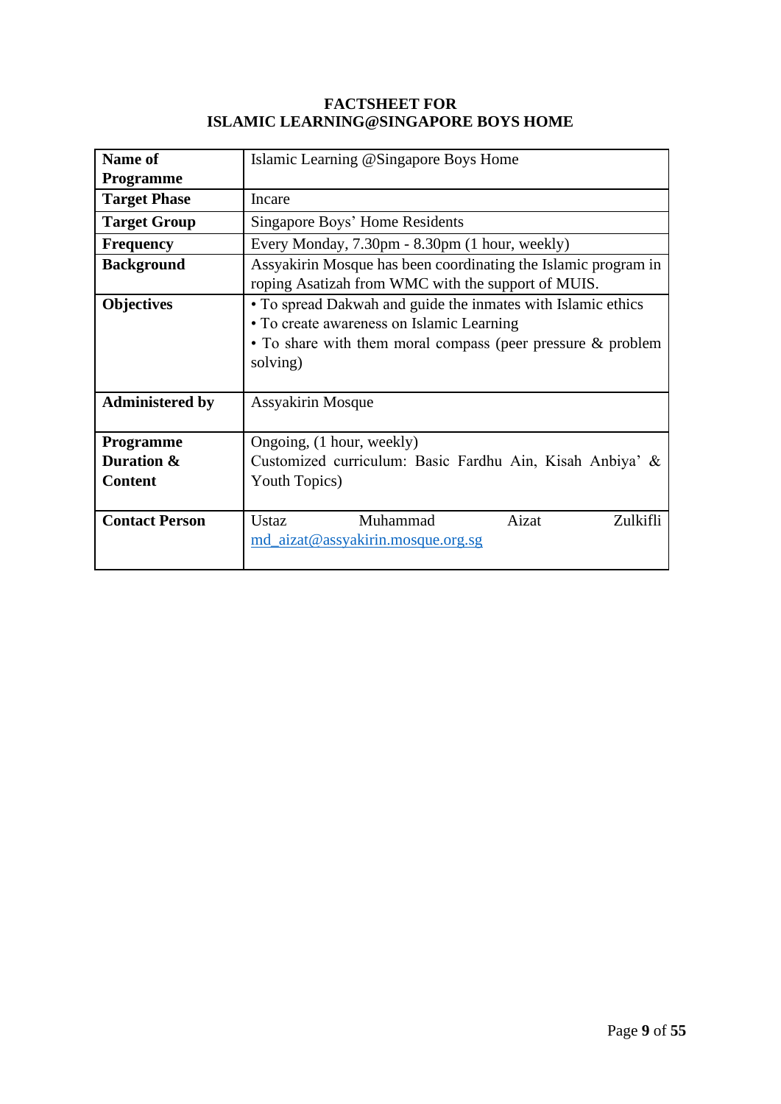#### **FACTSHEET FOR ISLAMIC LEARNING@SINGAPORE BOYS HOME**

| <b>Name of</b>                 | Islamic Learning @Singapore Boys Home                                                                                                                                                |
|--------------------------------|--------------------------------------------------------------------------------------------------------------------------------------------------------------------------------------|
| <b>Programme</b>               |                                                                                                                                                                                      |
| <b>Target Phase</b>            | Incare                                                                                                                                                                               |
| <b>Target Group</b>            | Singapore Boys' Home Residents                                                                                                                                                       |
| <b>Frequency</b>               | Every Monday, 7.30pm - 8.30pm (1 hour, weekly)                                                                                                                                       |
| <b>Background</b>              | Assyakirin Mosque has been coordinating the Islamic program in<br>roping Asatizah from WMC with the support of MUIS.                                                                 |
| <b>Objectives</b>              | • To spread Dakwah and guide the inmates with Islamic ethics<br>• To create awareness on Islamic Learning<br>• To share with them moral compass (peer pressure & problem<br>solving) |
| <b>Administered by</b>         | Assyakirin Mosque                                                                                                                                                                    |
| <b>Programme</b><br>Duration & | Ongoing, (1 hour, weekly)<br>Customized curriculum: Basic Fardhu Ain, Kisah Anbiya' &                                                                                                |
| <b>Content</b>                 | Youth Topics)                                                                                                                                                                        |
| <b>Contact Person</b>          | Aizat<br>Muhammad<br>Ustaz<br>Zulkifli<br>md_aizat@assyakirin.mosque.org.sg                                                                                                          |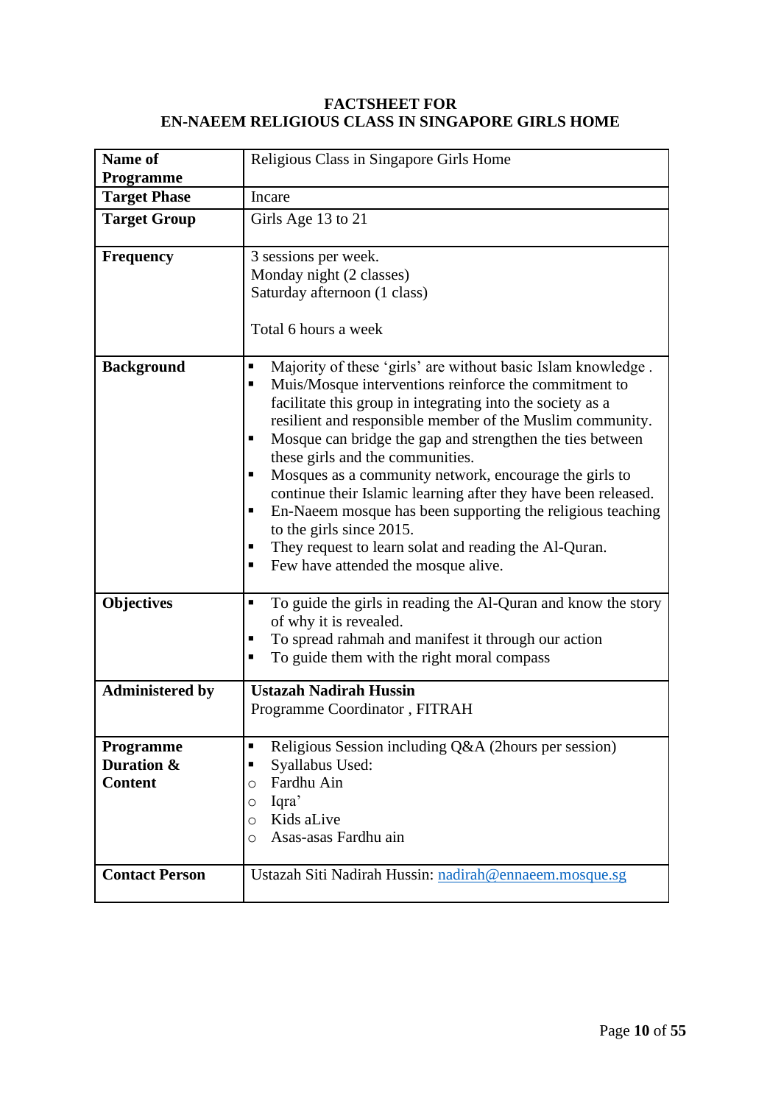#### **FACTSHEET FOR EN-NAEEM RELIGIOUS CLASS IN SINGAPORE GIRLS HOME**

| <b>Name of</b><br>Programme               | Religious Class in Singapore Girls Home                                                                                                                                                                                                                                                                                                                                                                                                                                                                                                                                                                                                                                                                    |
|-------------------------------------------|------------------------------------------------------------------------------------------------------------------------------------------------------------------------------------------------------------------------------------------------------------------------------------------------------------------------------------------------------------------------------------------------------------------------------------------------------------------------------------------------------------------------------------------------------------------------------------------------------------------------------------------------------------------------------------------------------------|
| <b>Target Phase</b>                       | Incare                                                                                                                                                                                                                                                                                                                                                                                                                                                                                                                                                                                                                                                                                                     |
| <b>Target Group</b>                       | Girls Age 13 to 21                                                                                                                                                                                                                                                                                                                                                                                                                                                                                                                                                                                                                                                                                         |
| <b>Frequency</b>                          | 3 sessions per week.<br>Monday night (2 classes)<br>Saturday afternoon (1 class)<br>Total 6 hours a week                                                                                                                                                                                                                                                                                                                                                                                                                                                                                                                                                                                                   |
| <b>Background</b>                         | Majority of these 'girls' are without basic Islam knowledge.<br>Ξ<br>Muis/Mosque interventions reinforce the commitment to<br>٠<br>facilitate this group in integrating into the society as a<br>resilient and responsible member of the Muslim community.<br>Mosque can bridge the gap and strengthen the ties between<br>п<br>these girls and the communities.<br>Mosques as a community network, encourage the girls to<br>п<br>continue their Islamic learning after they have been released.<br>En-Naeem mosque has been supporting the religious teaching<br>٠<br>to the girls since 2015.<br>They request to learn solat and reading the Al-Quran.<br>п<br>Few have attended the mosque alive.<br>П |
| <b>Objectives</b>                         | To guide the girls in reading the Al-Quran and know the story<br>п<br>of why it is revealed.<br>To spread rahmah and manifest it through our action<br>П<br>To guide them with the right moral compass                                                                                                                                                                                                                                                                                                                                                                                                                                                                                                     |
| <b>Administered by</b>                    | <b>Ustazah Nadirah Hussin</b><br>Programme Coordinator, FITRAH                                                                                                                                                                                                                                                                                                                                                                                                                                                                                                                                                                                                                                             |
| Programme<br>Duration &<br><b>Content</b> | Religious Session including Q&A (2hours per session)<br>п<br>Syallabus Used:<br>п<br>Fardhu Ain<br>O<br>Iqra'<br>O<br>Kids aLive<br>O<br>Asas-asas Fardhu ain<br>O                                                                                                                                                                                                                                                                                                                                                                                                                                                                                                                                         |
| <b>Contact Person</b>                     | Ustazah Siti Nadirah Hussin: nadirah@ennaeem.mosque.sg                                                                                                                                                                                                                                                                                                                                                                                                                                                                                                                                                                                                                                                     |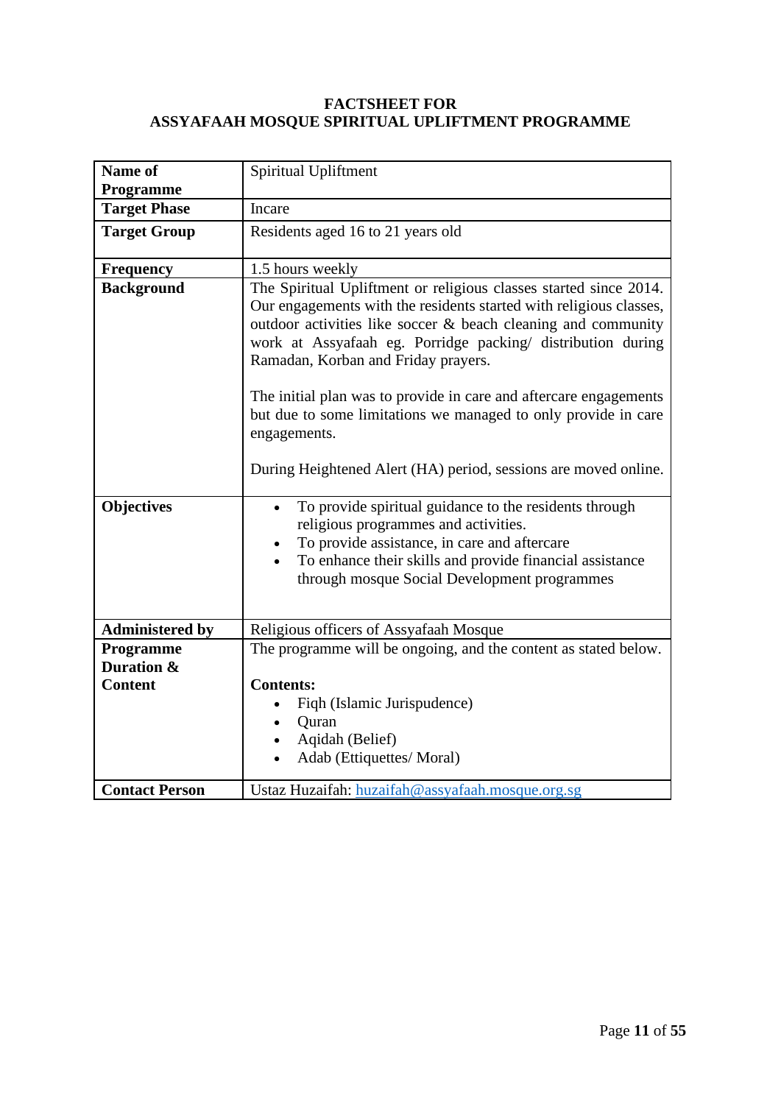#### **FACTSHEET FOR ASSYAFAAH MOSQUE SPIRITUAL UPLIFTMENT PROGRAMME**

| Name of                 | Spiritual Upliftment                                                                                                                                                                                                                                                                                                                                                                                                                                                                                                                     |
|-------------------------|------------------------------------------------------------------------------------------------------------------------------------------------------------------------------------------------------------------------------------------------------------------------------------------------------------------------------------------------------------------------------------------------------------------------------------------------------------------------------------------------------------------------------------------|
| Programme               |                                                                                                                                                                                                                                                                                                                                                                                                                                                                                                                                          |
| <b>Target Phase</b>     | Incare                                                                                                                                                                                                                                                                                                                                                                                                                                                                                                                                   |
| <b>Target Group</b>     | Residents aged 16 to 21 years old                                                                                                                                                                                                                                                                                                                                                                                                                                                                                                        |
| <b>Frequency</b>        | 1.5 hours weekly                                                                                                                                                                                                                                                                                                                                                                                                                                                                                                                         |
| <b>Background</b>       | The Spiritual Upliftment or religious classes started since 2014.<br>Our engagements with the residents started with religious classes,<br>outdoor activities like soccer & beach cleaning and community<br>work at Assyafaah eg. Porridge packing/ distribution during<br>Ramadan, Korban and Friday prayers.<br>The initial plan was to provide in care and aftercare engagements<br>but due to some limitations we managed to only provide in care<br>engagements.<br>During Heightened Alert (HA) period, sessions are moved online. |
| <b>Objectives</b>       | To provide spiritual guidance to the residents through<br>$\bullet$<br>religious programmes and activities.<br>To provide assistance, in care and aftercare<br>To enhance their skills and provide financial assistance<br>through mosque Social Development programmes                                                                                                                                                                                                                                                                  |
| <b>Administered by</b>  | Religious officers of Assyafaah Mosque                                                                                                                                                                                                                                                                                                                                                                                                                                                                                                   |
| Programme<br>Duration & | The programme will be ongoing, and the content as stated below.                                                                                                                                                                                                                                                                                                                                                                                                                                                                          |
| <b>Content</b>          | <b>Contents:</b>                                                                                                                                                                                                                                                                                                                                                                                                                                                                                                                         |
|                         | Fiqh (Islamic Jurispudence)                                                                                                                                                                                                                                                                                                                                                                                                                                                                                                              |
|                         | Quran<br>$\bullet$                                                                                                                                                                                                                                                                                                                                                                                                                                                                                                                       |
|                         | Aqidah (Belief)                                                                                                                                                                                                                                                                                                                                                                                                                                                                                                                          |
|                         | Adab (Ettiquettes/Moral)                                                                                                                                                                                                                                                                                                                                                                                                                                                                                                                 |
| <b>Contact Person</b>   | Ustaz Huzaifah: huzaifah@assyafaah.mosque.org.sg                                                                                                                                                                                                                                                                                                                                                                                                                                                                                         |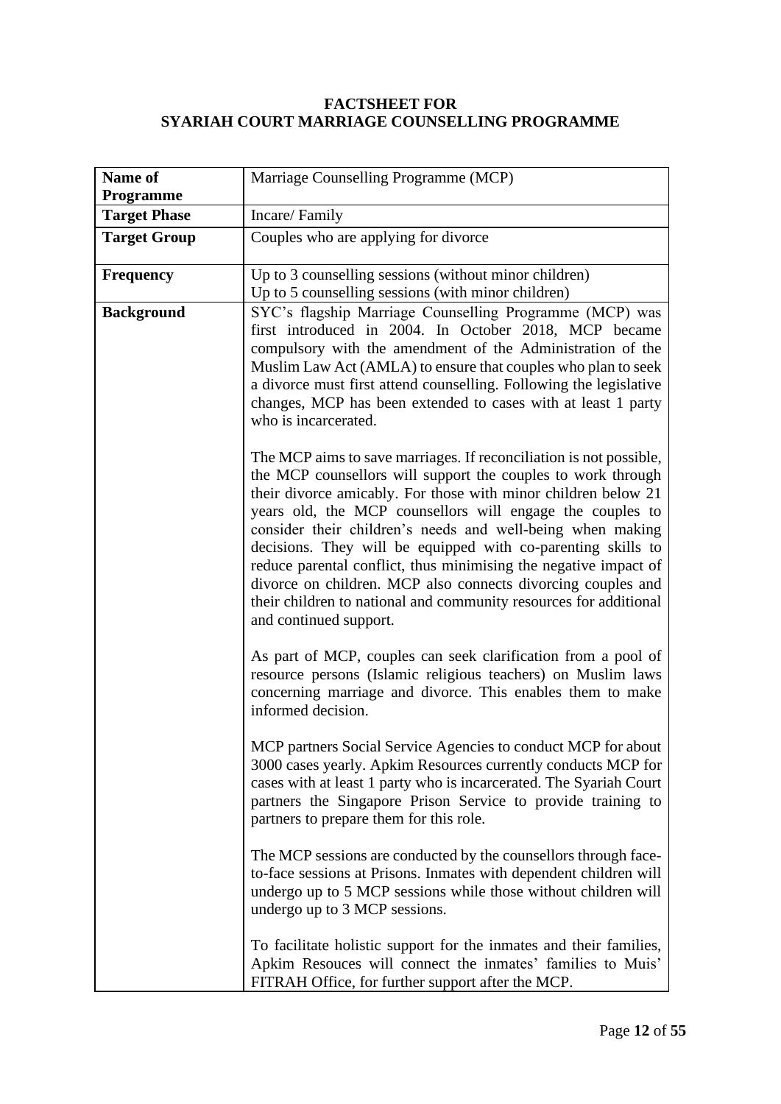#### **FACTSHEET FOR SYARIAH COURT MARRIAGE COUNSELLING PROGRAMME**

| Name of<br><b>Programme</b> | Marriage Counselling Programme (MCP)                                                                                                                                                                                                                                                                                                                                                                                                                                                                                                                                                                                               |
|-----------------------------|------------------------------------------------------------------------------------------------------------------------------------------------------------------------------------------------------------------------------------------------------------------------------------------------------------------------------------------------------------------------------------------------------------------------------------------------------------------------------------------------------------------------------------------------------------------------------------------------------------------------------------|
| <b>Target Phase</b>         | Incare/Family                                                                                                                                                                                                                                                                                                                                                                                                                                                                                                                                                                                                                      |
| <b>Target Group</b>         | Couples who are applying for divorce                                                                                                                                                                                                                                                                                                                                                                                                                                                                                                                                                                                               |
| <b>Frequency</b>            | Up to 3 counselling sessions (without minor children)<br>Up to 5 counselling sessions (with minor children)                                                                                                                                                                                                                                                                                                                                                                                                                                                                                                                        |
| <b>Background</b>           | SYC's flagship Marriage Counselling Programme (MCP) was<br>first introduced in 2004. In October 2018, MCP became<br>compulsory with the amendment of the Administration of the<br>Muslim Law Act (AMLA) to ensure that couples who plan to seek<br>a divorce must first attend counselling. Following the legislative<br>changes, MCP has been extended to cases with at least 1 party<br>who is incarcerated.                                                                                                                                                                                                                     |
|                             | The MCP aims to save marriages. If reconciliation is not possible,<br>the MCP counsellors will support the couples to work through<br>their divorce amicably. For those with minor children below 21<br>years old, the MCP counsellors will engage the couples to<br>consider their children's needs and well-being when making<br>decisions. They will be equipped with co-parenting skills to<br>reduce parental conflict, thus minimising the negative impact of<br>divorce on children. MCP also connects divorcing couples and<br>their children to national and community resources for additional<br>and continued support. |
|                             | As part of MCP, couples can seek clarification from a pool of<br>resource persons (Islamic religious teachers) on Muslim laws<br>concerning marriage and divorce. This enables them to make<br>informed decision.                                                                                                                                                                                                                                                                                                                                                                                                                  |
|                             | MCP partners Social Service Agencies to conduct MCP for about<br>3000 cases yearly. Apkim Resources currently conducts MCP for<br>cases with at least 1 party who is incarcerated. The Syariah Court<br>partners the Singapore Prison Service to provide training to<br>partners to prepare them for this role.                                                                                                                                                                                                                                                                                                                    |
|                             | The MCP sessions are conducted by the counsellors through face-<br>to-face sessions at Prisons. Inmates with dependent children will<br>undergo up to 5 MCP sessions while those without children will<br>undergo up to 3 MCP sessions.                                                                                                                                                                                                                                                                                                                                                                                            |
|                             | To facilitate holistic support for the inmates and their families,<br>Apkim Resouces will connect the inmates' families to Muis'<br>FITRAH Office, for further support after the MCP.                                                                                                                                                                                                                                                                                                                                                                                                                                              |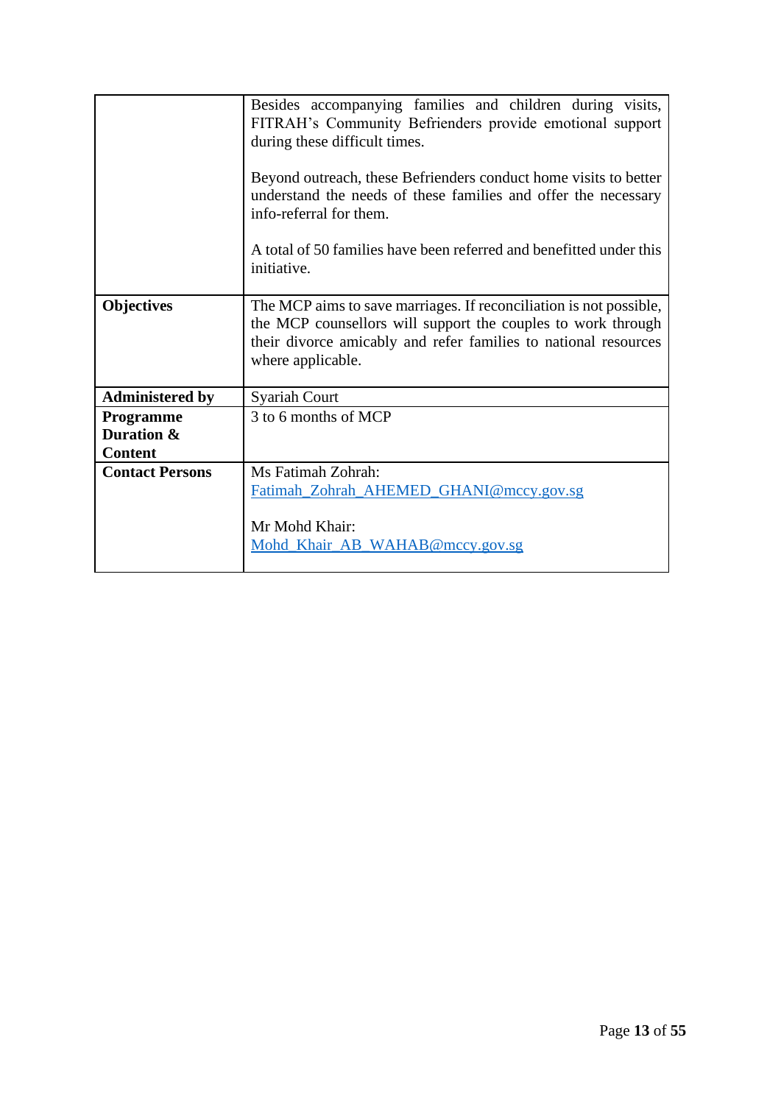|                        | Besides accompanying families and children during visits,<br>FITRAH's Community Befrienders provide emotional support<br>during these difficult times.                                                                     |
|------------------------|----------------------------------------------------------------------------------------------------------------------------------------------------------------------------------------------------------------------------|
|                        | Beyond outreach, these Befrienders conduct home visits to better<br>understand the needs of these families and offer the necessary<br>info-referral for them.                                                              |
|                        | A total of 50 families have been referred and benefitted under this<br>initiative.                                                                                                                                         |
| <b>Objectives</b>      | The MCP aims to save marriages. If reconciliation is not possible,<br>the MCP counsellors will support the couples to work through<br>their divorce amicably and refer families to national resources<br>where applicable. |
| <b>Administered by</b> | <b>Syariah Court</b>                                                                                                                                                                                                       |
| Programme              | 3 to 6 months of MCP                                                                                                                                                                                                       |
| Duration &             |                                                                                                                                                                                                                            |
| <b>Content</b>         |                                                                                                                                                                                                                            |
| <b>Contact Persons</b> | Ms Fatimah Zohrah:                                                                                                                                                                                                         |
|                        | Fatimah_Zohrah_AHEMED_GHANI@mccy.gov.sg                                                                                                                                                                                    |
|                        | Mr Mohd Khair:                                                                                                                                                                                                             |
|                        | Mohd Khair AB WAHAB@mccy.gov.sg                                                                                                                                                                                            |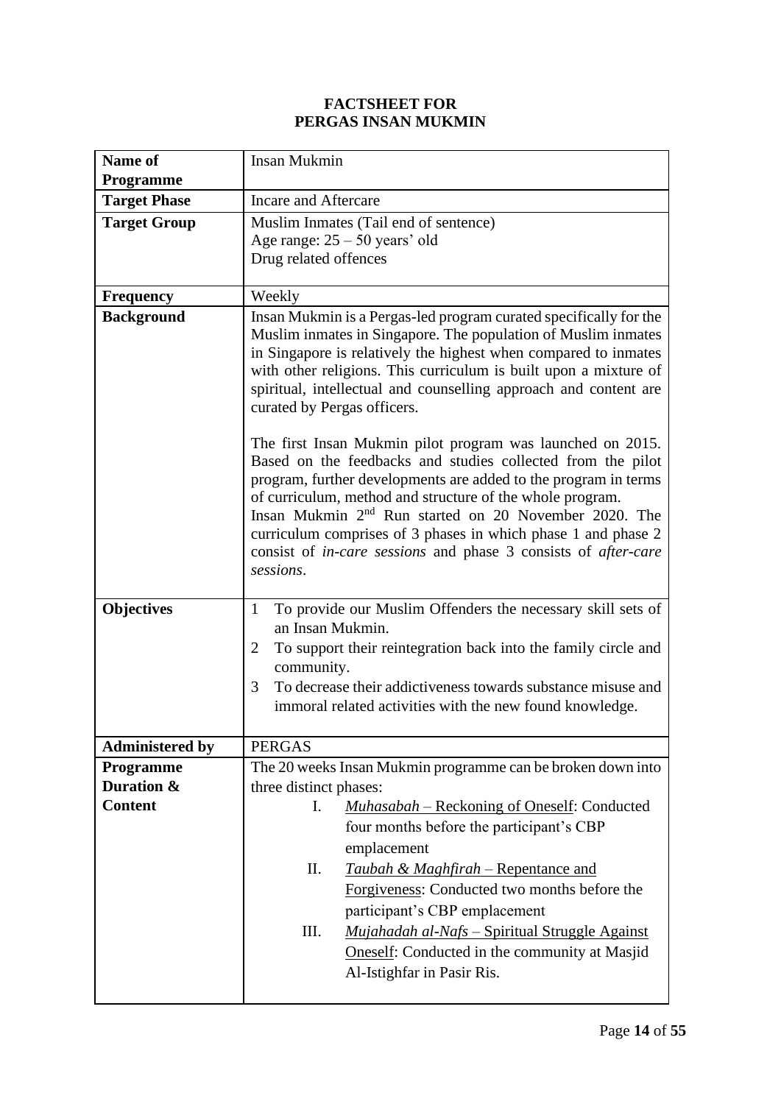#### **FACTSHEET FOR PERGAS INSAN MUKMIN**

| <b>Name of</b>         | Insan Mukmin                                                                                                                                                                                                                                                                                                                                                                                                                                                                                 |
|------------------------|----------------------------------------------------------------------------------------------------------------------------------------------------------------------------------------------------------------------------------------------------------------------------------------------------------------------------------------------------------------------------------------------------------------------------------------------------------------------------------------------|
| <b>Programme</b>       |                                                                                                                                                                                                                                                                                                                                                                                                                                                                                              |
| <b>Target Phase</b>    | Incare and Aftercare                                                                                                                                                                                                                                                                                                                                                                                                                                                                         |
| <b>Target Group</b>    | Muslim Inmates (Tail end of sentence)                                                                                                                                                                                                                                                                                                                                                                                                                                                        |
|                        | Age range: $25 - 50$ years' old                                                                                                                                                                                                                                                                                                                                                                                                                                                              |
|                        | Drug related offences                                                                                                                                                                                                                                                                                                                                                                                                                                                                        |
| <b>Frequency</b>       | Weekly                                                                                                                                                                                                                                                                                                                                                                                                                                                                                       |
| <b>Background</b>      | Insan Mukmin is a Pergas-led program curated specifically for the<br>Muslim inmates in Singapore. The population of Muslim inmates<br>in Singapore is relatively the highest when compared to inmates<br>with other religions. This curriculum is built upon a mixture of<br>spiritual, intellectual and counselling approach and content are<br>curated by Pergas officers.                                                                                                                 |
|                        | The first Insan Mukmin pilot program was launched on 2015.<br>Based on the feedbacks and studies collected from the pilot<br>program, further developments are added to the program in terms<br>of curriculum, method and structure of the whole program.<br>Insan Mukmin 2 <sup>nd</sup> Run started on 20 November 2020. The<br>curriculum comprises of 3 phases in which phase 1 and phase 2<br>consist of <i>in-care sessions</i> and phase 3 consists of <i>after-care</i><br>sessions. |
| <b>Objectives</b>      | To provide our Muslim Offenders the necessary skill sets of<br>1                                                                                                                                                                                                                                                                                                                                                                                                                             |
|                        | an Insan Mukmin.                                                                                                                                                                                                                                                                                                                                                                                                                                                                             |
|                        | To support their reintegration back into the family circle and<br>2                                                                                                                                                                                                                                                                                                                                                                                                                          |
|                        | community.<br>To decrease their addictiveness towards substance misuse and                                                                                                                                                                                                                                                                                                                                                                                                                   |
|                        | 3<br>immoral related activities with the new found knowledge.                                                                                                                                                                                                                                                                                                                                                                                                                                |
|                        |                                                                                                                                                                                                                                                                                                                                                                                                                                                                                              |
| <b>Administered by</b> | <b>PERGAS</b>                                                                                                                                                                                                                                                                                                                                                                                                                                                                                |
| Programme              | The 20 weeks Insan Mukmin programme can be broken down into                                                                                                                                                                                                                                                                                                                                                                                                                                  |
| Duration &             | three distinct phases:                                                                                                                                                                                                                                                                                                                                                                                                                                                                       |
| <b>Content</b>         | Muhasabah – Reckoning of Oneself: Conducted<br>I.                                                                                                                                                                                                                                                                                                                                                                                                                                            |
|                        | four months before the participant's CBP                                                                                                                                                                                                                                                                                                                                                                                                                                                     |
|                        | emplacement                                                                                                                                                                                                                                                                                                                                                                                                                                                                                  |
|                        | П.<br><b>Taubah &amp; Maghfirah – Repentance and</b>                                                                                                                                                                                                                                                                                                                                                                                                                                         |
|                        | Forgiveness: Conducted two months before the                                                                                                                                                                                                                                                                                                                                                                                                                                                 |
|                        | participant's CBP emplacement                                                                                                                                                                                                                                                                                                                                                                                                                                                                |
|                        | Ш.<br><b>Mujahadah al-Nafs – Spiritual Struggle Against</b>                                                                                                                                                                                                                                                                                                                                                                                                                                  |
|                        | <b>Oneself:</b> Conducted in the community at Masjid                                                                                                                                                                                                                                                                                                                                                                                                                                         |
|                        | Al-Istighfar in Pasir Ris.                                                                                                                                                                                                                                                                                                                                                                                                                                                                   |
|                        |                                                                                                                                                                                                                                                                                                                                                                                                                                                                                              |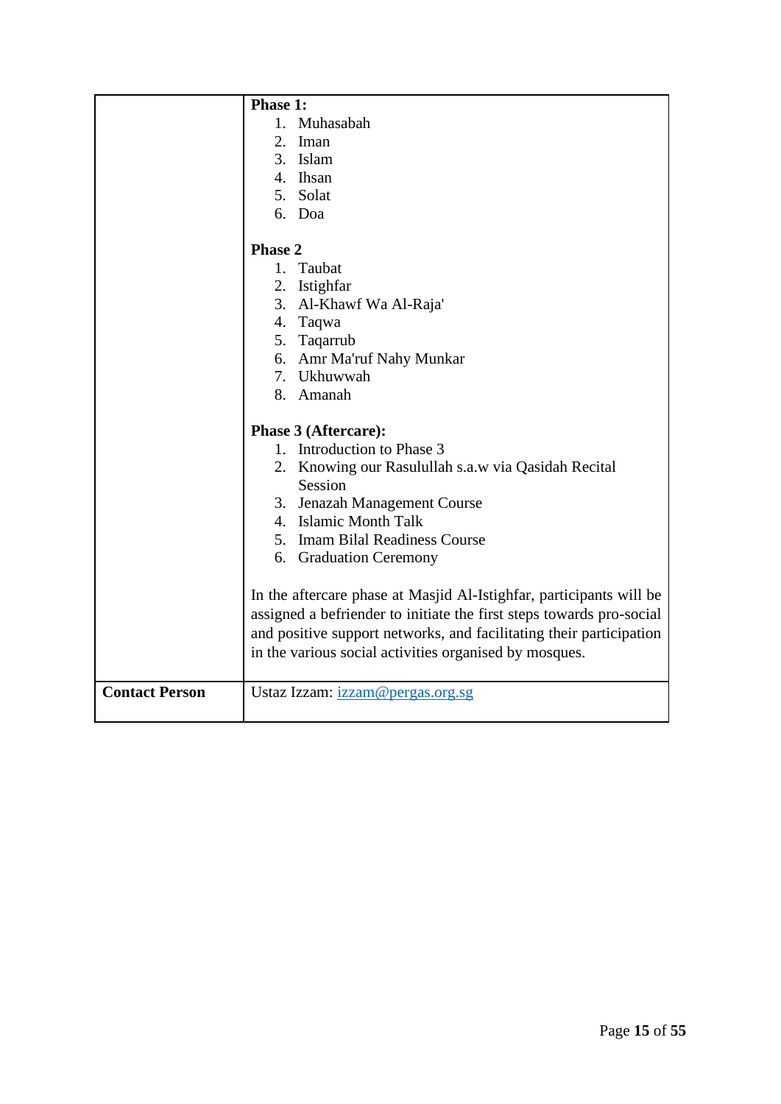|                       | Phase 1:                                                             |
|-----------------------|----------------------------------------------------------------------|
|                       | 1. Muhasabah                                                         |
|                       | 2. Iman                                                              |
|                       | 3. Islam                                                             |
|                       | 4. Ihsan                                                             |
|                       | 5. Solat                                                             |
|                       | 6. Doa                                                               |
|                       | Phase 2                                                              |
|                       | 1. Taubat                                                            |
|                       | 2. Istighfar                                                         |
|                       | 3. Al-Khawf Wa Al-Raja'                                              |
|                       | 4. Taqwa                                                             |
|                       | 5. Taqarrub                                                          |
|                       | 6. Amr Ma'ruf Nahy Munkar                                            |
|                       | 7. Ukhuwwah                                                          |
|                       | 8. Amanah                                                            |
|                       | Phase 3 (Aftercare):                                                 |
|                       | 1. Introduction to Phase 3                                           |
|                       | 2. Knowing our Rasulullah s.a.w via Qasidah Recital                  |
|                       | Session                                                              |
|                       | 3. Jenazah Management Course                                         |
|                       | 4. Islamic Month Talk                                                |
|                       | 5. Imam Bilal Readiness Course                                       |
|                       | 6. Graduation Ceremony                                               |
|                       | In the aftercare phase at Masjid Al-Istighfar, participants will be  |
|                       | assigned a befriender to initiate the first steps towards pro-social |
|                       | and positive support networks, and facilitating their participation  |
|                       | in the various social activities organised by mosques.               |
| <b>Contact Person</b> | Ustaz Izzam: izzam@pergas.org.sg                                     |
|                       |                                                                      |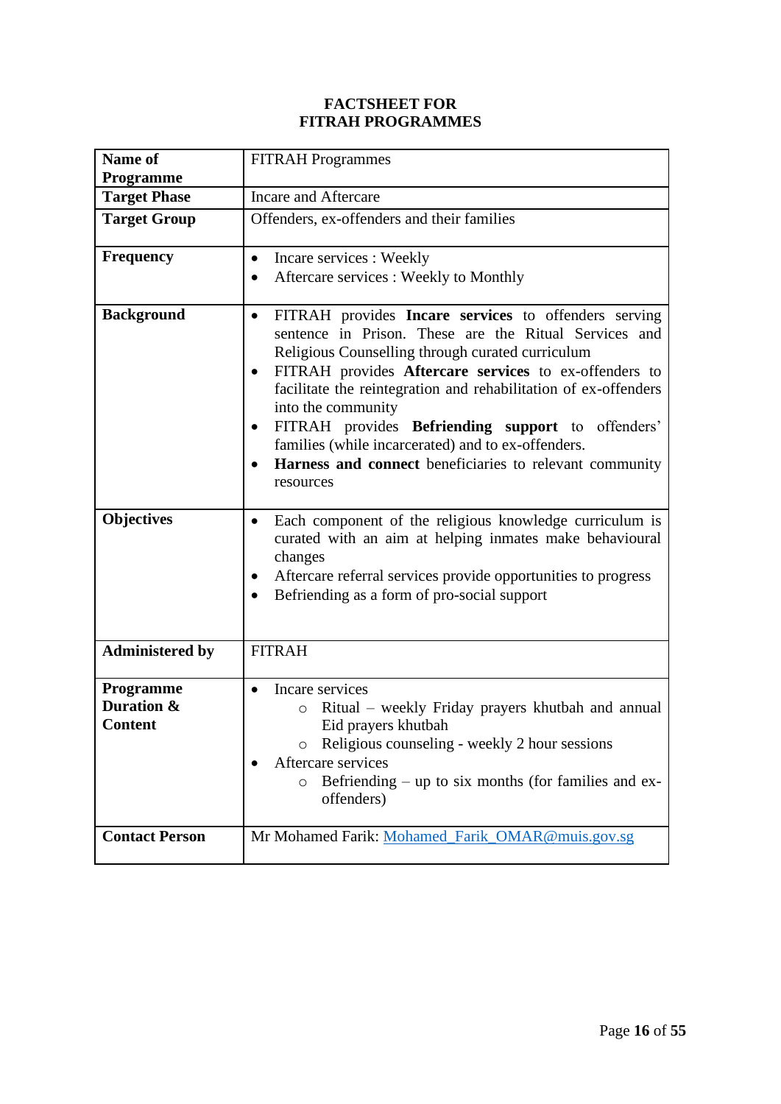#### **FACTSHEET FOR FITRAH PROGRAMMES**

| Name of<br><b>Programme</b>               | <b>FITRAH</b> Programmes                                                                                                                                                                                                                                                                                                                                                                                                                                                                                                                                   |
|-------------------------------------------|------------------------------------------------------------------------------------------------------------------------------------------------------------------------------------------------------------------------------------------------------------------------------------------------------------------------------------------------------------------------------------------------------------------------------------------------------------------------------------------------------------------------------------------------------------|
| <b>Target Phase</b>                       | Incare and Aftercare                                                                                                                                                                                                                                                                                                                                                                                                                                                                                                                                       |
| <b>Target Group</b>                       | Offenders, ex-offenders and their families                                                                                                                                                                                                                                                                                                                                                                                                                                                                                                                 |
| <b>Frequency</b>                          | Incare services : Weekly<br>$\bullet$<br>Aftercare services : Weekly to Monthly<br>$\bullet$                                                                                                                                                                                                                                                                                                                                                                                                                                                               |
| <b>Background</b><br><b>Objectives</b>    | FITRAH provides Incare services to offenders serving<br>$\bullet$<br>sentence in Prison. These are the Ritual Services and<br>Religious Counselling through curated curriculum<br>FITRAH provides Aftercare services to ex-offenders to<br>$\bullet$<br>facilitate the reintegration and rehabilitation of ex-offenders<br>into the community<br>FITRAH provides Befriending support to offenders'<br>$\bullet$<br>families (while incarcerated) and to ex-offenders.<br>Harness and connect beneficiaries to relevant community<br>$\bullet$<br>resources |
|                                           | Each component of the religious knowledge curriculum is<br>$\bullet$<br>curated with an aim at helping inmates make behavioural<br>changes<br>Aftercare referral services provide opportunities to progress<br>$\bullet$<br>Befriending as a form of pro-social support                                                                                                                                                                                                                                                                                    |
| <b>Administered by</b>                    | <b>FITRAH</b>                                                                                                                                                                                                                                                                                                                                                                                                                                                                                                                                              |
| Programme<br>Duration &<br><b>Content</b> | Incare services<br>Ritual – weekly Friday prayers khutbah and annual<br>$\circ$<br>Eid prayers khutbah<br>Religious counseling - weekly 2 hour sessions<br>Aftercare services<br>Befriending – up to six months (for families and ex-<br>O<br>offenders)                                                                                                                                                                                                                                                                                                   |
| <b>Contact Person</b>                     | Mr Mohamed Farik: Mohamed Farik OMAR@muis.gov.sg                                                                                                                                                                                                                                                                                                                                                                                                                                                                                                           |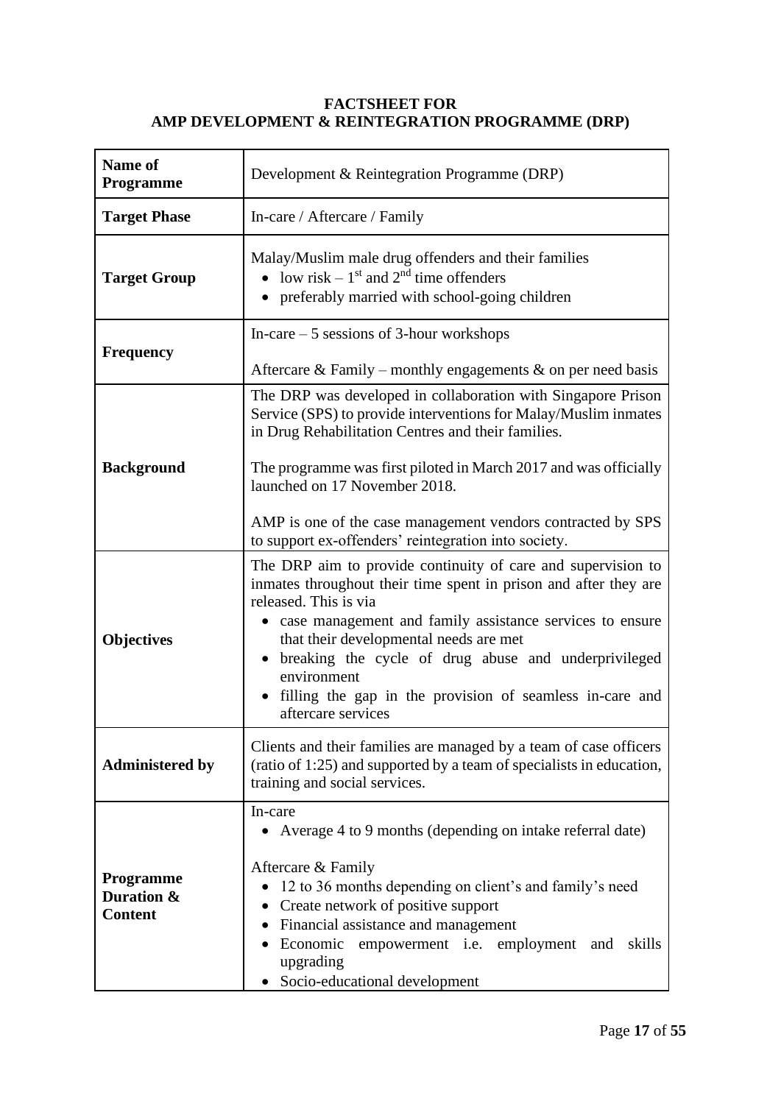#### **FACTSHEET FOR AMP DEVELOPMENT & REINTEGRATION PROGRAMME (DRP)**

| Name of<br><b>Programme</b>               | Development & Reintegration Programme (DRP)                                                                                                                                                                                                                                                                                                                                                                                  |
|-------------------------------------------|------------------------------------------------------------------------------------------------------------------------------------------------------------------------------------------------------------------------------------------------------------------------------------------------------------------------------------------------------------------------------------------------------------------------------|
| <b>Target Phase</b>                       | In-care / Aftercare / Family                                                                                                                                                                                                                                                                                                                                                                                                 |
| <b>Target Group</b>                       | Malay/Muslim male drug offenders and their families<br>• low risk – $1st$ and $2nd$ time offenders<br>• preferably married with school-going children                                                                                                                                                                                                                                                                        |
| <b>Frequency</b>                          | In-care $-5$ sessions of 3-hour workshops<br>Aftercare & Family – monthly engagements & on per need basis                                                                                                                                                                                                                                                                                                                    |
| <b>Background</b>                         | The DRP was developed in collaboration with Singapore Prison<br>Service (SPS) to provide interventions for Malay/Muslim inmates<br>in Drug Rehabilitation Centres and their families.<br>The programme was first piloted in March 2017 and was officially<br>launched on 17 November 2018.<br>AMP is one of the case management vendors contracted by SPS<br>to support ex-offenders' reintegration into society.            |
| <b>Objectives</b>                         | The DRP aim to provide continuity of care and supervision to<br>inmates throughout their time spent in prison and after they are<br>released. This is via<br>• case management and family assistance services to ensure<br>that their developmental needs are met<br>• breaking the cycle of drug abuse and underprivileged<br>environment<br>filling the gap in the provision of seamless in-care and<br>aftercare services |
| <b>Administered by</b>                    | Clients and their families are managed by a team of case officers<br>(ratio of 1:25) and supported by a team of specialists in education,<br>training and social services.                                                                                                                                                                                                                                                   |
| Programme<br>Duration &<br><b>Content</b> | In-care<br>• Average 4 to 9 months (depending on intake referral date)<br>Aftercare & Family<br>12 to 36 months depending on client's and family's need<br>$\bullet$<br>Create network of positive support<br>Financial assistance and management<br>$\bullet$<br>Economic empowerment i.e. employment and<br>skills<br>upgrading<br>Socio-educational development                                                           |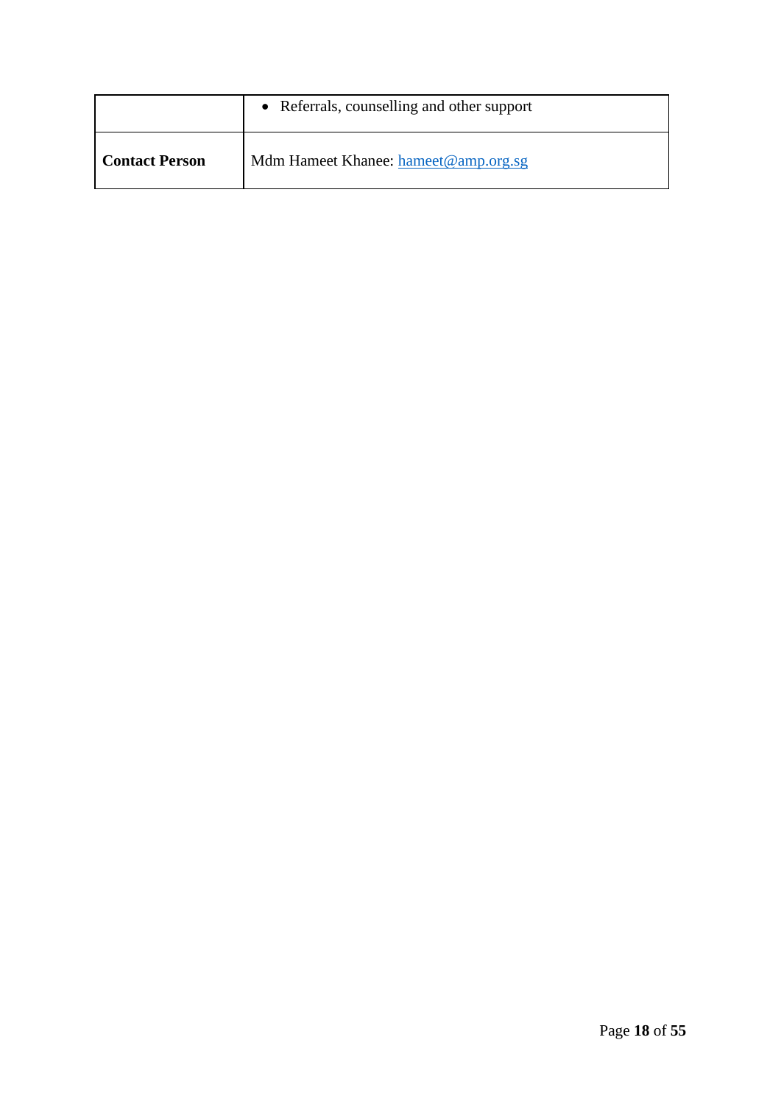|                       | • Referrals, counselling and other support |
|-----------------------|--------------------------------------------|
| <b>Contact Person</b> | Mdm Hameet Khanee: hameet@amp.org.sg       |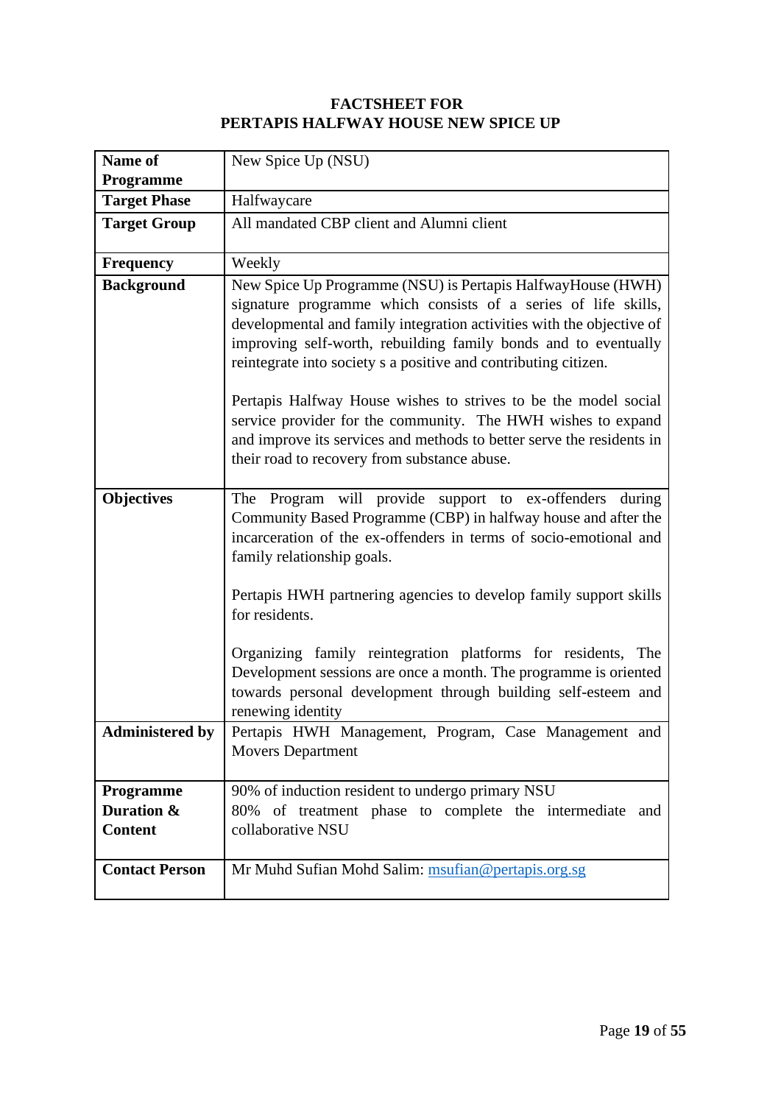#### **FACTSHEET FOR PERTAPIS HALFWAY HOUSE NEW SPICE UP**

| Name of                                   | New Spice Up (NSU)                                                                                                                                                                                                                                                                                                                                                                                                                                                                                                                                                                                       |
|-------------------------------------------|----------------------------------------------------------------------------------------------------------------------------------------------------------------------------------------------------------------------------------------------------------------------------------------------------------------------------------------------------------------------------------------------------------------------------------------------------------------------------------------------------------------------------------------------------------------------------------------------------------|
| <b>Programme</b>                          |                                                                                                                                                                                                                                                                                                                                                                                                                                                                                                                                                                                                          |
| <b>Target Phase</b>                       | Halfwaycare                                                                                                                                                                                                                                                                                                                                                                                                                                                                                                                                                                                              |
| <b>Target Group</b>                       | All mandated CBP client and Alumni client                                                                                                                                                                                                                                                                                                                                                                                                                                                                                                                                                                |
| <b>Frequency</b>                          | Weekly                                                                                                                                                                                                                                                                                                                                                                                                                                                                                                                                                                                                   |
| <b>Background</b>                         | New Spice Up Programme (NSU) is Pertapis HalfwayHouse (HWH)<br>signature programme which consists of a series of life skills,<br>developmental and family integration activities with the objective of<br>improving self-worth, rebuilding family bonds and to eventually<br>reintegrate into society s a positive and contributing citizen.<br>Pertapis Halfway House wishes to strives to be the model social<br>service provider for the community. The HWH wishes to expand<br>and improve its services and methods to better serve the residents in<br>their road to recovery from substance abuse. |
| <b>Objectives</b>                         | The Program will provide support to ex-offenders during<br>Community Based Programme (CBP) in halfway house and after the<br>incarceration of the ex-offenders in terms of socio-emotional and<br>family relationship goals.<br>Pertapis HWH partnering agencies to develop family support skills<br>for residents.<br>Organizing family reintegration platforms for residents, The<br>Development sessions are once a month. The programme is oriented<br>towards personal development through building self-esteem and<br>renewing identity                                                            |
| <b>Administered by</b>                    | Pertapis HWH Management, Program, Case Management and<br><b>Movers Department</b>                                                                                                                                                                                                                                                                                                                                                                                                                                                                                                                        |
| Programme<br>Duration &<br><b>Content</b> | 90% of induction resident to undergo primary NSU<br>80% of treatment phase to complete the intermediate<br>and<br>collaborative NSU                                                                                                                                                                                                                                                                                                                                                                                                                                                                      |
| <b>Contact Person</b>                     | Mr Muhd Sufian Mohd Salim: msufian@pertapis.org.sg                                                                                                                                                                                                                                                                                                                                                                                                                                                                                                                                                       |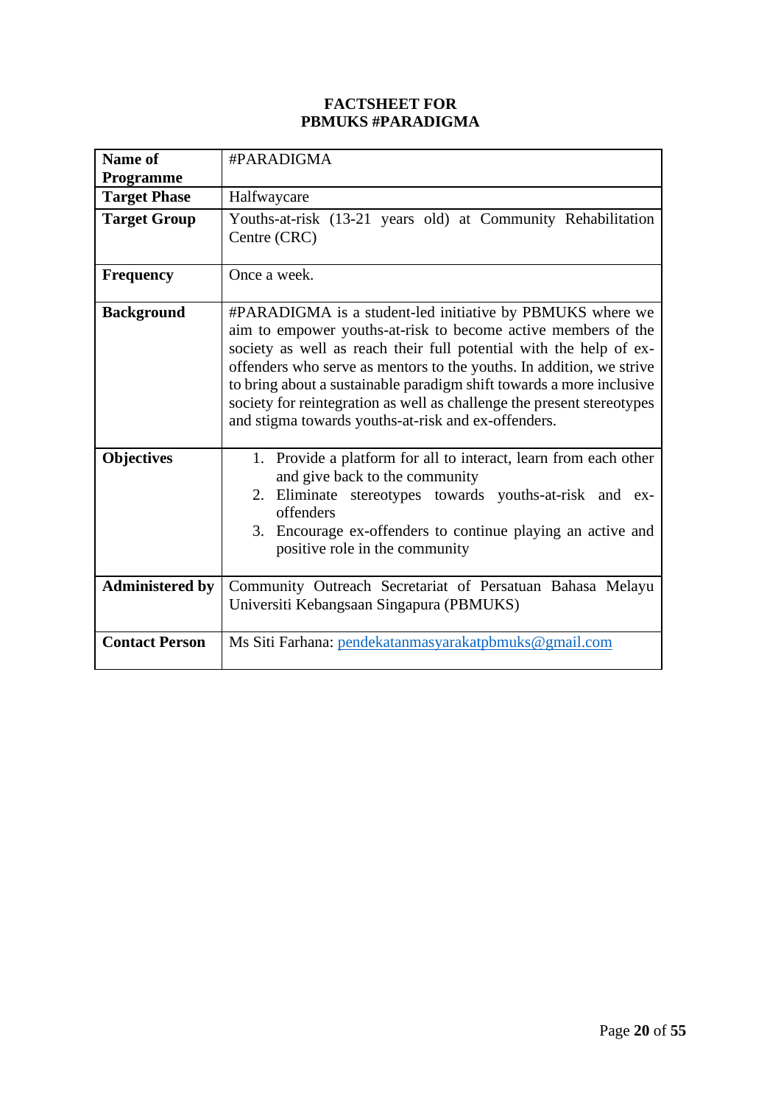#### **FACTSHEET FOR PBMUKS #PARADIGMA**

| Name of                | #PARADIGMA                                                                                                                                                                                                                                                                                                                                                                                                                                                                        |
|------------------------|-----------------------------------------------------------------------------------------------------------------------------------------------------------------------------------------------------------------------------------------------------------------------------------------------------------------------------------------------------------------------------------------------------------------------------------------------------------------------------------|
| Programme              |                                                                                                                                                                                                                                                                                                                                                                                                                                                                                   |
| <b>Target Phase</b>    | Halfwaycare                                                                                                                                                                                                                                                                                                                                                                                                                                                                       |
| <b>Target Group</b>    | Youths-at-risk (13-21 years old) at Community Rehabilitation<br>Centre (CRC)                                                                                                                                                                                                                                                                                                                                                                                                      |
| <b>Frequency</b>       | Once a week.                                                                                                                                                                                                                                                                                                                                                                                                                                                                      |
| <b>Background</b>      | #PARADIGMA is a student-led initiative by PBMUKS where we<br>aim to empower youths-at-risk to become active members of the<br>society as well as reach their full potential with the help of ex-<br>offenders who serve as mentors to the youths. In addition, we strive<br>to bring about a sustainable paradigm shift towards a more inclusive<br>society for reintegration as well as challenge the present stereotypes<br>and stigma towards youths-at-risk and ex-offenders. |
| <b>Objectives</b>      | 1. Provide a platform for all to interact, learn from each other<br>and give back to the community<br>2. Eliminate stereotypes towards youths-at-risk and ex-<br>offenders<br>3. Encourage ex-offenders to continue playing an active and<br>positive role in the community                                                                                                                                                                                                       |
| <b>Administered by</b> | Community Outreach Secretariat of Persatuan Bahasa Melayu<br>Universiti Kebangsaan Singapura (PBMUKS)                                                                                                                                                                                                                                                                                                                                                                             |
| <b>Contact Person</b>  | Ms Siti Farhana: pendekatanmasyarakatpbmuks@gmail.com                                                                                                                                                                                                                                                                                                                                                                                                                             |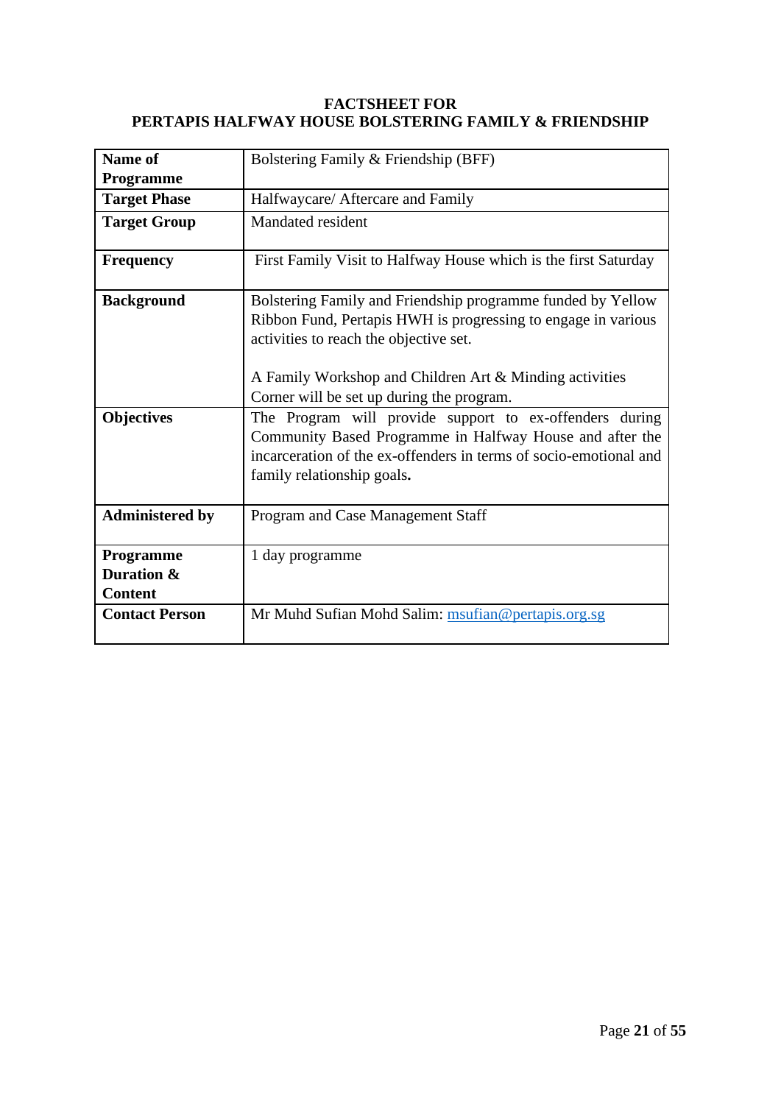#### **FACTSHEET FOR PERTAPIS HALFWAY HOUSE BOLSTERING FAMILY & FRIENDSHIP**

| Name of                                   | Bolstering Family & Friendship (BFF)                                                                                                                                                                                                                                           |  |  |  |
|-------------------------------------------|--------------------------------------------------------------------------------------------------------------------------------------------------------------------------------------------------------------------------------------------------------------------------------|--|--|--|
| <b>Programme</b>                          |                                                                                                                                                                                                                                                                                |  |  |  |
| <b>Target Phase</b>                       | Halfwaycare/ Aftercare and Family                                                                                                                                                                                                                                              |  |  |  |
| <b>Target Group</b>                       | Mandated resident                                                                                                                                                                                                                                                              |  |  |  |
| <b>Frequency</b>                          | First Family Visit to Halfway House which is the first Saturday                                                                                                                                                                                                                |  |  |  |
| <b>Background</b>                         | Bolstering Family and Friendship programme funded by Yellow<br>Ribbon Fund, Pertapis HWH is progressing to engage in various<br>activities to reach the objective set.<br>A Family Workshop and Children Art & Minding activities<br>Corner will be set up during the program. |  |  |  |
| <b>Objectives</b>                         | The Program will provide support to ex-offenders during<br>Community Based Programme in Halfway House and after the<br>incarceration of the ex-offenders in terms of socio-emotional and<br>family relationship goals.                                                         |  |  |  |
| <b>Administered by</b>                    | Program and Case Management Staff                                                                                                                                                                                                                                              |  |  |  |
| Programme<br>Duration &<br><b>Content</b> | 1 day programme                                                                                                                                                                                                                                                                |  |  |  |
| <b>Contact Person</b>                     | Mr Muhd Sufian Mohd Salim: msufian@pertapis.org.sg                                                                                                                                                                                                                             |  |  |  |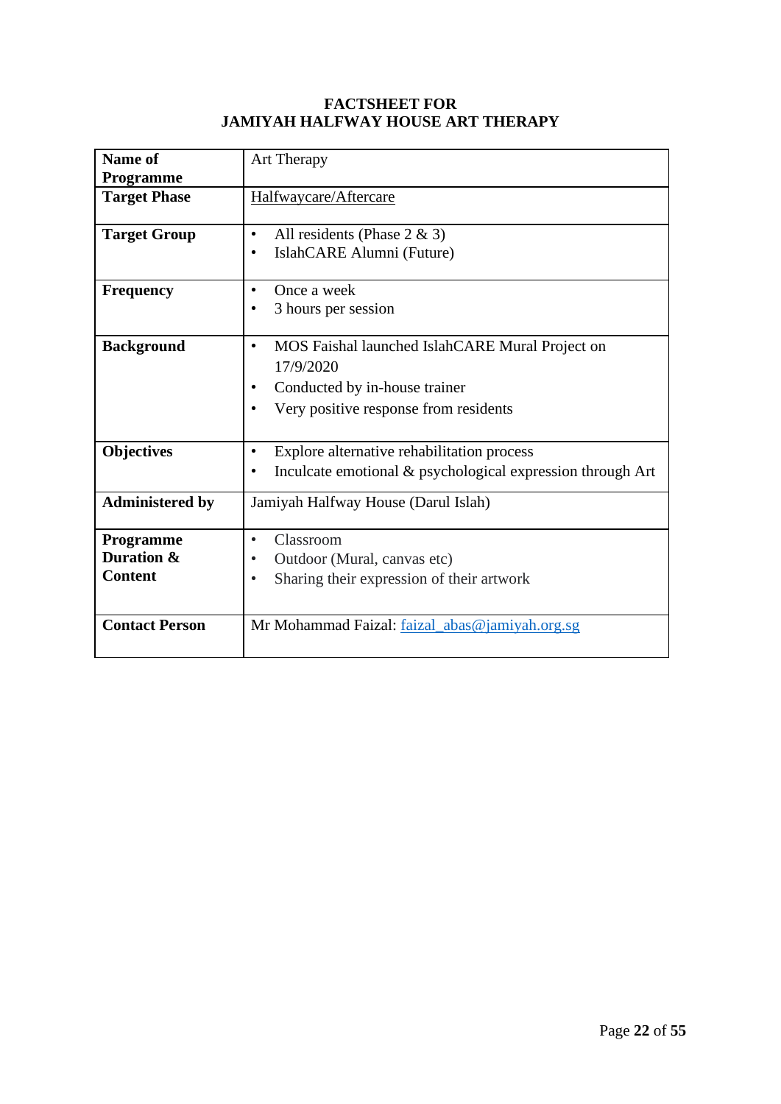#### **FACTSHEET FOR JAMIYAH HALFWAY HOUSE ART THERAPY**

| Name of                                   | Art Therapy                                                                                                                                         |  |  |  |
|-------------------------------------------|-----------------------------------------------------------------------------------------------------------------------------------------------------|--|--|--|
| Programme<br><b>Target Phase</b>          | Halfwaycare/Aftercare                                                                                                                               |  |  |  |
| <b>Target Group</b>                       | All residents (Phase $2 \& 3$ )<br>$\bullet$<br>IslahCARE Alumni (Future)                                                                           |  |  |  |
| <b>Frequency</b>                          | Once a week<br>3 hours per session                                                                                                                  |  |  |  |
| <b>Background</b>                         | MOS Faishal launched IslahCARE Mural Project on<br>$\bullet$<br>17/9/2020<br>Conducted by in-house trainer<br>Very positive response from residents |  |  |  |
| <b>Objectives</b>                         | Explore alternative rehabilitation process<br>$\bullet$<br>Inculcate emotional & psychological expression through Art<br>٠                          |  |  |  |
| <b>Administered by</b>                    | Jamiyah Halfway House (Darul Islah)                                                                                                                 |  |  |  |
| Programme<br>Duration &<br><b>Content</b> | Classroom<br>$\bullet$<br>Outdoor (Mural, canvas etc)<br>Sharing their expression of their artwork<br>$\bullet$                                     |  |  |  |
| <b>Contact Person</b>                     | Mr Mohammad Faizal: faizal_abas@jamiyah.org.sg                                                                                                      |  |  |  |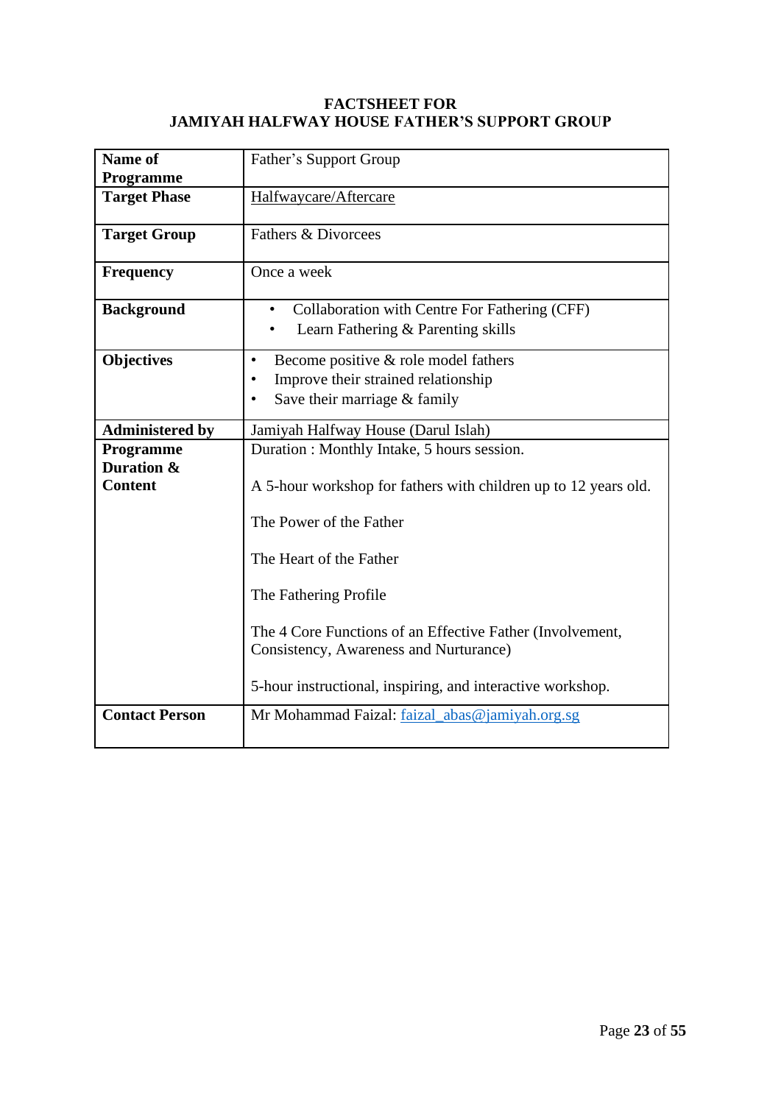#### **FACTSHEET FOR JAMIYAH HALFWAY HOUSE FATHER'S SUPPORT GROUP**

| Name of<br>Programme         | Father's Support Group                                                                                                                |  |  |  |  |
|------------------------------|---------------------------------------------------------------------------------------------------------------------------------------|--|--|--|--|
| <b>Target Phase</b>          | Halfwaycare/Aftercare                                                                                                                 |  |  |  |  |
| <b>Target Group</b>          | Fathers & Divorcees                                                                                                                   |  |  |  |  |
| <b>Frequency</b>             | Once a week                                                                                                                           |  |  |  |  |
| <b>Background</b>            | Collaboration with Centre For Fathering (CFF)<br>Learn Fathering & Parenting skills                                                   |  |  |  |  |
| <b>Objectives</b>            | Become positive & role model fathers<br>$\bullet$<br>Improve their strained relationship<br>Save their marriage & family<br>$\bullet$ |  |  |  |  |
| <b>Administered by</b>       | Jamiyah Halfway House (Darul Islah)                                                                                                   |  |  |  |  |
| Programme                    | Duration : Monthly Intake, 5 hours session.                                                                                           |  |  |  |  |
| Duration &<br><b>Content</b> | A 5-hour workshop for fathers with children up to 12 years old.                                                                       |  |  |  |  |
|                              | The Power of the Father                                                                                                               |  |  |  |  |
|                              | The Heart of the Father                                                                                                               |  |  |  |  |
|                              | The Fathering Profile                                                                                                                 |  |  |  |  |
|                              | The 4 Core Functions of an Effective Father (Involvement,<br>Consistency, Awareness and Nurturance)                                   |  |  |  |  |
|                              | 5-hour instructional, inspiring, and interactive workshop.                                                                            |  |  |  |  |
| <b>Contact Person</b>        | Mr Mohammad Faizal: faizal_abas@jamiyah.org.sg                                                                                        |  |  |  |  |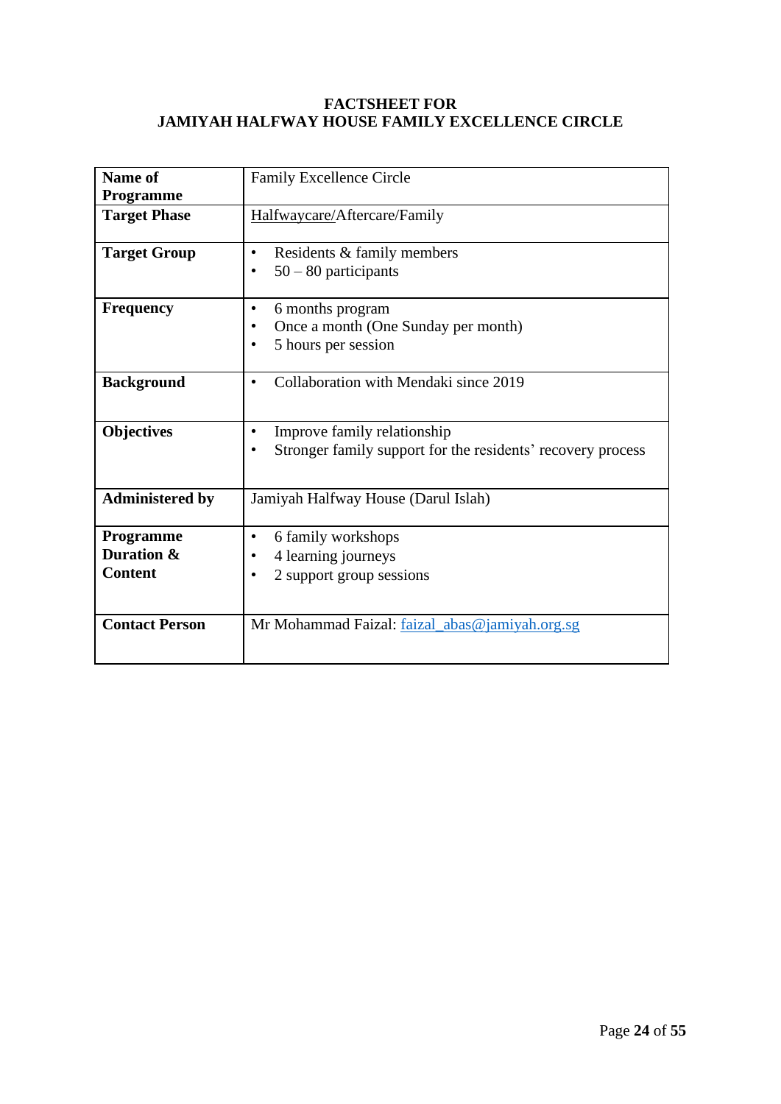#### **FACTSHEET FOR JAMIYAH HALFWAY HOUSE FAMILY EXCELLENCE CIRCLE**

| Name of<br>Programme                      | <b>Family Excellence Circle</b>                                                                              |  |  |  |
|-------------------------------------------|--------------------------------------------------------------------------------------------------------------|--|--|--|
| <b>Target Phase</b>                       | Halfwaycare/Aftercare/Family                                                                                 |  |  |  |
| <b>Target Group</b>                       | Residents & family members<br>$\bullet$<br>$50 - 80$ participants<br>$\bullet$                               |  |  |  |
| <b>Frequency</b>                          | 6 months program<br>$\bullet$<br>Once a month (One Sunday per month)<br>5 hours per session                  |  |  |  |
| <b>Background</b>                         | Collaboration with Mendaki since 2019<br>$\bullet$                                                           |  |  |  |
| <b>Objectives</b>                         | Improve family relationship<br>$\bullet$<br>Stronger family support for the residents' recovery process<br>٠ |  |  |  |
| <b>Administered by</b>                    | Jamiyah Halfway House (Darul Islah)                                                                          |  |  |  |
| Programme<br>Duration &<br><b>Content</b> | 6 family workshops<br>$\bullet$<br>4 learning journeys<br>2 support group sessions<br>٠                      |  |  |  |
| <b>Contact Person</b>                     | Mr Mohammad Faizal: faizal_abas@jamiyah.org.sg                                                               |  |  |  |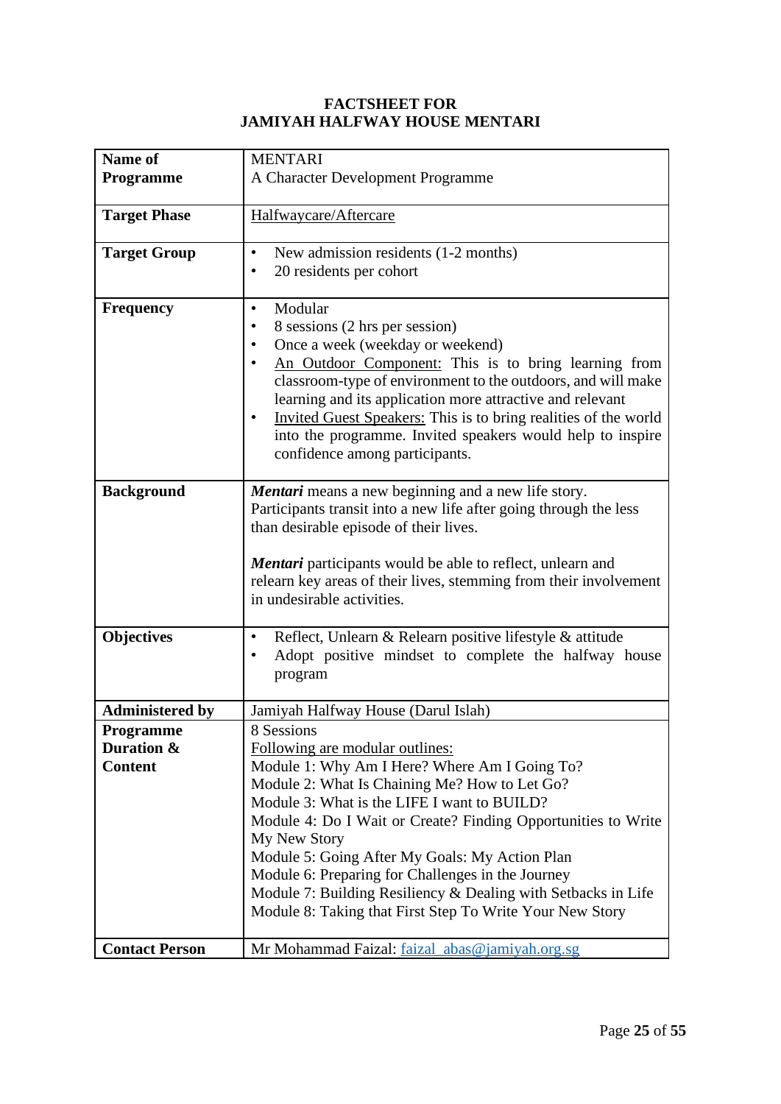#### **FACTSHEET FOR JAMIYAH HALFWAY HOUSE MENTARI**

| Name of                 | <b>MENTARI</b>                                                                                                                  |  |  |  |  |
|-------------------------|---------------------------------------------------------------------------------------------------------------------------------|--|--|--|--|
| <b>Programme</b>        | A Character Development Programme                                                                                               |  |  |  |  |
|                         |                                                                                                                                 |  |  |  |  |
| <b>Target Phase</b>     | Halfwaycare/Aftercare                                                                                                           |  |  |  |  |
| <b>Target Group</b>     | New admission residents (1-2 months)<br>$\bullet$                                                                               |  |  |  |  |
|                         | 20 residents per cohort<br>$\bullet$                                                                                            |  |  |  |  |
| <b>Frequency</b>        | Modular<br>٠                                                                                                                    |  |  |  |  |
|                         | 8 sessions (2 hrs per session)                                                                                                  |  |  |  |  |
|                         | Once a week (weekday or weekend)                                                                                                |  |  |  |  |
|                         | An Outdoor Component: This is to bring learning from                                                                            |  |  |  |  |
|                         | classroom-type of environment to the outdoors, and will make                                                                    |  |  |  |  |
|                         | learning and its application more attractive and relevant<br>Invited Guest Speakers: This is to bring realities of the world    |  |  |  |  |
|                         | into the programme. Invited speakers would help to inspire                                                                      |  |  |  |  |
|                         | confidence among participants.                                                                                                  |  |  |  |  |
|                         |                                                                                                                                 |  |  |  |  |
| <b>Background</b>       | Mentari means a new beginning and a new life story.                                                                             |  |  |  |  |
|                         | Participants transit into a new life after going through the less                                                               |  |  |  |  |
|                         | than desirable episode of their lives.                                                                                          |  |  |  |  |
|                         |                                                                                                                                 |  |  |  |  |
|                         | Mentari participants would be able to reflect, unlearn and<br>relearn key areas of their lives, stemming from their involvement |  |  |  |  |
|                         | in undesirable activities.                                                                                                      |  |  |  |  |
|                         |                                                                                                                                 |  |  |  |  |
| <b>Objectives</b>       | Reflect, Unlearn & Relearn positive lifestyle & attitude<br>٠                                                                   |  |  |  |  |
|                         | Adopt positive mindset to complete the halfway house                                                                            |  |  |  |  |
|                         | program                                                                                                                         |  |  |  |  |
|                         |                                                                                                                                 |  |  |  |  |
| <b>Administered by</b>  | Jamiyah Halfway House (Darul Islah)                                                                                             |  |  |  |  |
| Programme<br>Duration & | 8 Sessions<br>Following are modular outlines:                                                                                   |  |  |  |  |
| <b>Content</b>          | Module 1: Why Am I Here? Where Am I Going To?                                                                                   |  |  |  |  |
|                         | Module 2: What Is Chaining Me? How to Let Go?                                                                                   |  |  |  |  |
|                         | Module 3: What is the LIFE I want to BUILD?                                                                                     |  |  |  |  |
|                         | Module 4: Do I Wait or Create? Finding Opportunities to Write                                                                   |  |  |  |  |
|                         | My New Story                                                                                                                    |  |  |  |  |
|                         | Module 5: Going After My Goals: My Action Plan                                                                                  |  |  |  |  |
|                         | Module 6: Preparing for Challenges in the Journey                                                                               |  |  |  |  |
|                         | Module 7: Building Resiliency & Dealing with Setbacks in Life                                                                   |  |  |  |  |
|                         | Module 8: Taking that First Step To Write Your New Story                                                                        |  |  |  |  |
| <b>Contact Person</b>   | Mr Mohammad Faizal: faizal_abas@jamiyah.org.sg                                                                                  |  |  |  |  |
|                         |                                                                                                                                 |  |  |  |  |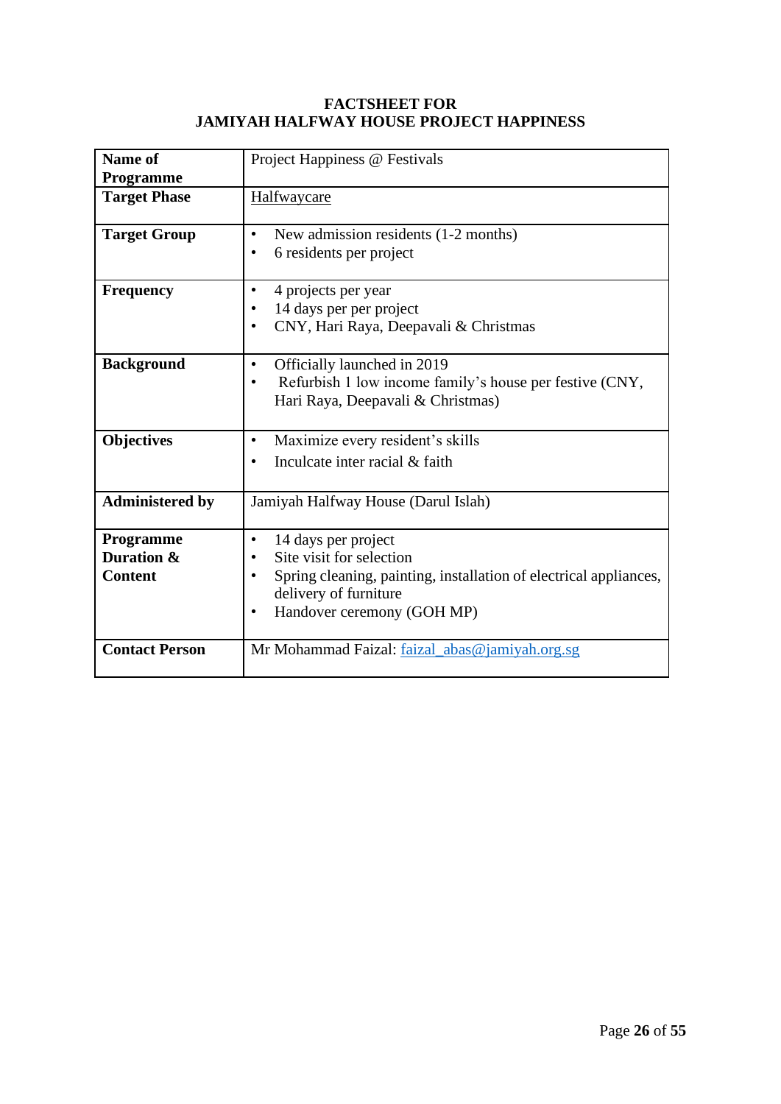#### **FACTSHEET FOR JAMIYAH HALFWAY HOUSE PROJECT HAPPINESS**

| Name of<br>Programme                      | Project Happiness @ Festivals                                                                                                                                                                                                   |  |  |  |
|-------------------------------------------|---------------------------------------------------------------------------------------------------------------------------------------------------------------------------------------------------------------------------------|--|--|--|
| <b>Target Phase</b>                       | Halfwaycare                                                                                                                                                                                                                     |  |  |  |
| <b>Target Group</b>                       | New admission residents (1-2 months)<br>$\bullet$<br>6 residents per project<br>٠                                                                                                                                               |  |  |  |
| <b>Frequency</b>                          | 4 projects per year<br>$\bullet$<br>14 days per per project<br>CNY, Hari Raya, Deepavali & Christmas                                                                                                                            |  |  |  |
| <b>Background</b>                         | Officially launched in 2019<br>$\bullet$<br>Refurbish 1 low income family's house per festive (CNY,<br>$\bullet$<br>Hari Raya, Deepavali & Christmas)                                                                           |  |  |  |
| <b>Objectives</b>                         | Maximize every resident's skills<br>$\bullet$<br>Inculcate inter racial & faith<br>$\bullet$                                                                                                                                    |  |  |  |
| <b>Administered by</b>                    | Jamiyah Halfway House (Darul Islah)                                                                                                                                                                                             |  |  |  |
| Programme<br>Duration &<br><b>Content</b> | 14 days per project<br>$\bullet$<br>Site visit for selection<br>$\bullet$<br>Spring cleaning, painting, installation of electrical appliances,<br>$\bullet$<br>delivery of furniture<br>Handover ceremony (GOH MP)<br>$\bullet$ |  |  |  |
| <b>Contact Person</b>                     | Mr Mohammad Faizal: faizal_abas@jamiyah.org.sg                                                                                                                                                                                  |  |  |  |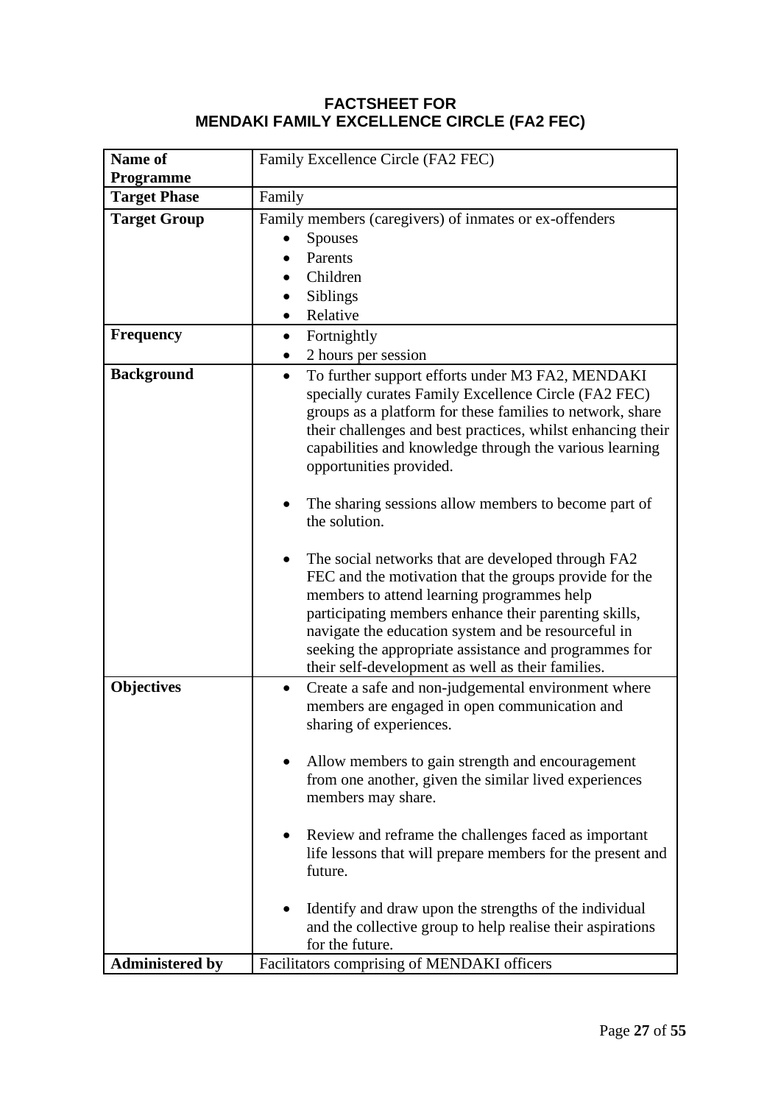## **FACTSHEET FOR MENDAKI FAMILY EXCELLENCE CIRCLE (FA2 FEC)**

| Name of                                 | Family Excellence Circle (FA2 FEC)                                                                                |  |  |  |  |
|-----------------------------------------|-------------------------------------------------------------------------------------------------------------------|--|--|--|--|
| <b>Programme</b><br><b>Target Phase</b> | Family                                                                                                            |  |  |  |  |
|                                         | Family members (caregivers) of inmates or ex-offenders                                                            |  |  |  |  |
| <b>Target Group</b>                     | <b>Spouses</b>                                                                                                    |  |  |  |  |
|                                         | Parents                                                                                                           |  |  |  |  |
|                                         | Children                                                                                                          |  |  |  |  |
|                                         | Siblings                                                                                                          |  |  |  |  |
|                                         | Relative<br>$\bullet$                                                                                             |  |  |  |  |
| <b>Frequency</b>                        |                                                                                                                   |  |  |  |  |
|                                         | Fortnightly<br>$\bullet$<br>2 hours per session<br>$\bullet$                                                      |  |  |  |  |
|                                         | To further support efforts under M3 FA2, MENDAKI<br>$\bullet$                                                     |  |  |  |  |
| <b>Background</b>                       |                                                                                                                   |  |  |  |  |
|                                         | specially curates Family Excellence Circle (FA2 FEC)<br>groups as a platform for these families to network, share |  |  |  |  |
|                                         | their challenges and best practices, whilst enhancing their                                                       |  |  |  |  |
|                                         | capabilities and knowledge through the various learning                                                           |  |  |  |  |
|                                         | opportunities provided.                                                                                           |  |  |  |  |
|                                         |                                                                                                                   |  |  |  |  |
|                                         | The sharing sessions allow members to become part of                                                              |  |  |  |  |
|                                         | the solution.                                                                                                     |  |  |  |  |
|                                         |                                                                                                                   |  |  |  |  |
|                                         | The social networks that are developed through FA2                                                                |  |  |  |  |
|                                         | FEC and the motivation that the groups provide for the                                                            |  |  |  |  |
|                                         | members to attend learning programmes help                                                                        |  |  |  |  |
|                                         | participating members enhance their parenting skills,                                                             |  |  |  |  |
|                                         | navigate the education system and be resourceful in                                                               |  |  |  |  |
|                                         | seeking the appropriate assistance and programmes for                                                             |  |  |  |  |
|                                         | their self-development as well as their families.                                                                 |  |  |  |  |
| <b>Objectives</b>                       | Create a safe and non-judgemental environment where<br>$\bullet$                                                  |  |  |  |  |
|                                         | members are engaged in open communication and                                                                     |  |  |  |  |
|                                         | sharing of experiences.                                                                                           |  |  |  |  |
|                                         |                                                                                                                   |  |  |  |  |
|                                         | Allow members to gain strength and encouragement<br>from one another, given the similar lived experiences         |  |  |  |  |
|                                         | members may share.                                                                                                |  |  |  |  |
|                                         |                                                                                                                   |  |  |  |  |
|                                         | Review and reframe the challenges faced as important                                                              |  |  |  |  |
|                                         | life lessons that will prepare members for the present and                                                        |  |  |  |  |
|                                         | future.                                                                                                           |  |  |  |  |
|                                         |                                                                                                                   |  |  |  |  |
|                                         | Identify and draw upon the strengths of the individual                                                            |  |  |  |  |
|                                         | and the collective group to help realise their aspirations                                                        |  |  |  |  |
|                                         | for the future.                                                                                                   |  |  |  |  |
| <b>Administered by</b>                  | Facilitators comprising of MENDAKI officers                                                                       |  |  |  |  |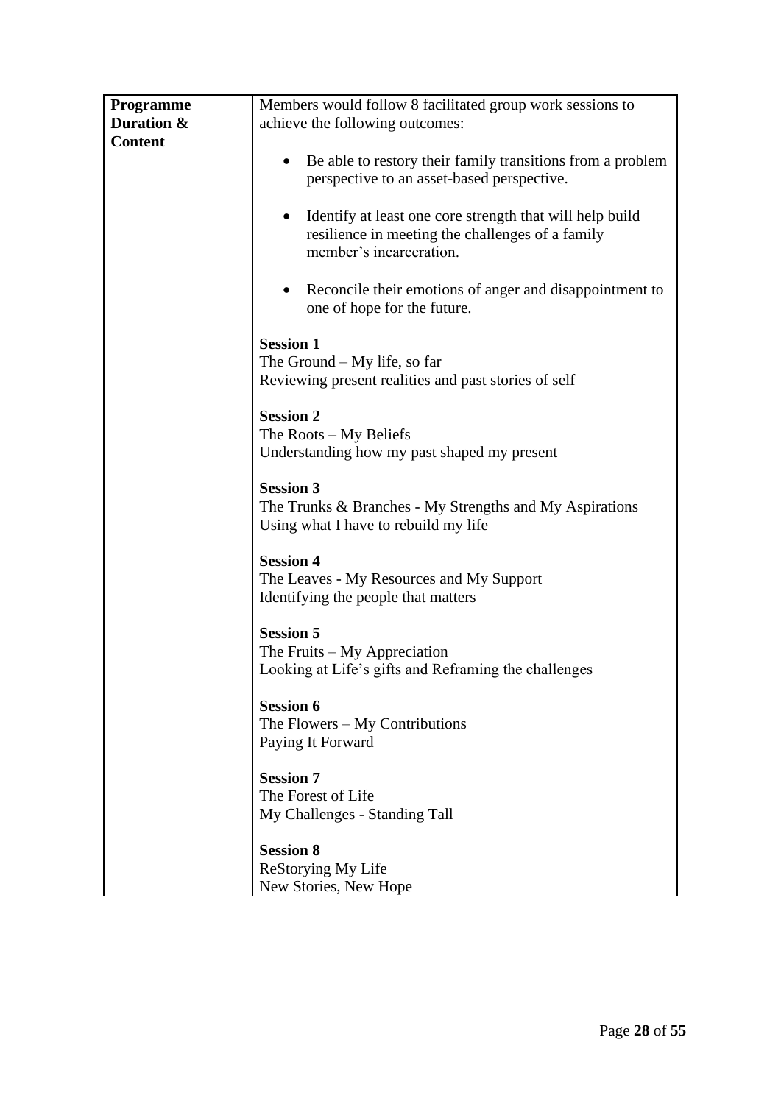| <b>Programme</b> | Members would follow 8 facilitated group work sessions to                                                                                                                                                                                                                                                                                                                                                                             |  |  |  |  |
|------------------|---------------------------------------------------------------------------------------------------------------------------------------------------------------------------------------------------------------------------------------------------------------------------------------------------------------------------------------------------------------------------------------------------------------------------------------|--|--|--|--|
| Duration &       | achieve the following outcomes:                                                                                                                                                                                                                                                                                                                                                                                                       |  |  |  |  |
| <b>Content</b>   |                                                                                                                                                                                                                                                                                                                                                                                                                                       |  |  |  |  |
|                  | Be able to restory their family transitions from a problem<br>٠<br>perspective to an asset-based perspective.                                                                                                                                                                                                                                                                                                                         |  |  |  |  |
|                  | Identify at least one core strength that will help build<br>$\bullet$<br>resilience in meeting the challenges of a family<br>member's incarceration.                                                                                                                                                                                                                                                                                  |  |  |  |  |
|                  | Reconcile their emotions of anger and disappointment to<br>one of hope for the future.                                                                                                                                                                                                                                                                                                                                                |  |  |  |  |
|                  | <b>Session 1</b><br>The Ground $-My$ life, so far<br>Reviewing present realities and past stories of self<br><b>Session 2</b><br>The Roots $-My$ Beliefs<br>Understanding how my past shaped my present<br><b>Session 3</b><br>The Trunks & Branches - My Strengths and My Aspirations<br>Using what I have to rebuild my life<br><b>Session 4</b><br>The Leaves - My Resources and My Support<br>Identifying the people that matters |  |  |  |  |
|                  |                                                                                                                                                                                                                                                                                                                                                                                                                                       |  |  |  |  |
|                  |                                                                                                                                                                                                                                                                                                                                                                                                                                       |  |  |  |  |
|                  |                                                                                                                                                                                                                                                                                                                                                                                                                                       |  |  |  |  |
|                  | <b>Session 5</b><br>The Fruits $-My$ Appreciation<br>Looking at Life's gifts and Reframing the challenges                                                                                                                                                                                                                                                                                                                             |  |  |  |  |
|                  | <b>Session 6</b><br>The Flowers $-$ My Contributions<br>Paying It Forward                                                                                                                                                                                                                                                                                                                                                             |  |  |  |  |
|                  | <b>Session 7</b><br>The Forest of Life<br>My Challenges - Standing Tall                                                                                                                                                                                                                                                                                                                                                               |  |  |  |  |
|                  | <b>Session 8</b><br>ReStorying My Life<br>New Stories, New Hope                                                                                                                                                                                                                                                                                                                                                                       |  |  |  |  |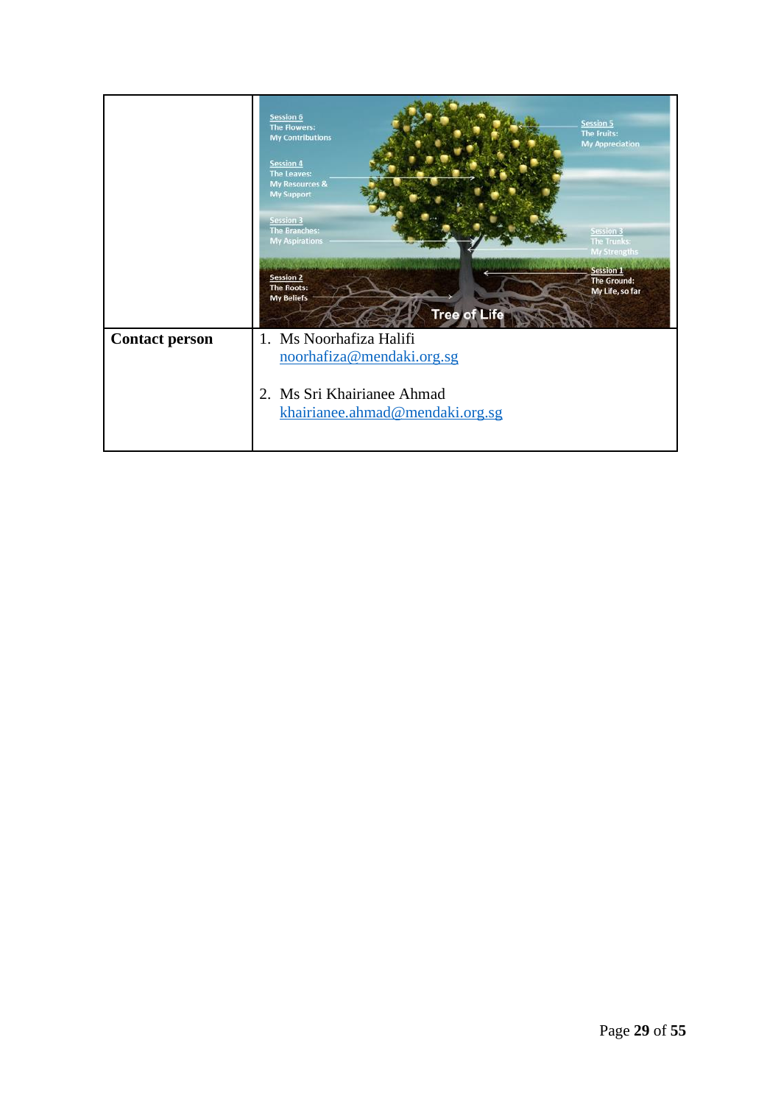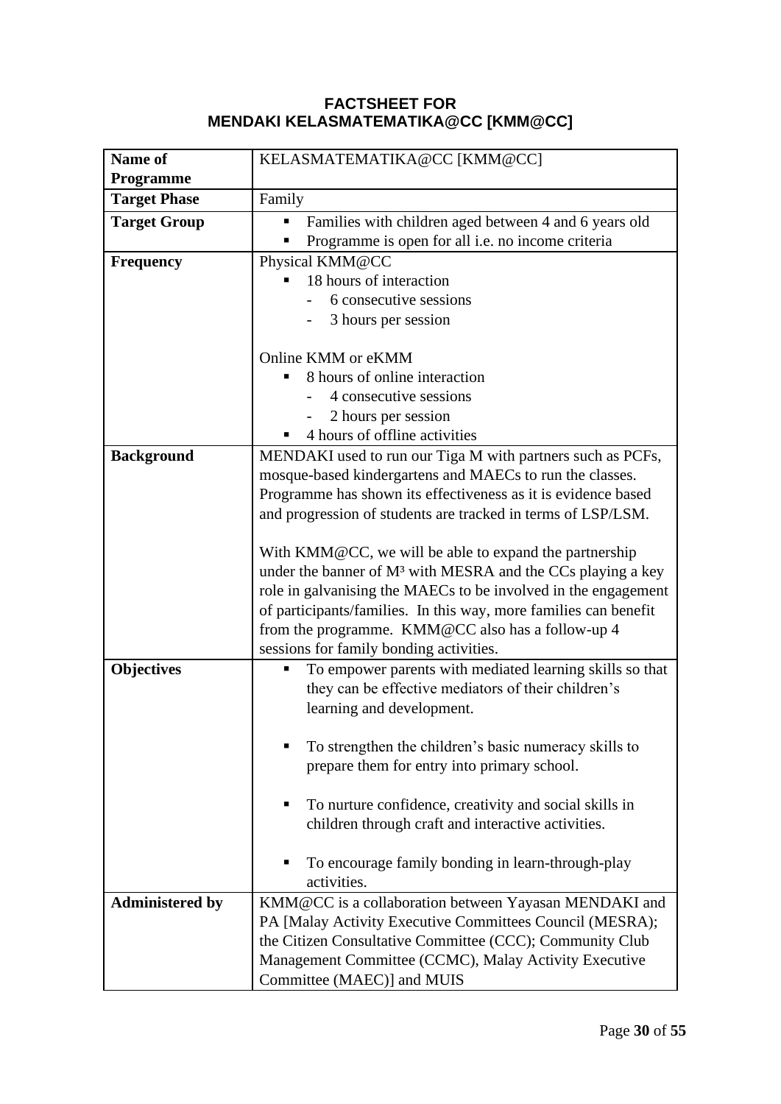## **FACTSHEET FOR MENDAKI KELASMATEMATIKA@CC [KMM@CC]**

| Name of                | KELASMATEMATIKA@CC [KMM@CC]                                                                                       |  |  |  |  |
|------------------------|-------------------------------------------------------------------------------------------------------------------|--|--|--|--|
| <b>Programme</b>       |                                                                                                                   |  |  |  |  |
| <b>Target Phase</b>    | Family                                                                                                            |  |  |  |  |
| <b>Target Group</b>    | Families with children aged between 4 and 6 years old<br>п                                                        |  |  |  |  |
|                        | Programme is open for all i.e. no income criteria                                                                 |  |  |  |  |
| <b>Frequency</b>       | Physical KMM@CC                                                                                                   |  |  |  |  |
|                        | 18 hours of interaction                                                                                           |  |  |  |  |
|                        | 6 consecutive sessions                                                                                            |  |  |  |  |
|                        | 3 hours per session                                                                                               |  |  |  |  |
|                        |                                                                                                                   |  |  |  |  |
|                        | Online KMM or eKMM                                                                                                |  |  |  |  |
|                        | 8 hours of online interaction                                                                                     |  |  |  |  |
|                        | 4 consecutive sessions                                                                                            |  |  |  |  |
|                        | 2 hours per session                                                                                               |  |  |  |  |
|                        | 4 hours of offline activities                                                                                     |  |  |  |  |
| <b>Background</b>      | MENDAKI used to run our Tiga M with partners such as PCFs,                                                        |  |  |  |  |
|                        | mosque-based kindergartens and MAECs to run the classes.                                                          |  |  |  |  |
|                        | Programme has shown its effectiveness as it is evidence based                                                     |  |  |  |  |
|                        | and progression of students are tracked in terms of LSP/LSM.                                                      |  |  |  |  |
|                        | With KMM@CC, we will be able to expand the partnership                                                            |  |  |  |  |
|                        | under the banner of M <sup>3</sup> with MESRA and the CCs playing a key                                           |  |  |  |  |
|                        | role in galvanising the MAECs to be involved in the engagement                                                    |  |  |  |  |
|                        | of participants/families. In this way, more families can benefit                                                  |  |  |  |  |
|                        | from the programme. KMM@CC also has a follow-up 4                                                                 |  |  |  |  |
|                        | sessions for family bonding activities.                                                                           |  |  |  |  |
| <b>Objectives</b>      | To empower parents with mediated learning skills so that<br>Ξ                                                     |  |  |  |  |
|                        | they can be effective mediators of their children's                                                               |  |  |  |  |
|                        | learning and development.                                                                                         |  |  |  |  |
|                        |                                                                                                                   |  |  |  |  |
|                        | To strengthen the children's basic numeracy skills to                                                             |  |  |  |  |
|                        | prepare them for entry into primary school.                                                                       |  |  |  |  |
|                        |                                                                                                                   |  |  |  |  |
|                        | To nurture confidence, creativity and social skills in<br>п                                                       |  |  |  |  |
|                        | children through craft and interactive activities.                                                                |  |  |  |  |
|                        |                                                                                                                   |  |  |  |  |
|                        | To encourage family bonding in learn-through-play<br>activities.                                                  |  |  |  |  |
| <b>Administered by</b> | KMM@CC is a collaboration between Yayasan MENDAKI and                                                             |  |  |  |  |
|                        | PA [Malay Activity Executive Committees Council (MESRA);                                                          |  |  |  |  |
|                        |                                                                                                                   |  |  |  |  |
|                        | the Citizen Consultative Committee (CCC); Community Club<br>Management Committee (CCMC), Malay Activity Executive |  |  |  |  |
|                        | Committee (MAEC)] and MUIS                                                                                        |  |  |  |  |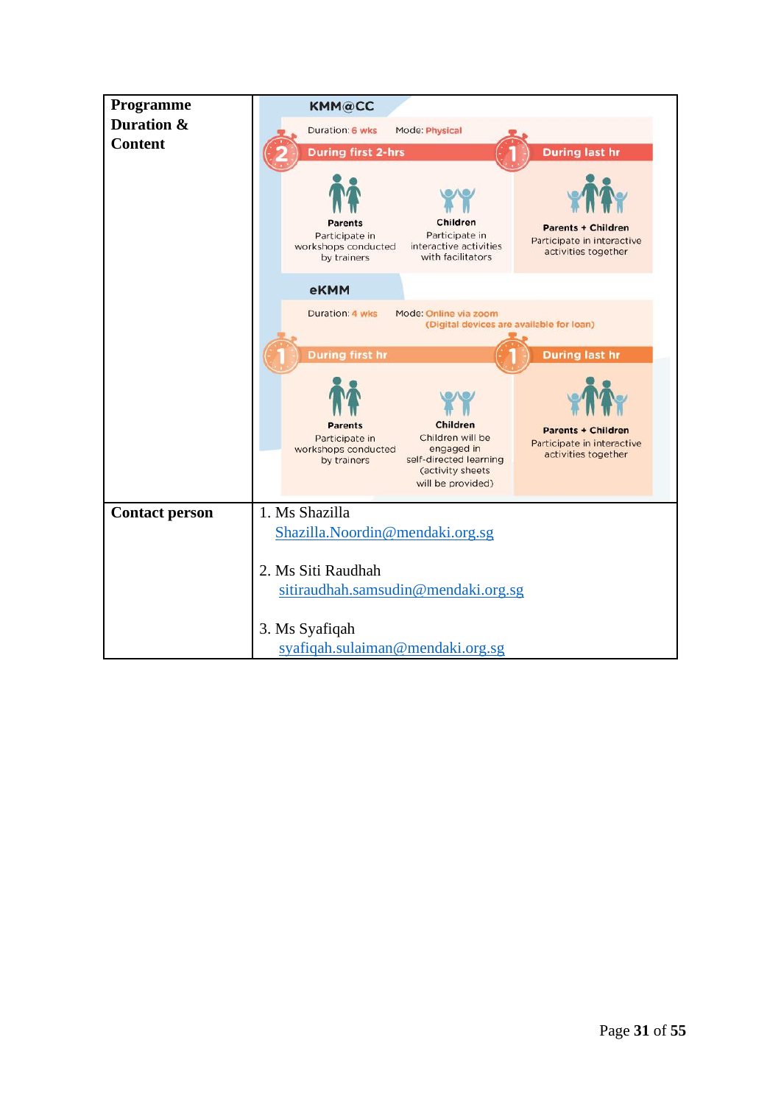| Programme<br>Duration & | <b>KMM@CC</b>                                                                                                                                                                                                                                                             |  |  |  |
|-------------------------|---------------------------------------------------------------------------------------------------------------------------------------------------------------------------------------------------------------------------------------------------------------------------|--|--|--|
|                         | Duration: 6 wks<br>Mode: Physical                                                                                                                                                                                                                                         |  |  |  |
| <b>Content</b>          | <b>During last hr</b><br><b>During first 2-hrs</b>                                                                                                                                                                                                                        |  |  |  |
|                         | Children<br>Parents<br><b>Parents + Children</b><br>Participate in<br>Participate in<br>Participate in interactive<br>interactive activities<br>workshops conducted<br>activities together<br>with facilitators<br>by trainers                                            |  |  |  |
|                         | eKMM                                                                                                                                                                                                                                                                      |  |  |  |
|                         | Duration: 4 wks<br>Mode: Online via zoom<br>(Digital devices are available for loan)                                                                                                                                                                                      |  |  |  |
|                         | <b>During first hr</b><br><b>During last hr</b>                                                                                                                                                                                                                           |  |  |  |
|                         |                                                                                                                                                                                                                                                                           |  |  |  |
|                         | Children<br><b>Parents</b><br><b>Parents + Children</b><br>Children will be<br>Participate in<br>Participate in interactive<br>engaged in<br>workshops conducted<br>activities together<br>self-directed learning<br>by trainers<br>(activity sheets<br>will be provided) |  |  |  |
| <b>Contact person</b>   | 1. Ms Shazilla                                                                                                                                                                                                                                                            |  |  |  |
|                         | Shazilla.Noordin@mendaki.org.sg                                                                                                                                                                                                                                           |  |  |  |
|                         | 2. Ms Siti Raudhah<br>sitiraudhah.samsudin@mendaki.org.sg<br>3. Ms Syafiqah<br>syafiqah.sulaiman@mendaki.org.sg                                                                                                                                                           |  |  |  |
|                         |                                                                                                                                                                                                                                                                           |  |  |  |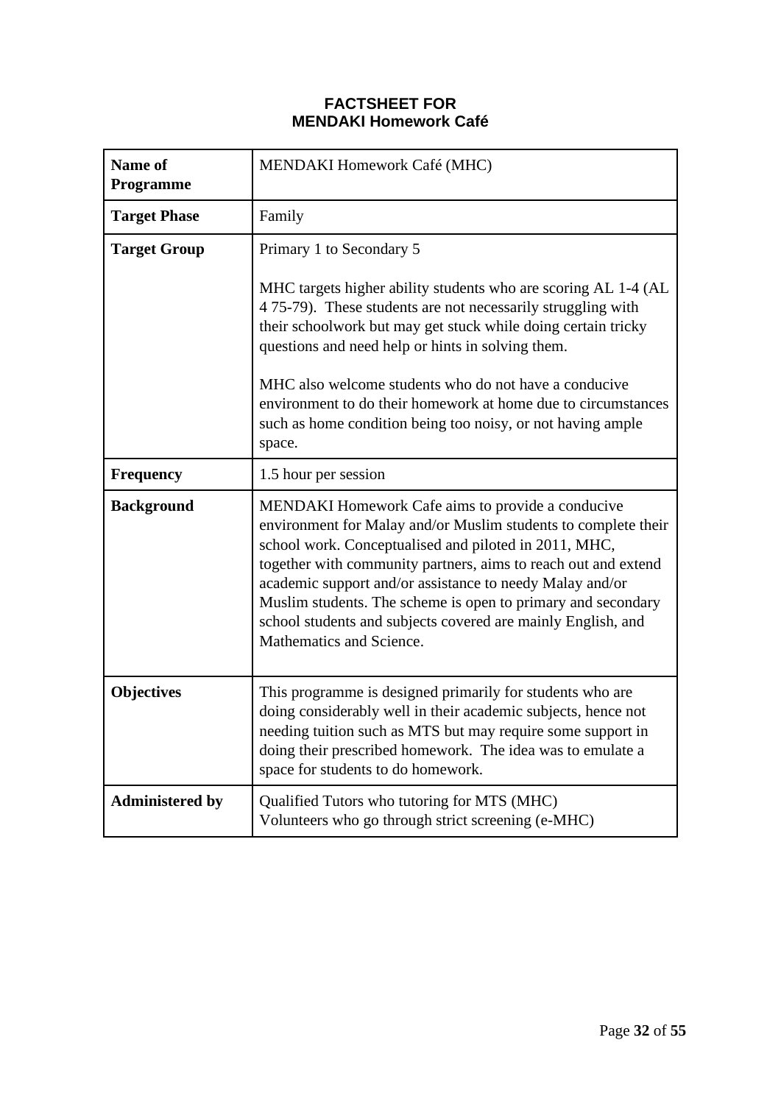### **FACTSHEET FOR MENDAKI Homework Café**

| Name of<br><b>Programme</b> | MENDAKI Homework Café (MHC)                                                                                                                                                                                                                                                                                                                                                                                                                                                   |  |  |  |
|-----------------------------|-------------------------------------------------------------------------------------------------------------------------------------------------------------------------------------------------------------------------------------------------------------------------------------------------------------------------------------------------------------------------------------------------------------------------------------------------------------------------------|--|--|--|
| <b>Target Phase</b>         | Family                                                                                                                                                                                                                                                                                                                                                                                                                                                                        |  |  |  |
| <b>Target Group</b>         | Primary 1 to Secondary 5<br>MHC targets higher ability students who are scoring AL 1-4 (AL                                                                                                                                                                                                                                                                                                                                                                                    |  |  |  |
|                             | 4 75-79). These students are not necessarily struggling with<br>their schoolwork but may get stuck while doing certain tricky<br>questions and need help or hints in solving them.                                                                                                                                                                                                                                                                                            |  |  |  |
|                             | MHC also welcome students who do not have a conducive<br>environment to do their homework at home due to circumstances<br>such as home condition being too noisy, or not having ample<br>space.                                                                                                                                                                                                                                                                               |  |  |  |
| <b>Frequency</b>            | 1.5 hour per session                                                                                                                                                                                                                                                                                                                                                                                                                                                          |  |  |  |
| <b>Background</b>           | <b>MENDAKI Homework Cafe aims to provide a conducive</b><br>environment for Malay and/or Muslim students to complete their<br>school work. Conceptualised and piloted in 2011, MHC,<br>together with community partners, aims to reach out and extend<br>academic support and/or assistance to needy Malay and/or<br>Muslim students. The scheme is open to primary and secondary<br>school students and subjects covered are mainly English, and<br>Mathematics and Science. |  |  |  |
| <b>Objectives</b>           | This programme is designed primarily for students who are<br>doing considerably well in their academic subjects, hence not<br>needing tuition such as MTS but may require some support in<br>doing their prescribed homework. The idea was to emulate a<br>space for students to do homework.                                                                                                                                                                                 |  |  |  |
| <b>Administered by</b>      | Qualified Tutors who tutoring for MTS (MHC)<br>Volunteers who go through strict screening (e-MHC)                                                                                                                                                                                                                                                                                                                                                                             |  |  |  |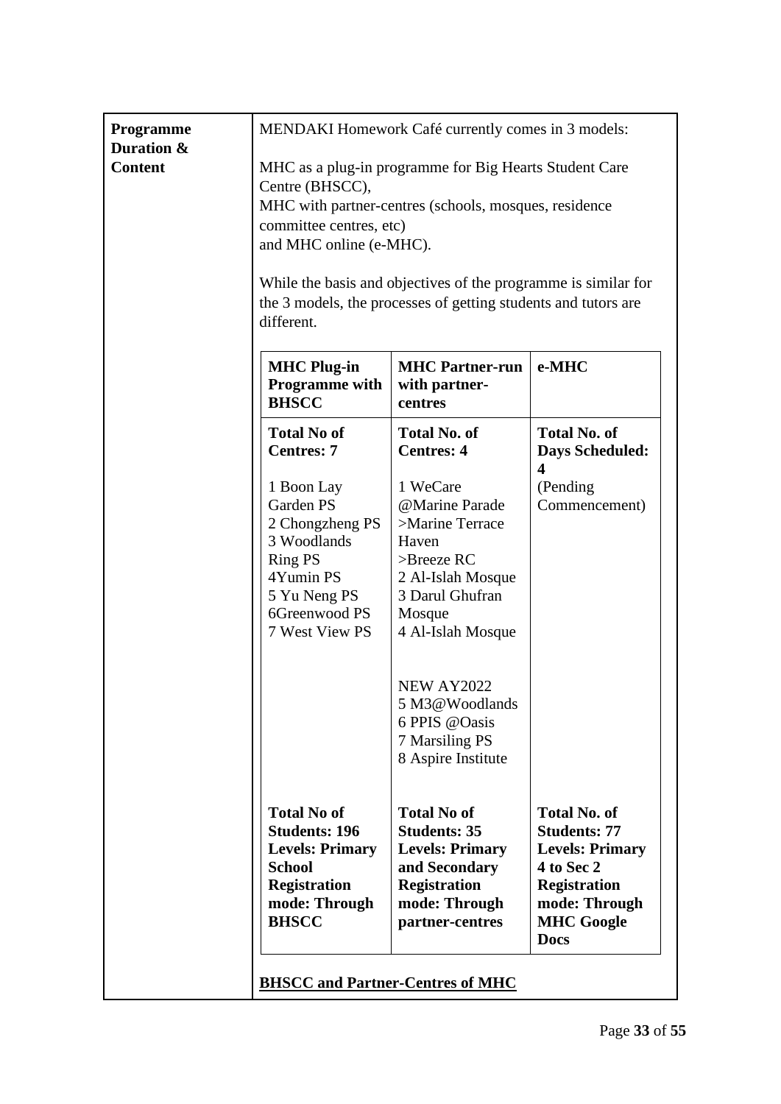| Programme<br>Duration & |                                                                                                                                                                                                                                                                                                                                            | MENDAKI Homework Café currently comes in 3 models:                                                                                              |                                                                                                                                                                |
|-------------------------|--------------------------------------------------------------------------------------------------------------------------------------------------------------------------------------------------------------------------------------------------------------------------------------------------------------------------------------------|-------------------------------------------------------------------------------------------------------------------------------------------------|----------------------------------------------------------------------------------------------------------------------------------------------------------------|
| <b>Content</b>          | MHC as a plug-in programme for Big Hearts Student Care<br>Centre (BHSCC),<br>MHC with partner-centres (schools, mosques, residence<br>committee centres, etc)<br>and MHC online (e-MHC).<br>While the basis and objectives of the programme is similar for<br>the 3 models, the processes of getting students and tutors are<br>different. |                                                                                                                                                 |                                                                                                                                                                |
|                         | <b>MHC Plug-in</b><br><b>Programme</b> with<br><b>BHSCC</b>                                                                                                                                                                                                                                                                                | <b>MHC Partner-run</b><br>with partner-<br>centres                                                                                              | e-MHC                                                                                                                                                          |
|                         | <b>Total No of</b><br><b>Centres: 7</b>                                                                                                                                                                                                                                                                                                    | <b>Total No. of</b><br><b>Centres: 4</b>                                                                                                        | <b>Total No. of</b><br><b>Days Scheduled:</b><br>4                                                                                                             |
|                         | 1 Boon Lay<br>Garden PS<br>2 Chongzheng PS<br>3 Woodlands<br><b>Ring PS</b><br>4Yumin PS<br>5 Yu Neng PS<br>6Greenwood PS<br>7 West View PS                                                                                                                                                                                                | 1 WeCare<br>@Marine Parade<br>>Marine Terrace<br>Haven<br>$>$ Breeze RC<br>2 Al-Islah Mosque<br>3 Darul Ghufran<br>Mosque<br>4 Al-Islah Mosque  | (Pending<br>Commencement)                                                                                                                                      |
|                         |                                                                                                                                                                                                                                                                                                                                            | <b>NEW AY2022</b><br>5 M3@Woodlands<br>6 PPIS @Oasis<br>7 Marsiling PS<br>8 Aspire Institute                                                    |                                                                                                                                                                |
|                         | <b>Total No of</b><br><b>Students: 196</b><br><b>Levels: Primary</b><br><b>School</b><br><b>Registration</b><br>mode: Through<br><b>BHSCC</b>                                                                                                                                                                                              | <b>Total No of</b><br><b>Students: 35</b><br><b>Levels: Primary</b><br>and Secondary<br><b>Registration</b><br>mode: Through<br>partner-centres | <b>Total No. of</b><br><b>Students: 77</b><br><b>Levels: Primary</b><br>4 to Sec 2<br><b>Registration</b><br>mode: Through<br><b>MHC Google</b><br><b>Docs</b> |
|                         | <b>BHSCC and Partner-Centres of MHC</b>                                                                                                                                                                                                                                                                                                    |                                                                                                                                                 |                                                                                                                                                                |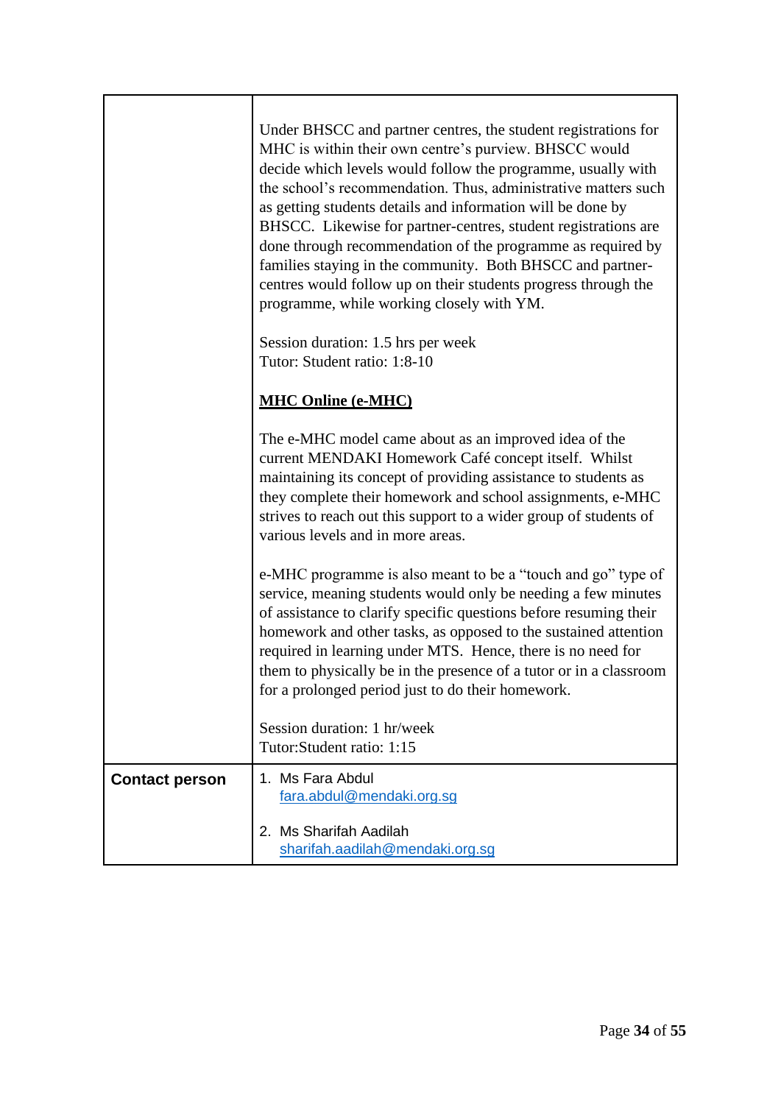|                       | Under BHSCC and partner centres, the student registrations for<br>MHC is within their own centre's purview. BHSCC would<br>decide which levels would follow the programme, usually with<br>the school's recommendation. Thus, administrative matters such<br>as getting students details and information will be done by<br>BHSCC. Likewise for partner-centres, student registrations are<br>done through recommendation of the programme as required by<br>families staying in the community. Both BHSCC and partner-<br>centres would follow up on their students progress through the<br>programme, while working closely with YM. |
|-----------------------|----------------------------------------------------------------------------------------------------------------------------------------------------------------------------------------------------------------------------------------------------------------------------------------------------------------------------------------------------------------------------------------------------------------------------------------------------------------------------------------------------------------------------------------------------------------------------------------------------------------------------------------|
|                       | Session duration: 1.5 hrs per week<br>Tutor: Student ratio: 1:8-10                                                                                                                                                                                                                                                                                                                                                                                                                                                                                                                                                                     |
|                       | <b>MHC Online (e-MHC)</b>                                                                                                                                                                                                                                                                                                                                                                                                                                                                                                                                                                                                              |
|                       | The e-MHC model came about as an improved idea of the<br>current MENDAKI Homework Café concept itself. Whilst<br>maintaining its concept of providing assistance to students as<br>they complete their homework and school assignments, e-MHC<br>strives to reach out this support to a wider group of students of<br>various levels and in more areas.                                                                                                                                                                                                                                                                                |
|                       | e-MHC programme is also meant to be a "touch and go" type of<br>service, meaning students would only be needing a few minutes<br>of assistance to clarify specific questions before resuming their<br>homework and other tasks, as opposed to the sustained attention<br>required in learning under MTS. Hence, there is no need for<br>them to physically be in the presence of a tutor or in a classroom<br>for a prolonged period just to do their homework.                                                                                                                                                                        |
|                       | Session duration: 1 hr/week<br>Tutor: Student ratio: 1:15                                                                                                                                                                                                                                                                                                                                                                                                                                                                                                                                                                              |
| <b>Contact person</b> | 1. Ms Fara Abdul<br>fara.abdul@mendaki.org.sg                                                                                                                                                                                                                                                                                                                                                                                                                                                                                                                                                                                          |
|                       | 2. Ms Sharifah Aadilah<br>sharifah.aadilah@mendaki.org.sg                                                                                                                                                                                                                                                                                                                                                                                                                                                                                                                                                                              |

7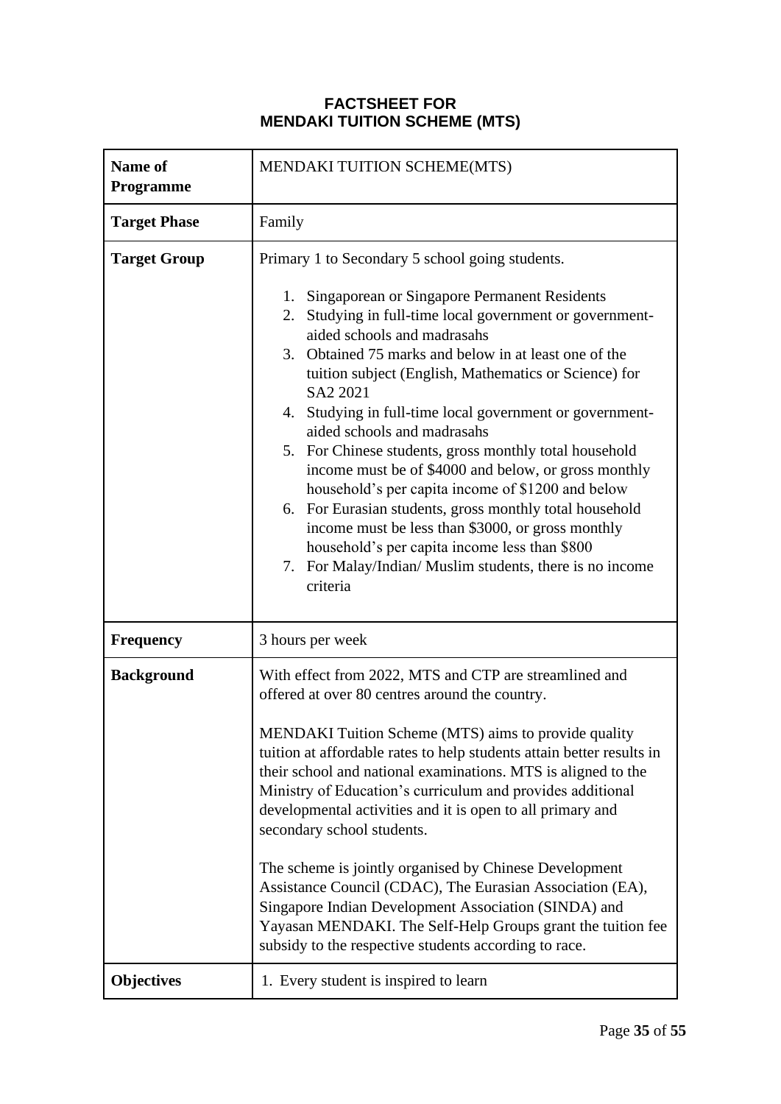## **FACTSHEET FOR MENDAKI TUITION SCHEME (MTS)**

| Name of<br><b>Programme</b> | MENDAKI TUITION SCHEME(MTS)                                                                                                                                                                                                                                                                                                                                                                                                                                                                                                                                                                                                                                                                                                                                                                                                                  |  |
|-----------------------------|----------------------------------------------------------------------------------------------------------------------------------------------------------------------------------------------------------------------------------------------------------------------------------------------------------------------------------------------------------------------------------------------------------------------------------------------------------------------------------------------------------------------------------------------------------------------------------------------------------------------------------------------------------------------------------------------------------------------------------------------------------------------------------------------------------------------------------------------|--|
| <b>Target Phase</b>         | Family                                                                                                                                                                                                                                                                                                                                                                                                                                                                                                                                                                                                                                                                                                                                                                                                                                       |  |
| <b>Target Group</b>         | Primary 1 to Secondary 5 school going students.<br>Singaporean or Singapore Permanent Residents<br>1.<br>Studying in full-time local government or government-<br>2.<br>aided schools and madrasahs<br>3. Obtained 75 marks and below in at least one of the<br>tuition subject (English, Mathematics or Science) for<br>SA2 2021<br>4. Studying in full-time local government or government-<br>aided schools and madrasahs<br>5. For Chinese students, gross monthly total household<br>income must be of \$4000 and below, or gross monthly<br>household's per capita income of \$1200 and below<br>6. For Eurasian students, gross monthly total household<br>income must be less than \$3000, or gross monthly<br>household's per capita income less than \$800<br>7. For Malay/Indian/ Muslim students, there is no income<br>criteria |  |
| <b>Frequency</b>            | 3 hours per week                                                                                                                                                                                                                                                                                                                                                                                                                                                                                                                                                                                                                                                                                                                                                                                                                             |  |
| <b>Background</b>           | With effect from 2022, MTS and CTP are streamlined and<br>offered at over 80 centres around the country.<br>MENDAKI Tuition Scheme (MTS) aims to provide quality<br>tuition at affordable rates to help students attain better results in<br>their school and national examinations. MTS is aligned to the<br>Ministry of Education's curriculum and provides additional<br>developmental activities and it is open to all primary and<br>secondary school students.<br>The scheme is jointly organised by Chinese Development<br>Assistance Council (CDAC), The Eurasian Association (EA),<br>Singapore Indian Development Association (SINDA) and<br>Yayasan MENDAKI. The Self-Help Groups grant the tuition fee<br>subsidy to the respective students according to race.                                                                  |  |
| <b>Objectives</b>           | 1. Every student is inspired to learn                                                                                                                                                                                                                                                                                                                                                                                                                                                                                                                                                                                                                                                                                                                                                                                                        |  |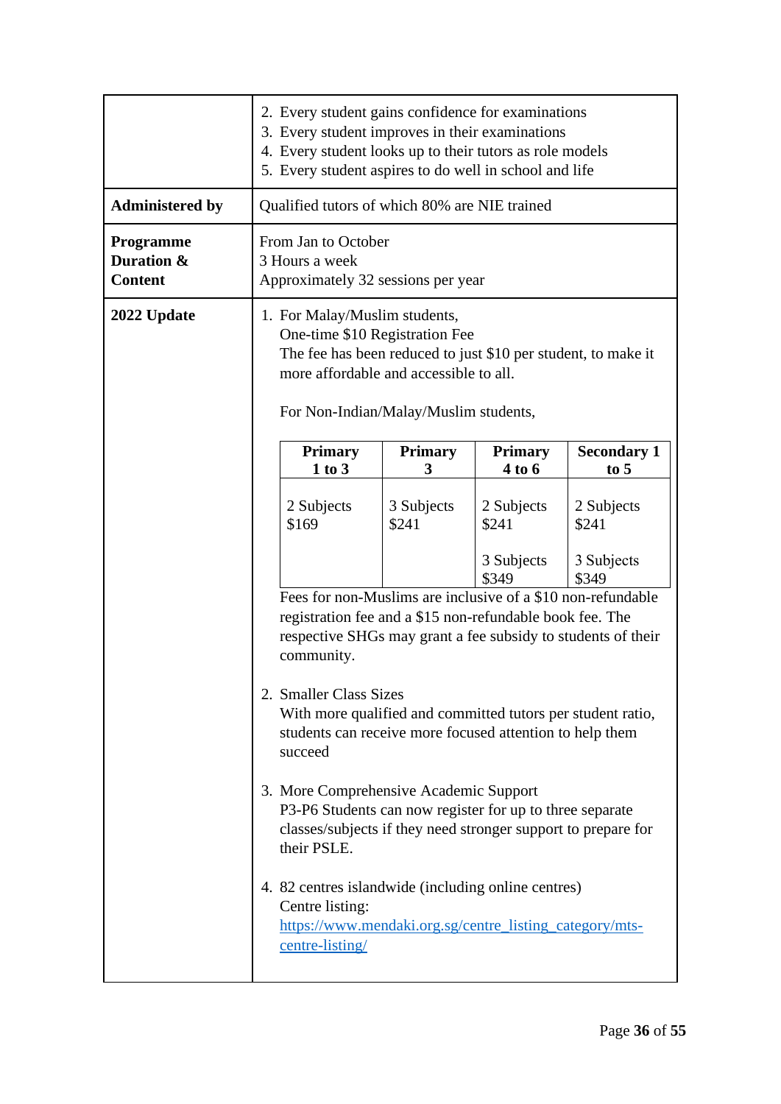|                                                  | 2. Every student gains confidence for examinations<br>3. Every student improves in their examinations<br>4. Every student looks up to their tutors as role models<br>5. Every student aspires to do well in school and life |                     |                          |                              |
|--------------------------------------------------|-----------------------------------------------------------------------------------------------------------------------------------------------------------------------------------------------------------------------------|---------------------|--------------------------|------------------------------|
| <b>Administered by</b>                           | Qualified tutors of which 80% are NIE trained                                                                                                                                                                               |                     |                          |                              |
| <b>Programme</b><br>Duration &<br><b>Content</b> | From Jan to October<br>3 Hours a week<br>Approximately 32 sessions per year                                                                                                                                                 |                     |                          |                              |
| 2022 Update                                      | 1. For Malay/Muslim students,<br>One-time \$10 Registration Fee<br>The fee has been reduced to just \$10 per student, to make it<br>more affordable and accessible to all.<br>For Non-Indian/Malay/Muslim students,         |                     |                          |                              |
|                                                  | <b>Primary</b><br>1 to 3                                                                                                                                                                                                    | <b>Primary</b><br>3 | <b>Primary</b><br>4 to 6 | <b>Secondary 1</b><br>to $5$ |
|                                                  | 2 Subjects<br>\$169                                                                                                                                                                                                         | 3 Subjects<br>\$241 | 2 Subjects<br>\$241      | 2 Subjects<br>\$241          |
|                                                  |                                                                                                                                                                                                                             |                     | 3 Subjects<br>\$349      | 3 Subjects<br>\$349          |
|                                                  | Fees for non-Muslims are inclusive of a \$10 non-refundable<br>registration fee and a \$15 non-refundable book fee. The<br>respective SHGs may grant a fee subsidy to students of their<br>community.                       |                     |                          |                              |
|                                                  | 2. Smaller Class Sizes<br>With more qualified and committed tutors per student ratio,<br>students can receive more focused attention to help them<br>succeed                                                                |                     |                          |                              |
|                                                  | 3. More Comprehensive Academic Support<br>P3-P6 Students can now register for up to three separate<br>classes/subjects if they need stronger support to prepare for<br>their PSLE.                                          |                     |                          |                              |
|                                                  | 4. 82 centres islandwide (including online centres)<br>Centre listing:<br>https://www.mendaki.org.sg/centre_listing_category/mts-<br>centre-listing/                                                                        |                     |                          |                              |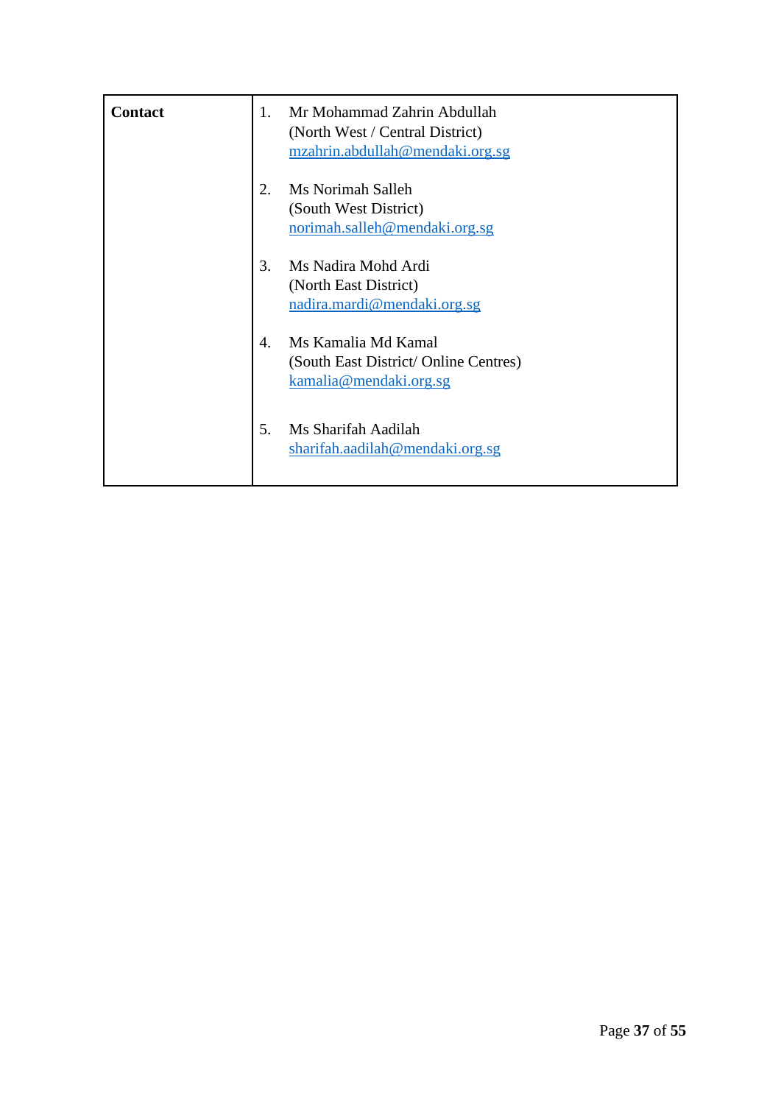| <b>Contact</b> | 1.               | Mr Mohammad Zahrin Abdullah<br>(North West / Central District)<br>mzahrin.abdullah@mendaki.org.sg |
|----------------|------------------|---------------------------------------------------------------------------------------------------|
|                | 2.               | Ms Norimah Salleh<br>(South West District)<br>norimah.salleh@mendaki.org.sg                       |
|                | 3.               | Ms Nadira Mohd Ardi<br>(North East District)<br>nadira.mardi@mendaki.org.sg                       |
|                | $\overline{4}$ . | Ms Kamalia Md Kamal<br>(South East District/ Online Centres)<br>kamalia@mendaki.orgsg             |
|                | 5.               | Ms Sharifah Aadilah<br>sharifah.aadilah@mendaki.org.sg                                            |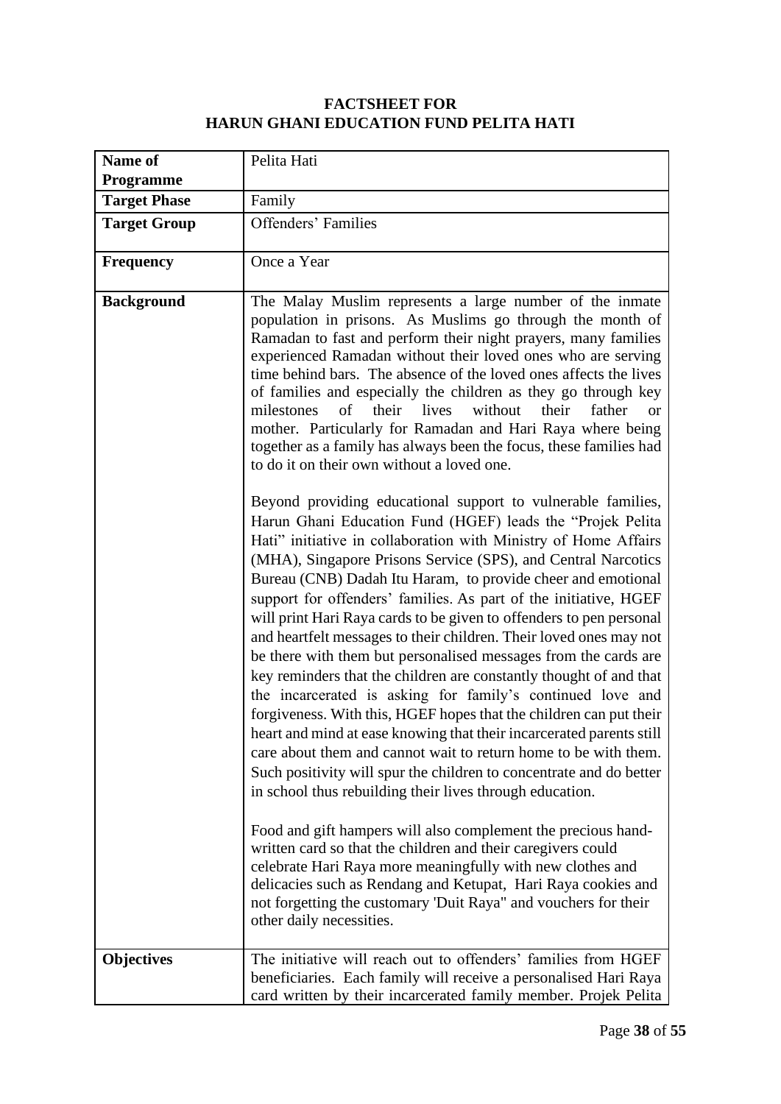## **FACTSHEET FOR HARUN GHANI EDUCATION FUND PELITA HATI**

| Name of             | Pelita Hati                                                                                                                                                                                                                                                                                                                                                                                                                                                                                                                                                                                                                                                                                                                                                                                                                                                                                                                                                                                                                                                                                                                                                                                                                                                                                                                                                                                                                                                                                                                                                                                                                                                                                                                                                                                                                                                                                                                                                                                                                                                                                                                                                |
|---------------------|------------------------------------------------------------------------------------------------------------------------------------------------------------------------------------------------------------------------------------------------------------------------------------------------------------------------------------------------------------------------------------------------------------------------------------------------------------------------------------------------------------------------------------------------------------------------------------------------------------------------------------------------------------------------------------------------------------------------------------------------------------------------------------------------------------------------------------------------------------------------------------------------------------------------------------------------------------------------------------------------------------------------------------------------------------------------------------------------------------------------------------------------------------------------------------------------------------------------------------------------------------------------------------------------------------------------------------------------------------------------------------------------------------------------------------------------------------------------------------------------------------------------------------------------------------------------------------------------------------------------------------------------------------------------------------------------------------------------------------------------------------------------------------------------------------------------------------------------------------------------------------------------------------------------------------------------------------------------------------------------------------------------------------------------------------------------------------------------------------------------------------------------------------|
| <b>Programme</b>    |                                                                                                                                                                                                                                                                                                                                                                                                                                                                                                                                                                                                                                                                                                                                                                                                                                                                                                                                                                                                                                                                                                                                                                                                                                                                                                                                                                                                                                                                                                                                                                                                                                                                                                                                                                                                                                                                                                                                                                                                                                                                                                                                                            |
| <b>Target Phase</b> | Family                                                                                                                                                                                                                                                                                                                                                                                                                                                                                                                                                                                                                                                                                                                                                                                                                                                                                                                                                                                                                                                                                                                                                                                                                                                                                                                                                                                                                                                                                                                                                                                                                                                                                                                                                                                                                                                                                                                                                                                                                                                                                                                                                     |
| <b>Target Group</b> | <b>Offenders' Families</b>                                                                                                                                                                                                                                                                                                                                                                                                                                                                                                                                                                                                                                                                                                                                                                                                                                                                                                                                                                                                                                                                                                                                                                                                                                                                                                                                                                                                                                                                                                                                                                                                                                                                                                                                                                                                                                                                                                                                                                                                                                                                                                                                 |
| <b>Frequency</b>    | Once a Year                                                                                                                                                                                                                                                                                                                                                                                                                                                                                                                                                                                                                                                                                                                                                                                                                                                                                                                                                                                                                                                                                                                                                                                                                                                                                                                                                                                                                                                                                                                                                                                                                                                                                                                                                                                                                                                                                                                                                                                                                                                                                                                                                |
| <b>Background</b>   | The Malay Muslim represents a large number of the inmate<br>population in prisons. As Muslims go through the month of<br>Ramadan to fast and perform their night prayers, many families<br>experienced Ramadan without their loved ones who are serving<br>time behind bars. The absence of the loved ones affects the lives<br>of families and especially the children as they go through key<br>their<br>lives<br>without<br>their<br>father<br>milestones<br>$\sigma f$<br><sub>or</sub><br>mother. Particularly for Ramadan and Hari Raya where being<br>together as a family has always been the focus, these families had<br>to do it on their own without a loved one.<br>Beyond providing educational support to vulnerable families,<br>Harun Ghani Education Fund (HGEF) leads the "Projek Pelita<br>Hati" initiative in collaboration with Ministry of Home Affairs<br>(MHA), Singapore Prisons Service (SPS), and Central Narcotics<br>Bureau (CNB) Dadah Itu Haram, to provide cheer and emotional<br>support for offenders' families. As part of the initiative, HGEF<br>will print Hari Raya cards to be given to offenders to pen personal<br>and heartfelt messages to their children. Their loved ones may not<br>be there with them but personalised messages from the cards are<br>key reminders that the children are constantly thought of and that<br>the incarcerated is asking for family's continued love and<br>forgiveness. With this, HGEF hopes that the children can put their<br>heart and mind at ease knowing that their incarcerated parents still<br>care about them and cannot wait to return home to be with them.<br>Such positivity will spur the children to concentrate and do better<br>in school thus rebuilding their lives through education.<br>Food and gift hampers will also complement the precious hand-<br>written card so that the children and their caregivers could<br>celebrate Hari Raya more meaningfully with new clothes and<br>delicacies such as Rendang and Ketupat, Hari Raya cookies and<br>not forgetting the customary 'Duit Raya" and vouchers for their<br>other daily necessities. |
| <b>Objectives</b>   | The initiative will reach out to offenders' families from HGEF<br>beneficiaries. Each family will receive a personalised Hari Raya<br>card written by their incarcerated family member. Projek Pelita                                                                                                                                                                                                                                                                                                                                                                                                                                                                                                                                                                                                                                                                                                                                                                                                                                                                                                                                                                                                                                                                                                                                                                                                                                                                                                                                                                                                                                                                                                                                                                                                                                                                                                                                                                                                                                                                                                                                                      |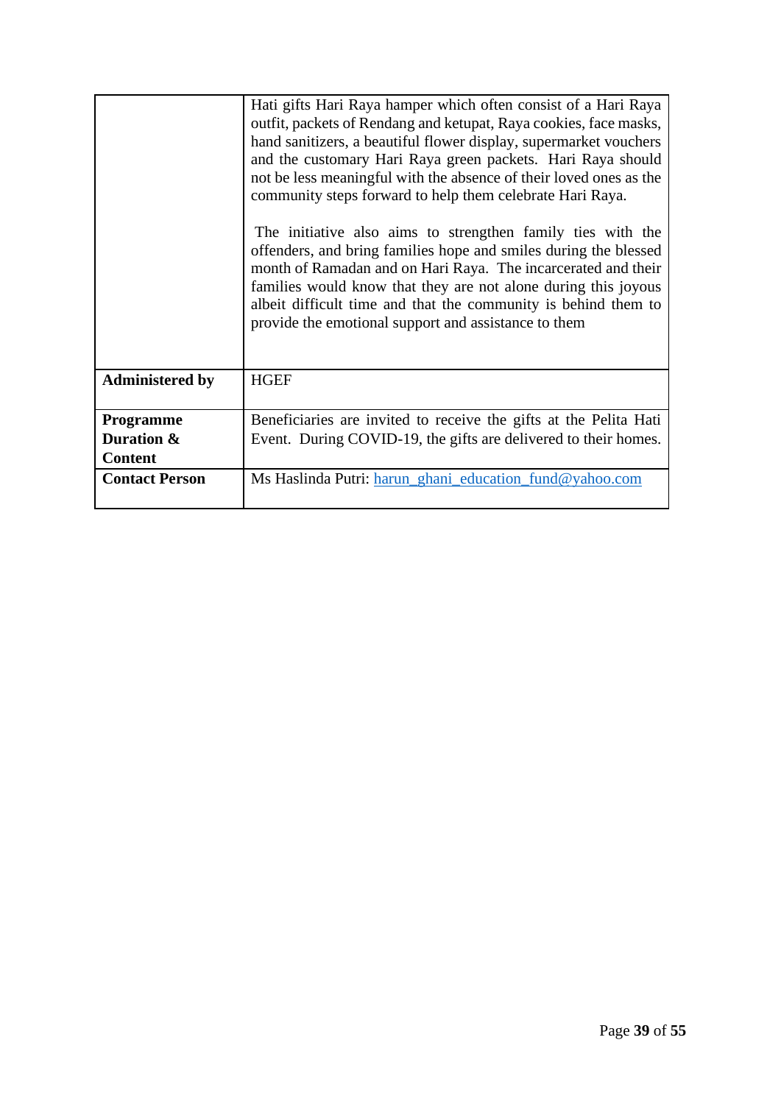|                        | Hati gifts Hari Raya hamper which often consist of a Hari Raya     |
|------------------------|--------------------------------------------------------------------|
|                        | outfit, packets of Rendang and ketupat, Raya cookies, face masks,  |
|                        | hand sanitizers, a beautiful flower display, supermarket vouchers  |
|                        | and the customary Hari Raya green packets. Hari Raya should        |
|                        | not be less meaningful with the absence of their loved ones as the |
|                        | community steps forward to help them celebrate Hari Raya.          |
|                        |                                                                    |
|                        | The initiative also aims to strengthen family ties with the        |
|                        | offenders, and bring families hope and smiles during the blessed   |
|                        | month of Ramadan and on Hari Raya. The incarcerated and their      |
|                        | families would know that they are not alone during this joyous     |
|                        | albeit difficult time and that the community is behind them to     |
|                        | provide the emotional support and assistance to them               |
|                        |                                                                    |
|                        |                                                                    |
| <b>Administered by</b> | <b>HGEF</b>                                                        |
|                        |                                                                    |
| <b>Programme</b>       | Beneficiaries are invited to receive the gifts at the Pelita Hati  |
| Duration &             | Event. During COVID-19, the gifts are delivered to their homes.    |
| <b>Content</b>         |                                                                    |
| <b>Contact Person</b>  | Ms Haslinda Putri: harun_ghani_education_fund@yahoo.com            |
|                        |                                                                    |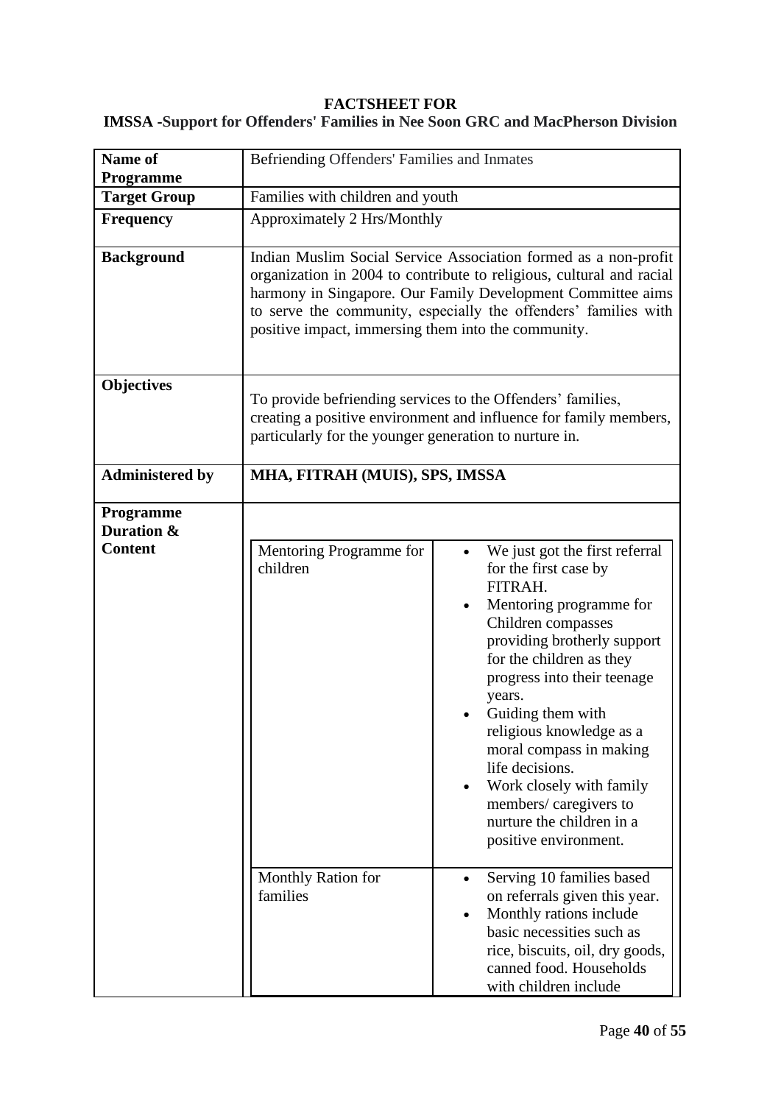#### **FACTSHEET FOR**

## **IMSSA -Support for Offenders' Families in Nee Soon GRC and MacPherson Division**

| Name of<br>Programme                             | Befriending Offenders' Families and Inmates            |                                                                                                                                                                                                                                                                                                                                                                                                                                                |
|--------------------------------------------------|--------------------------------------------------------|------------------------------------------------------------------------------------------------------------------------------------------------------------------------------------------------------------------------------------------------------------------------------------------------------------------------------------------------------------------------------------------------------------------------------------------------|
| <b>Target Group</b>                              | Families with children and youth                       |                                                                                                                                                                                                                                                                                                                                                                                                                                                |
| <b>Frequency</b>                                 | Approximately 2 Hrs/Monthly                            |                                                                                                                                                                                                                                                                                                                                                                                                                                                |
| <b>Background</b>                                | positive impact, immersing them into the community.    | Indian Muslim Social Service Association formed as a non-profit<br>organization in 2004 to contribute to religious, cultural and racial<br>harmony in Singapore. Our Family Development Committee aims<br>to serve the community, especially the offenders' families with                                                                                                                                                                      |
| <b>Objectives</b>                                | particularly for the younger generation to nurture in. | To provide befriending services to the Offenders' families,<br>creating a positive environment and influence for family members,                                                                                                                                                                                                                                                                                                               |
| <b>Administered by</b>                           | MHA, FITRAH (MUIS), SPS, IMSSA                         |                                                                                                                                                                                                                                                                                                                                                                                                                                                |
| <b>Programme</b><br>Duration &<br><b>Content</b> | Mentoring Programme for<br>children                    | We just got the first referral<br>for the first case by<br>FITRAH.<br>Mentoring programme for<br>Children compasses<br>providing brotherly support<br>for the children as they<br>progress into their teenage<br>years.<br>Guiding them with<br>religious knowledge as a<br>moral compass in making<br>life decisions.<br>Work closely with family<br>$\bullet$<br>members/caregivers to<br>nurture the children in a<br>positive environment. |
|                                                  | Monthly Ration for<br>families                         | Serving 10 families based<br>$\bullet$<br>on referrals given this year.<br>Monthly rations include<br>basic necessities such as<br>rice, biscuits, oil, dry goods,<br>canned food. Households<br>with children include                                                                                                                                                                                                                         |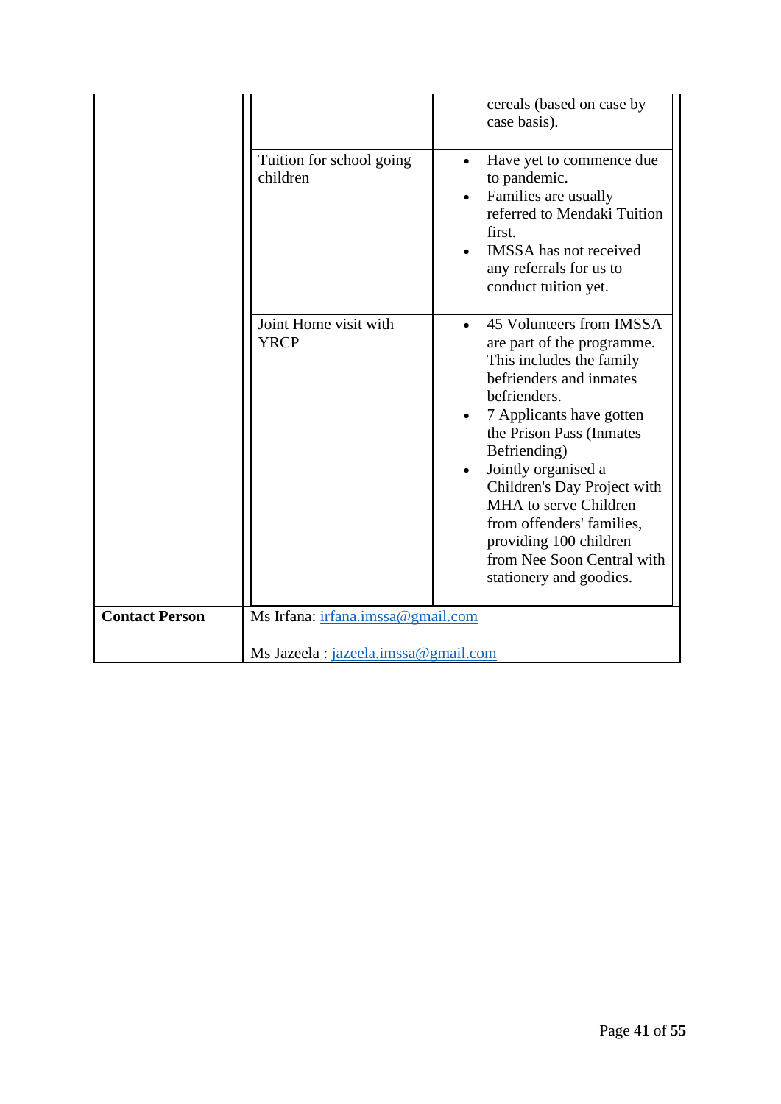|                       |                                      | cereals (based on case by<br>case basis).                                                                                                                                                                                                                                                                                                                                                                         |
|-----------------------|--------------------------------------|-------------------------------------------------------------------------------------------------------------------------------------------------------------------------------------------------------------------------------------------------------------------------------------------------------------------------------------------------------------------------------------------------------------------|
|                       | Tuition for school going<br>children | Have yet to commence due<br>$\bullet$<br>to pandemic.<br>Families are usually<br>referred to Mendaki Tuition<br>first.<br><b>IMSSA</b> has not received<br>any referrals for us to<br>conduct tuition yet.                                                                                                                                                                                                        |
|                       | Joint Home visit with<br><b>YRCP</b> | 45 Volunteers from IMSSA<br>$\bullet$<br>are part of the programme.<br>This includes the family<br>befrienders and inmates<br>befrienders.<br>7 Applicants have gotten<br>the Prison Pass (Inmates<br>Befriending)<br>Jointly organised a<br>Children's Day Project with<br>MHA to serve Children<br>from offenders' families,<br>providing 100 children<br>from Nee Soon Central with<br>stationery and goodies. |
| <b>Contact Person</b> | Ms Irfana: irfana.imssa@gmail.com    |                                                                                                                                                                                                                                                                                                                                                                                                                   |
|                       | Ms Jazeela : jazeela.imssa@gmail.com |                                                                                                                                                                                                                                                                                                                                                                                                                   |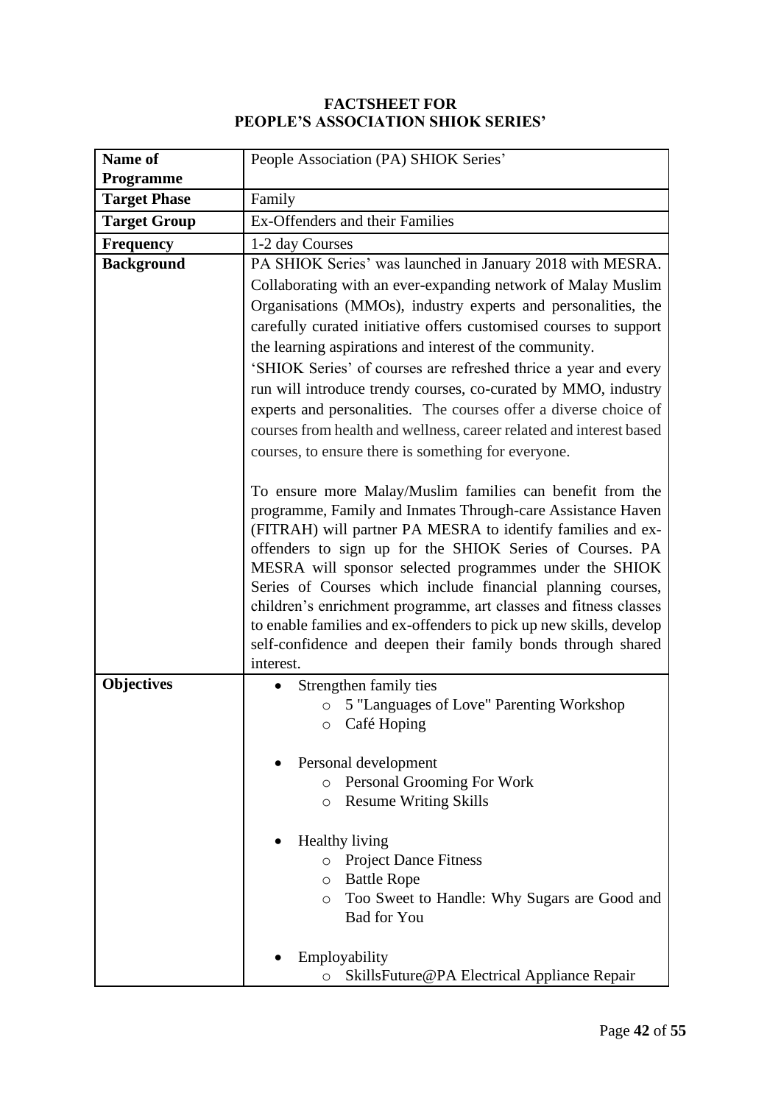#### **FACTSHEET FOR PEOPLE'S ASSOCIATION SHIOK SERIES'**

| Name of             | People Association (PA) SHIOK Series'                                                                                      |  |  |
|---------------------|----------------------------------------------------------------------------------------------------------------------------|--|--|
| <b>Programme</b>    |                                                                                                                            |  |  |
| <b>Target Phase</b> | Family                                                                                                                     |  |  |
| <b>Target Group</b> | Ex-Offenders and their Families                                                                                            |  |  |
| <b>Frequency</b>    | 1-2 day Courses                                                                                                            |  |  |
| <b>Background</b>   | PA SHIOK Series' was launched in January 2018 with MESRA.                                                                  |  |  |
|                     | Collaborating with an ever-expanding network of Malay Muslim                                                               |  |  |
|                     | Organisations (MMOs), industry experts and personalities, the                                                              |  |  |
|                     | carefully curated initiative offers customised courses to support                                                          |  |  |
|                     | the learning aspirations and interest of the community.                                                                    |  |  |
|                     | 'SHIOK Series' of courses are refreshed thrice a year and every                                                            |  |  |
|                     | run will introduce trendy courses, co-curated by MMO, industry                                                             |  |  |
|                     | experts and personalities. The courses offer a diverse choice of                                                           |  |  |
|                     | courses from health and wellness, career related and interest based                                                        |  |  |
|                     | courses, to ensure there is something for everyone.                                                                        |  |  |
|                     |                                                                                                                            |  |  |
|                     | To ensure more Malay/Muslim families can benefit from the                                                                  |  |  |
|                     | programme, Family and Inmates Through-care Assistance Haven<br>(FITRAH) will partner PA MESRA to identify families and ex- |  |  |
|                     | offenders to sign up for the SHIOK Series of Courses. PA                                                                   |  |  |
|                     | MESRA will sponsor selected programmes under the SHIOK                                                                     |  |  |
|                     | Series of Courses which include financial planning courses,                                                                |  |  |
|                     | children's enrichment programme, art classes and fitness classes                                                           |  |  |
|                     | to enable families and ex-offenders to pick up new skills, develop                                                         |  |  |
|                     | self-confidence and deepen their family bonds through shared                                                               |  |  |
| <b>Objectives</b>   | interest.<br>Strengthen family ties                                                                                        |  |  |
|                     | 5 "Languages of Love" Parenting Workshop<br>$\circ$                                                                        |  |  |
|                     | Café Hoping<br>O                                                                                                           |  |  |
|                     |                                                                                                                            |  |  |
|                     | Personal development                                                                                                       |  |  |
|                     | Personal Grooming For Work<br>$\circ$                                                                                      |  |  |
|                     | <b>Resume Writing Skills</b><br>O                                                                                          |  |  |
|                     |                                                                                                                            |  |  |
|                     | <b>Healthy living</b>                                                                                                      |  |  |
|                     | <b>Project Dance Fitness</b><br>$\circ$<br><b>Battle Rope</b>                                                              |  |  |
|                     | O<br>Too Sweet to Handle: Why Sugars are Good and<br>$\circ$                                                               |  |  |
|                     | <b>Bad for You</b>                                                                                                         |  |  |
|                     |                                                                                                                            |  |  |
|                     | Employability                                                                                                              |  |  |
|                     | SkillsFuture@PA Electrical Appliance Repair<br>O                                                                           |  |  |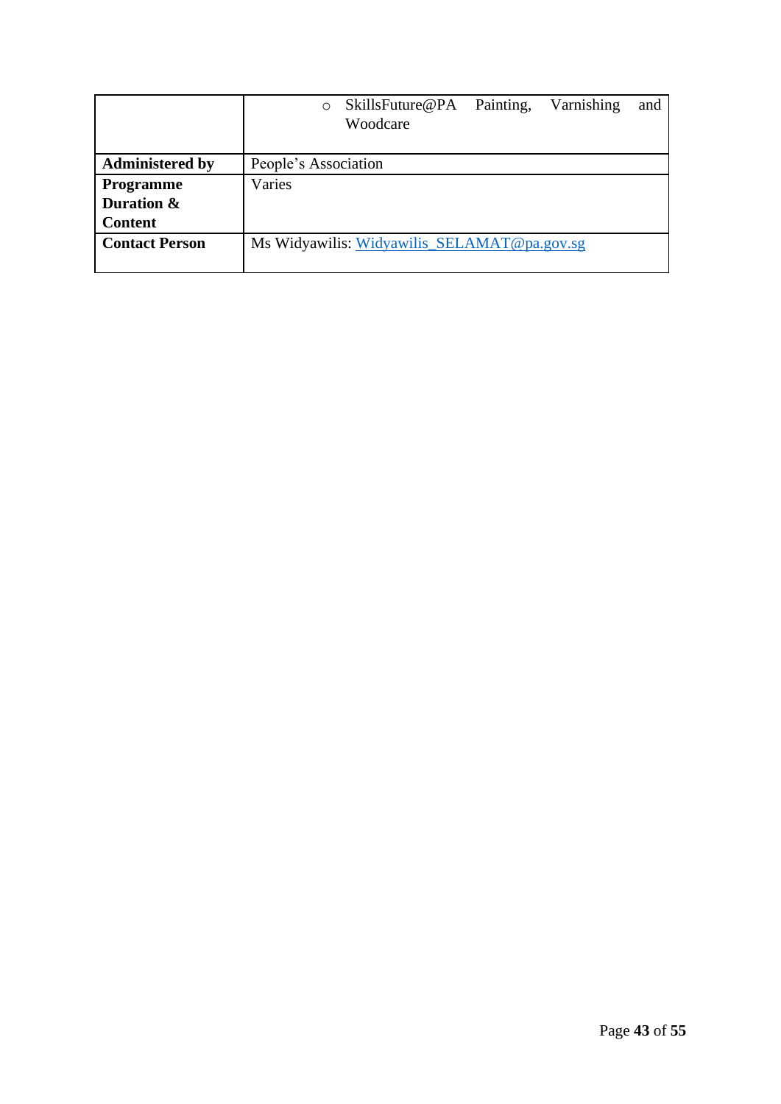|                        | Painting,<br>Varnishing<br>SkillsFuture@PA<br>and<br>$\circ$<br>Woodcare |
|------------------------|--------------------------------------------------------------------------|
|                        |                                                                          |
| <b>Administered by</b> | People's Association                                                     |
| <b>Programme</b>       | Varies                                                                   |
| Duration &             |                                                                          |
| <b>Content</b>         |                                                                          |
| <b>Contact Person</b>  | Ms Widyawilis: Widyawilis_SELAMAT@pa.gov.sg                              |
|                        |                                                                          |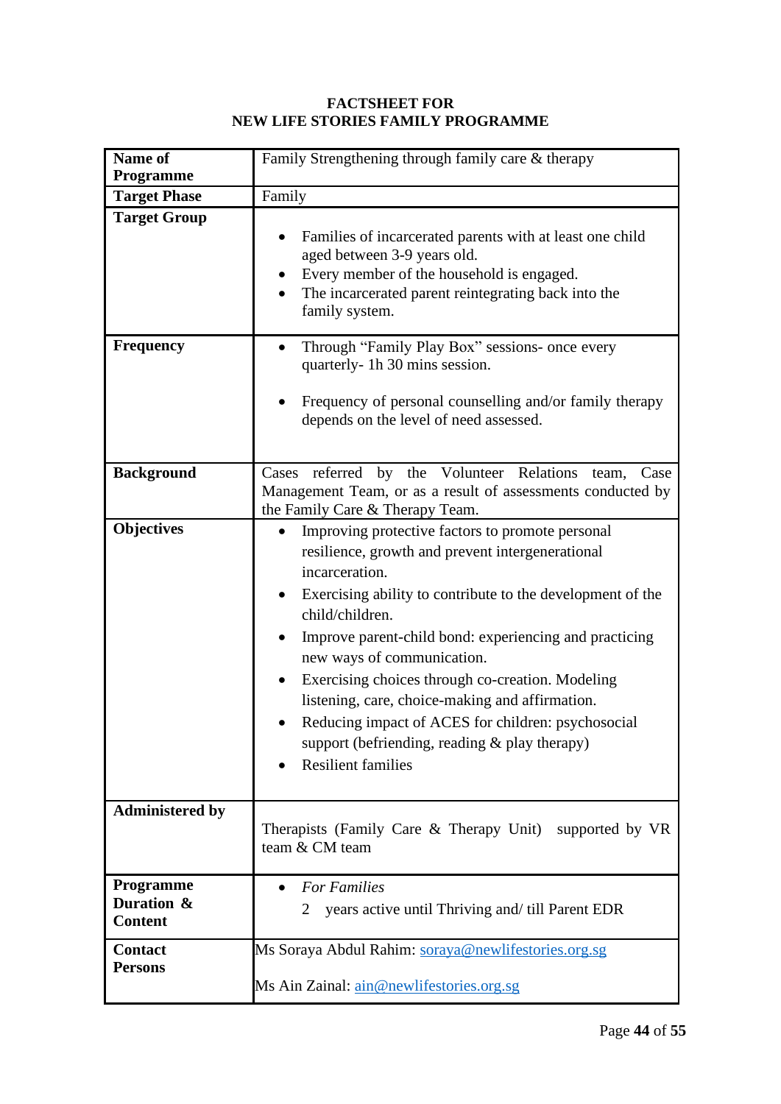## **FACTSHEET FOR NEW LIFE STORIES FAMILY PROGRAMME**

| Name of<br><b>Programme</b>               | Family Strengthening through family care & therapy                                                                                                                                                                                                                                                                                                                                                                                                                                                                                            |  |
|-------------------------------------------|-----------------------------------------------------------------------------------------------------------------------------------------------------------------------------------------------------------------------------------------------------------------------------------------------------------------------------------------------------------------------------------------------------------------------------------------------------------------------------------------------------------------------------------------------|--|
| <b>Target Phase</b>                       | Family                                                                                                                                                                                                                                                                                                                                                                                                                                                                                                                                        |  |
| <b>Target Group</b>                       | Families of incarcerated parents with at least one child<br>aged between 3-9 years old.<br>Every member of the household is engaged.<br>The incarcerated parent reintegrating back into the<br>family system.                                                                                                                                                                                                                                                                                                                                 |  |
| <b>Frequency</b>                          | Through "Family Play Box" sessions- once every<br>quarterly-1h 30 mins session.<br>Frequency of personal counselling and/or family therapy<br>depends on the level of need assessed.                                                                                                                                                                                                                                                                                                                                                          |  |
| <b>Background</b>                         | Cases referred by the Volunteer Relations team,<br>Case<br>Management Team, or as a result of assessments conducted by<br>the Family Care & Therapy Team.                                                                                                                                                                                                                                                                                                                                                                                     |  |
| <b>Objectives</b>                         | Improving protective factors to promote personal<br>resilience, growth and prevent intergenerational<br>incarceration.<br>Exercising ability to contribute to the development of the<br>child/children.<br>Improve parent-child bond: experiencing and practicing<br>new ways of communication.<br>Exercising choices through co-creation. Modeling<br>listening, care, choice-making and affirmation.<br>Reducing impact of ACES for children: psychosocial<br>support (befriending, reading $\&$ play therapy)<br><b>Resilient families</b> |  |
| <b>Administered by</b>                    | Therapists (Family Care & Therapy Unit) supported by VR<br>team & CM team                                                                                                                                                                                                                                                                                                                                                                                                                                                                     |  |
| Programme<br>Duration &<br><b>Content</b> | <b>For Families</b><br>years active until Thriving and/ till Parent EDR                                                                                                                                                                                                                                                                                                                                                                                                                                                                       |  |
| <b>Contact</b><br><b>Persons</b>          | Ms Soraya Abdul Rahim: soraya@newlifestories.org.sg<br>Ms Ain Zainal: <i>ain@newlifestories.org.sg</i>                                                                                                                                                                                                                                                                                                                                                                                                                                        |  |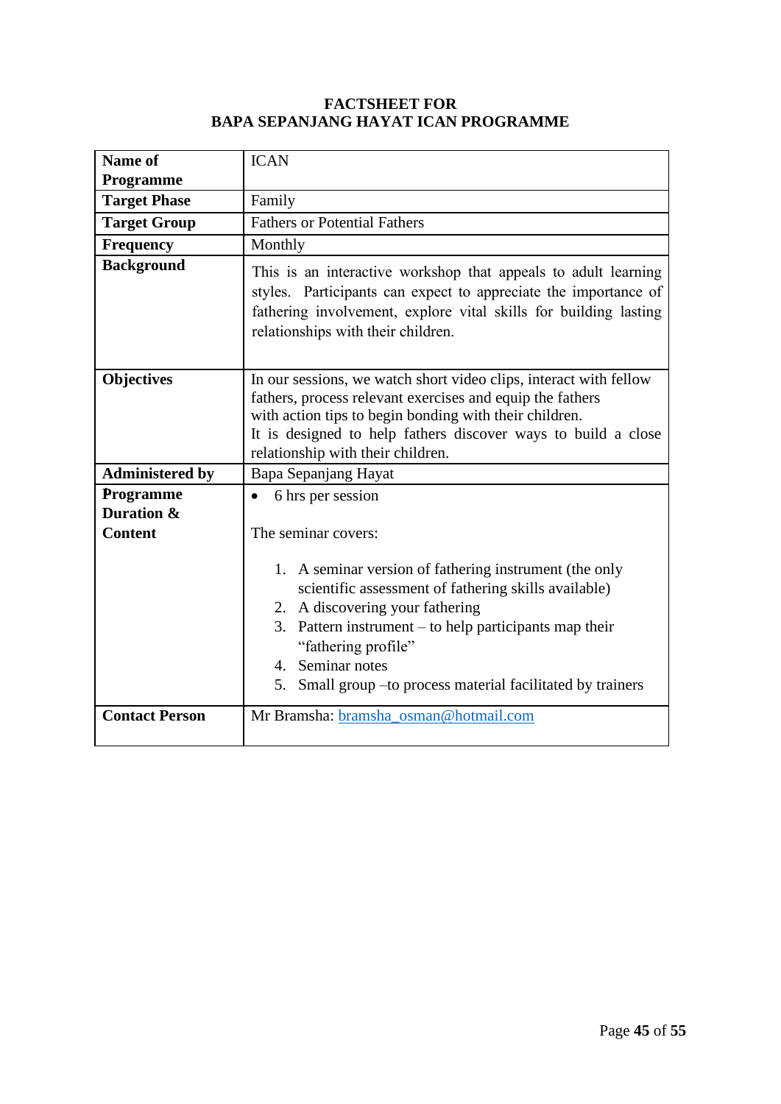#### **FACTSHEET FOR BAPA SEPANJANG HAYAT ICAN PROGRAMME**

| Name of                                 | <b>ICAN</b>                                                                                                                                                                                                                                                                                                              |
|-----------------------------------------|--------------------------------------------------------------------------------------------------------------------------------------------------------------------------------------------------------------------------------------------------------------------------------------------------------------------------|
| Programme                               |                                                                                                                                                                                                                                                                                                                          |
| <b>Target Phase</b>                     | Family                                                                                                                                                                                                                                                                                                                   |
| <b>Target Group</b>                     | <b>Fathers or Potential Fathers</b>                                                                                                                                                                                                                                                                                      |
| <b>Frequency</b>                        | Monthly                                                                                                                                                                                                                                                                                                                  |
| <b>Background</b>                       | This is an interactive workshop that appeals to adult learning<br>styles. Participants can expect to appreciate the importance of<br>fathering involvement, explore vital skills for building lasting<br>relationships with their children.                                                                              |
| <b>Objectives</b>                       | In our sessions, we watch short video clips, interact with fellow<br>fathers, process relevant exercises and equip the fathers<br>with action tips to begin bonding with their children.<br>It is designed to help fathers discover ways to build a close<br>relationship with their children.                           |
| <b>Administered by</b>                  | Bapa Sepanjang Hayat                                                                                                                                                                                                                                                                                                     |
| Programme                               | 6 hrs per session<br>$\bullet$                                                                                                                                                                                                                                                                                           |
| <b>Duration &amp;</b><br><b>Content</b> | The seminar covers:                                                                                                                                                                                                                                                                                                      |
|                                         | 1. A seminar version of fathering instrument (the only<br>scientific assessment of fathering skills available)<br>2. A discovering your fathering<br>3. Pattern instrument $-$ to help participants map their<br>"fathering profile"<br>4. Seminar notes<br>5. Small group – to process material facilitated by trainers |
| <b>Contact Person</b>                   | Mr Bramsha: bramsha_osman@hotmail.com                                                                                                                                                                                                                                                                                    |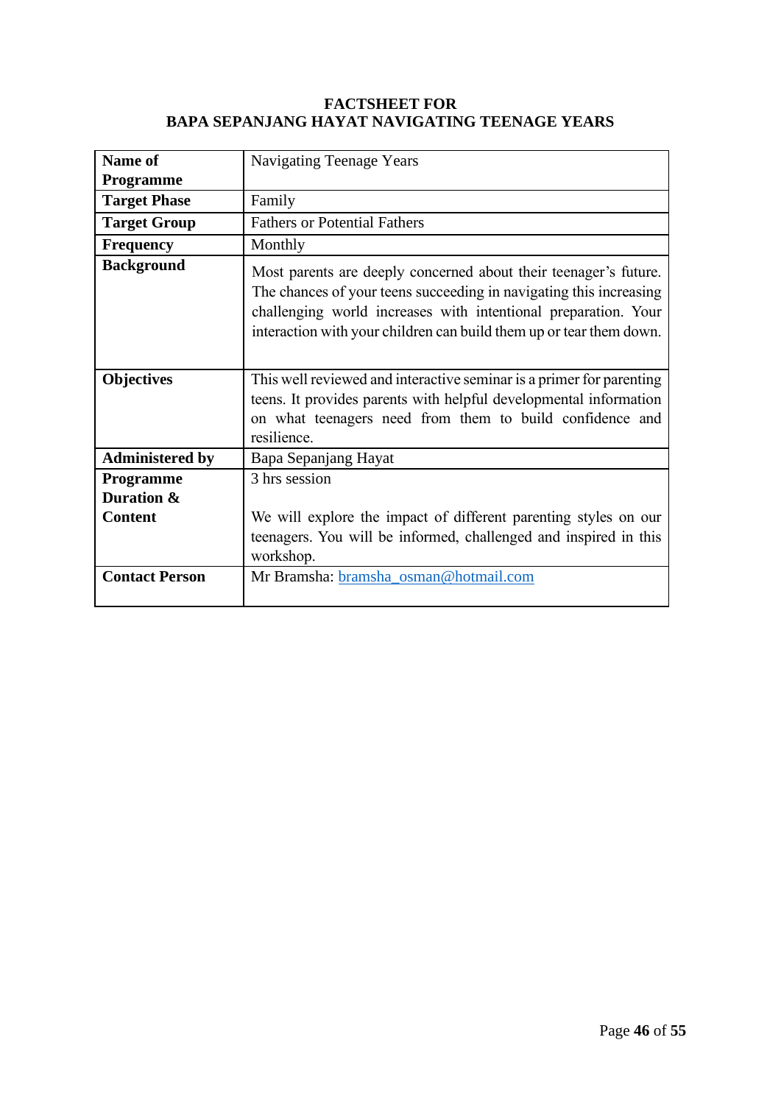#### **FACTSHEET FOR BAPA SEPANJANG HAYAT NAVIGATING TEENAGE YEARS**

| Name of                                          |                                                                                                                                                                                                                                                                                 |
|--------------------------------------------------|---------------------------------------------------------------------------------------------------------------------------------------------------------------------------------------------------------------------------------------------------------------------------------|
|                                                  | <b>Navigating Teenage Years</b>                                                                                                                                                                                                                                                 |
| <b>Programme</b>                                 |                                                                                                                                                                                                                                                                                 |
| <b>Target Phase</b>                              | Family                                                                                                                                                                                                                                                                          |
| <b>Target Group</b>                              | <b>Fathers or Potential Fathers</b>                                                                                                                                                                                                                                             |
| <b>Frequency</b>                                 | Monthly                                                                                                                                                                                                                                                                         |
| <b>Background</b>                                | Most parents are deeply concerned about their teenager's future.<br>The chances of your teens succeeding in navigating this increasing<br>challenging world increases with intentional preparation. Your<br>interaction with your children can build them up or tear them down. |
| <b>Objectives</b>                                | This well reviewed and interactive seminar is a primer for parenting<br>teens. It provides parents with helpful developmental information<br>on what teenagers need from them to build confidence and<br>resilience.                                                            |
| <b>Administered by</b>                           | Bapa Sepanjang Hayat                                                                                                                                                                                                                                                            |
| <b>Programme</b><br>Duration &<br><b>Content</b> | 3 hrs session<br>We will explore the impact of different parenting styles on our<br>teenagers. You will be informed, challenged and inspired in this<br>workshop.                                                                                                               |
| <b>Contact Person</b>                            | Mr Bramsha: bramsha_osman@hotmail.com                                                                                                                                                                                                                                           |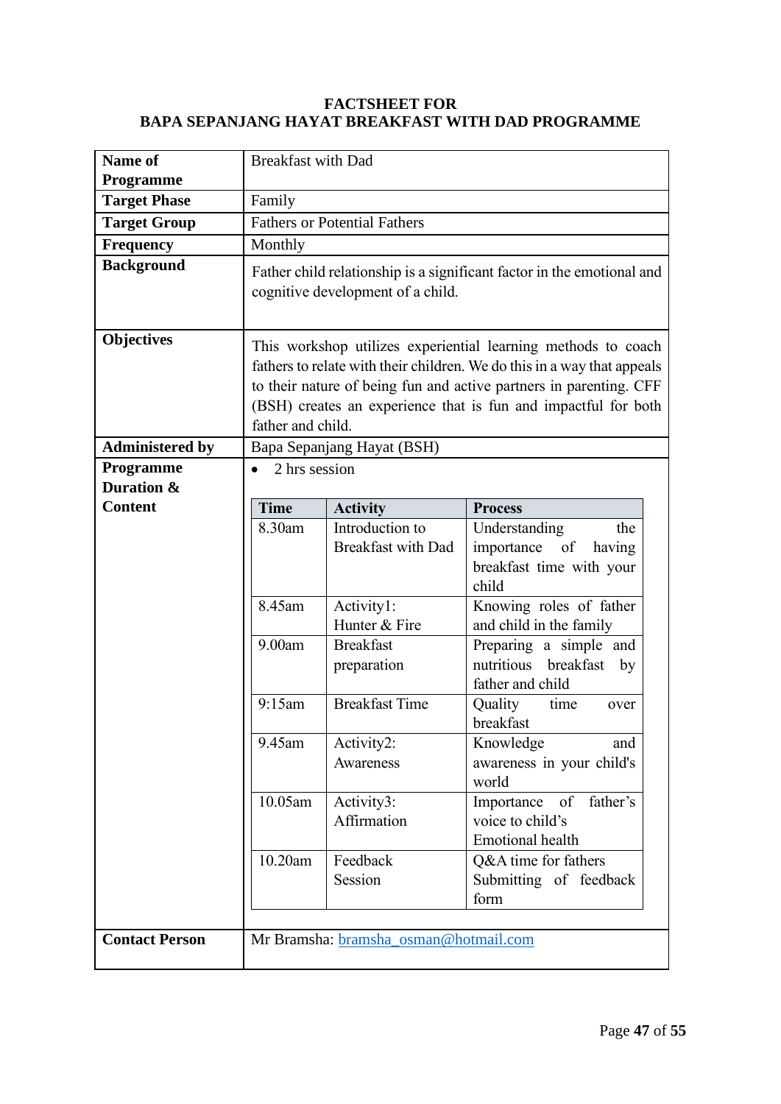#### **FACTSHEET FOR BAPA SEPANJANG HAYAT BREAKFAST WITH DAD PROGRAMME**

| Name of                | <b>Breakfast with Dad</b> |                                       |                                                                         |
|------------------------|---------------------------|---------------------------------------|-------------------------------------------------------------------------|
| Programme              |                           |                                       |                                                                         |
| <b>Target Phase</b>    | Family                    |                                       |                                                                         |
| <b>Target Group</b>    |                           | <b>Fathers or Potential Fathers</b>   |                                                                         |
| Frequency              | Monthly                   |                                       |                                                                         |
| <b>Background</b>      |                           | cognitive development of a child.     | Father child relationship is a significant factor in the emotional and  |
| <b>Objectives</b>      |                           |                                       | This workshop utilizes experiential learning methods to coach           |
|                        |                           |                                       | fathers to relate with their children. We do this in a way that appeals |
|                        |                           |                                       | to their nature of being fun and active partners in parenting. CFF      |
|                        |                           |                                       | (BSH) creates an experience that is fun and impactful for both          |
|                        | father and child.         |                                       |                                                                         |
| <b>Administered by</b> |                           | Bapa Sepanjang Hayat (BSH)            |                                                                         |
| Programme              | 2 hrs session             |                                       |                                                                         |
| Duration &             |                           |                                       |                                                                         |
| <b>Content</b>         | <b>Time</b>               | <b>Activity</b>                       | <b>Process</b>                                                          |
|                        | 8.30am                    | Introduction to                       | Understanding<br>the                                                    |
|                        |                           | <b>Breakfast with Dad</b>             | importance of having                                                    |
|                        |                           |                                       | breakfast time with your<br>child                                       |
|                        | 8.45am                    | Activity1:                            | Knowing roles of father                                                 |
|                        |                           | Hunter & Fire                         | and child in the family                                                 |
|                        | 9.00am                    | <b>Breakfast</b>                      | Preparing a simple and                                                  |
|                        |                           | preparation                           | nutritious breakfast<br>by                                              |
|                        |                           |                                       | father and child                                                        |
|                        | 9:15am                    | <b>Breakfast Time</b>                 | Quality<br>time<br>over<br>breakfast                                    |
|                        | 9.45am                    | Activity2:                            | Knowledge<br>and                                                        |
|                        |                           | Awareness                             | awareness in your child's                                               |
|                        | 10.05am                   |                                       | world                                                                   |
|                        |                           | Activity3:<br>Affirmation             | of<br>Importance<br>father's<br>voice to child's                        |
|                        |                           |                                       | <b>Emotional</b> health                                                 |
|                        | 10.20am                   | Feedback                              | Q&A time for fathers                                                    |
|                        |                           | Session                               | Submitting of feedback                                                  |
|                        |                           |                                       | form                                                                    |
|                        |                           |                                       |                                                                         |
| <b>Contact Person</b>  |                           | Mr Bramsha: bramsha_osman@hotmail.com |                                                                         |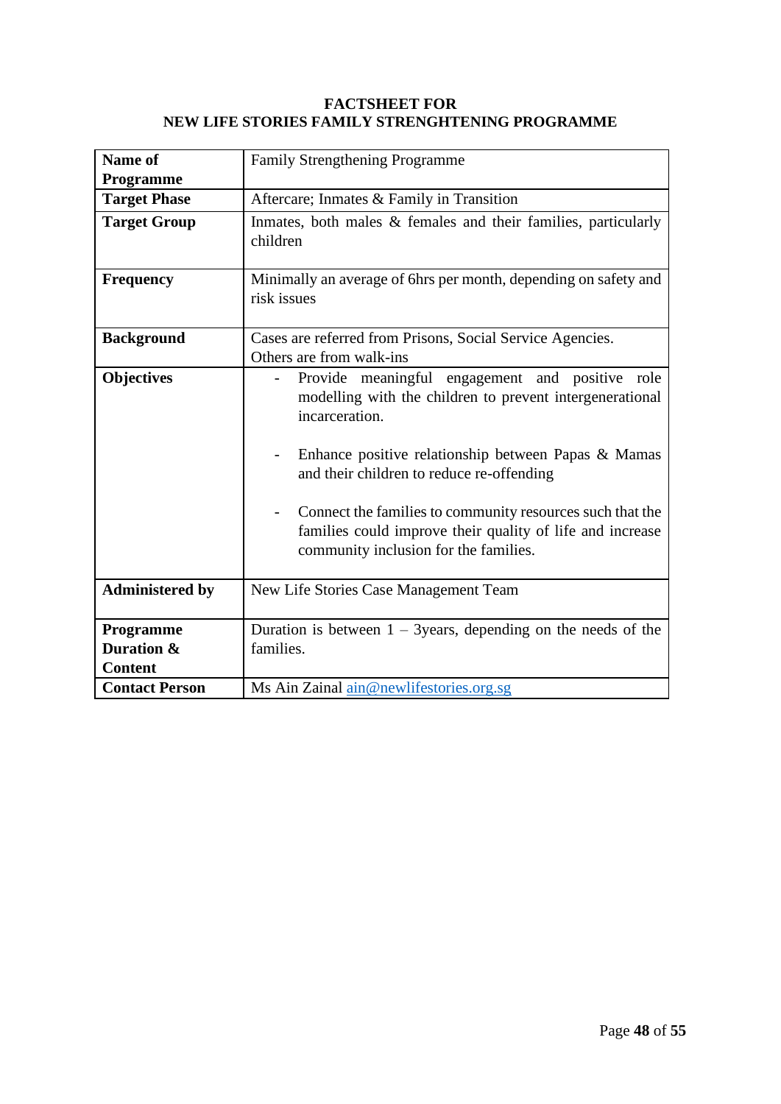#### **FACTSHEET FOR NEW LIFE STORIES FAMILY STRENGHTENING PROGRAMME**

| Name of                | Family Strengthening Programme                                                                                                                                                                                                                                                                                                                                                                       |
|------------------------|------------------------------------------------------------------------------------------------------------------------------------------------------------------------------------------------------------------------------------------------------------------------------------------------------------------------------------------------------------------------------------------------------|
| Programme              |                                                                                                                                                                                                                                                                                                                                                                                                      |
| <b>Target Phase</b>    | Aftercare; Inmates & Family in Transition                                                                                                                                                                                                                                                                                                                                                            |
| <b>Target Group</b>    | Inmates, both males & females and their families, particularly<br>children                                                                                                                                                                                                                                                                                                                           |
| <b>Frequency</b>       | Minimally an average of 6hrs per month, depending on safety and<br>risk issues                                                                                                                                                                                                                                                                                                                       |
| <b>Background</b>      | Cases are referred from Prisons, Social Service Agencies.<br>Others are from walk-ins                                                                                                                                                                                                                                                                                                                |
| <b>Objectives</b>      | Provide meaningful engagement and positive role<br>modelling with the children to prevent intergenerational<br>incarceration.<br>Enhance positive relationship between Papas & Mamas<br>and their children to reduce re-offending<br>Connect the families to community resources such that the<br>families could improve their quality of life and increase<br>community inclusion for the families. |
| <b>Administered by</b> | New Life Stories Case Management Team                                                                                                                                                                                                                                                                                                                                                                |
| Programme              | Duration is between $1 - 3$ years, depending on the needs of the                                                                                                                                                                                                                                                                                                                                     |
| Duration &             | families.                                                                                                                                                                                                                                                                                                                                                                                            |
| <b>Content</b>         |                                                                                                                                                                                                                                                                                                                                                                                                      |
| <b>Contact Person</b>  | Ms Ain Zainal ain@newlifestories.org.sg                                                                                                                                                                                                                                                                                                                                                              |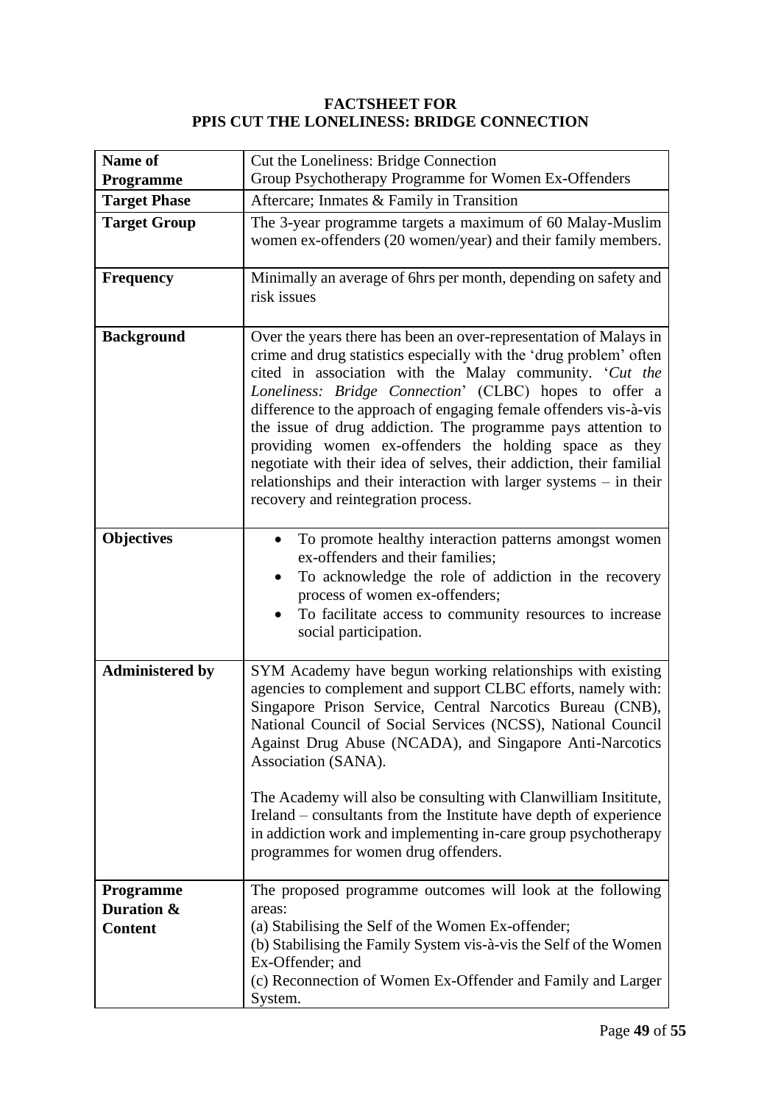#### **FACTSHEET FOR PPIS CUT THE LONELINESS: BRIDGE CONNECTION**

| Name of<br>Programme                             | Cut the Loneliness: Bridge Connection<br>Group Psychotherapy Programme for Women Ex-Offenders                                                                                                                                                                                                                                                                                                                                                                                                                                                                                                                                                      |
|--------------------------------------------------|----------------------------------------------------------------------------------------------------------------------------------------------------------------------------------------------------------------------------------------------------------------------------------------------------------------------------------------------------------------------------------------------------------------------------------------------------------------------------------------------------------------------------------------------------------------------------------------------------------------------------------------------------|
| <b>Target Phase</b>                              | Aftercare; Inmates & Family in Transition                                                                                                                                                                                                                                                                                                                                                                                                                                                                                                                                                                                                          |
| <b>Target Group</b>                              | The 3-year programme targets a maximum of 60 Malay-Muslim<br>women ex-offenders (20 women/year) and their family members.                                                                                                                                                                                                                                                                                                                                                                                                                                                                                                                          |
| <b>Frequency</b>                                 | Minimally an average of 6hrs per month, depending on safety and<br>risk issues                                                                                                                                                                                                                                                                                                                                                                                                                                                                                                                                                                     |
| <b>Background</b>                                | Over the years there has been an over-representation of Malays in<br>crime and drug statistics especially with the 'drug problem' often<br>cited in association with the Malay community. 'Cut the<br>Loneliness: Bridge Connection' (CLBC) hopes to offer a<br>difference to the approach of engaging female offenders vis-à-vis<br>the issue of drug addiction. The programme pays attention to<br>providing women ex-offenders the holding space as they<br>negotiate with their idea of selves, their addiction, their familial<br>relationships and their interaction with larger systems $-$ in their<br>recovery and reintegration process. |
| <b>Objectives</b>                                | To promote healthy interaction patterns amongst women<br>$\bullet$<br>ex-offenders and their families;<br>To acknowledge the role of addiction in the recovery<br>$\bullet$<br>process of women ex-offenders;<br>To facilitate access to community resources to increase<br>social participation.                                                                                                                                                                                                                                                                                                                                                  |
| <b>Administered by</b>                           | SYM Academy have begun working relationships with existing<br>agencies to complement and support CLBC efforts, namely with:<br>Singapore Prison Service, Central Narcotics Bureau (CNB),<br>National Council of Social Services (NCSS), National Council<br>Against Drug Abuse (NCADA), and Singapore Anti-Narcotics<br>Association (SANA).<br>The Academy will also be consulting with Clanwilliam Insititute,<br>Ireland – consultants from the Institute have depth of experience<br>in addiction work and implementing in-care group psychotherapy<br>programmes for women drug offenders.                                                     |
| <b>Programme</b><br>Duration &<br><b>Content</b> | The proposed programme outcomes will look at the following<br>areas:<br>(a) Stabilising the Self of the Women Ex-offender;<br>(b) Stabilising the Family System vis-à-vis the Self of the Women<br>Ex-Offender; and<br>(c) Reconnection of Women Ex-Offender and Family and Larger<br>System.                                                                                                                                                                                                                                                                                                                                                      |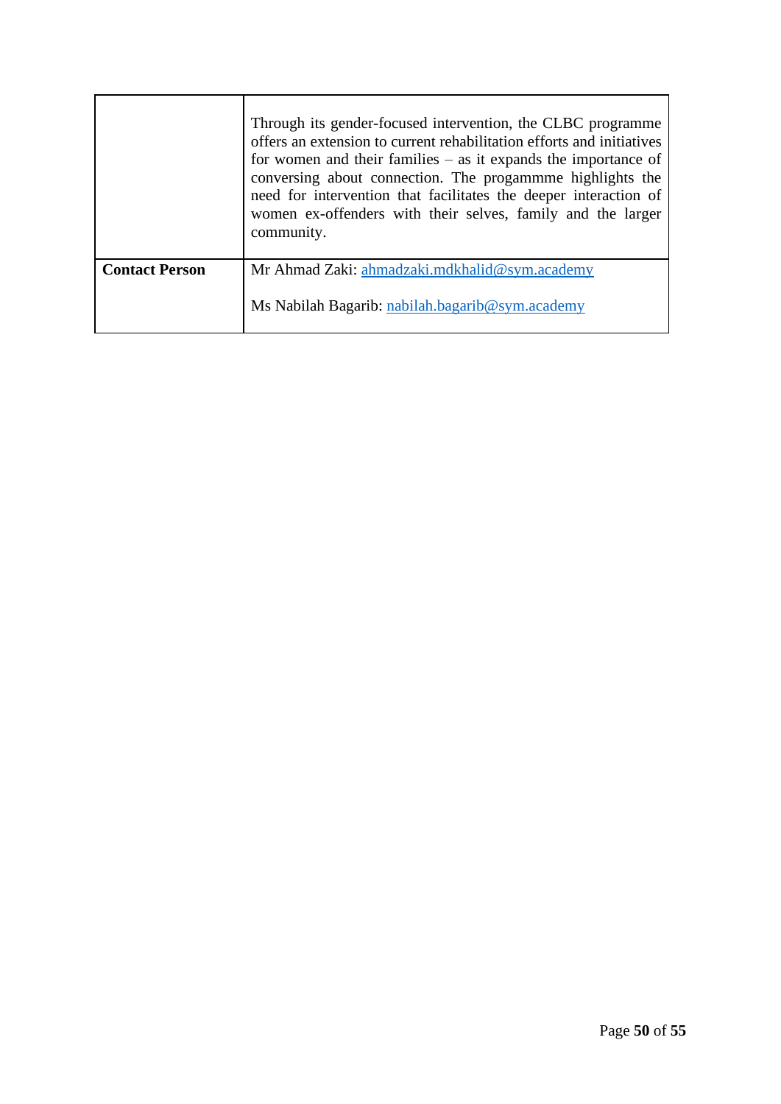|                       | Through its gender-focused intervention, the CLBC programme<br>offers an extension to current rehabilitation efforts and initiatives<br>for women and their families $-$ as it expands the importance of<br>conversing about connection. The progammme highlights the<br>need for intervention that facilitates the deeper interaction of<br>women ex-offenders with their selves, family and the larger<br>community. |
|-----------------------|------------------------------------------------------------------------------------------------------------------------------------------------------------------------------------------------------------------------------------------------------------------------------------------------------------------------------------------------------------------------------------------------------------------------|
| <b>Contact Person</b> | Mr Ahmad Zaki: ahmadzaki.mdkhalid@sym.academy                                                                                                                                                                                                                                                                                                                                                                          |
|                       | Ms Nabilah Bagarib: nabilah.bagarib@sym.academy                                                                                                                                                                                                                                                                                                                                                                        |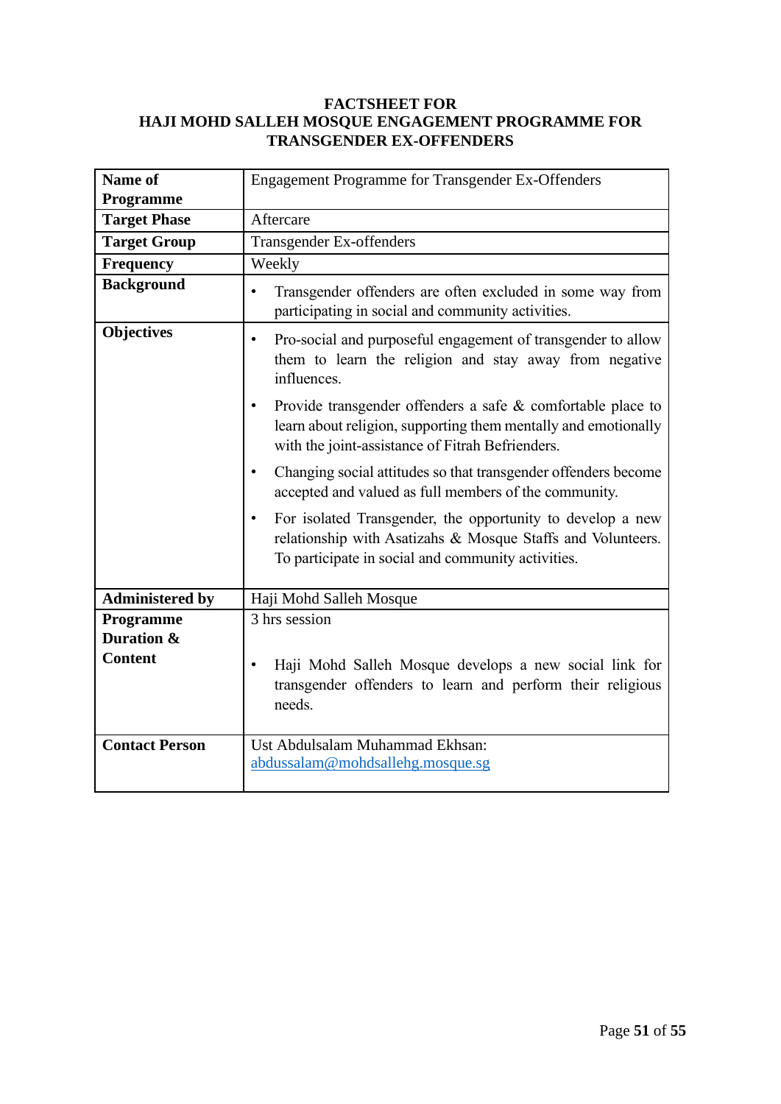#### **FACTSHEET FOR HAJI MOHD SALLEH MOSQUE ENGAGEMENT PROGRAMME FOR TRANSGENDER EX-OFFENDERS**

| Name of                 | <b>Engagement Programme for Transgender Ex-Offenders</b>                                                                                                                          |  |
|-------------------------|-----------------------------------------------------------------------------------------------------------------------------------------------------------------------------------|--|
| Programme               |                                                                                                                                                                                   |  |
| <b>Target Phase</b>     | Aftercare                                                                                                                                                                         |  |
| <b>Target Group</b>     | Transgender Ex-offenders                                                                                                                                                          |  |
| Frequency               | Weekly                                                                                                                                                                            |  |
| <b>Background</b>       | Transgender offenders are often excluded in some way from<br>$\bullet$<br>participating in social and community activities.                                                       |  |
| <b>Objectives</b>       | Pro-social and purposeful engagement of transgender to allow<br>$\bullet$<br>them to learn the religion and stay away from negative<br>influences.                                |  |
|                         | Provide transgender offenders a safe & comfortable place to<br>learn about religion, supporting them mentally and emotionally<br>with the joint-assistance of Fitrah Befrienders. |  |
|                         | Changing social attitudes so that transgender offenders become<br>accepted and valued as full members of the community.                                                           |  |
|                         | For isolated Transgender, the opportunity to develop a new<br>relationship with Asatizahs & Mosque Staffs and Volunteers.<br>To participate in social and community activities.   |  |
| <b>Administered by</b>  | Haji Mohd Salleh Mosque                                                                                                                                                           |  |
| Programme<br>Duration & | 3 hrs session                                                                                                                                                                     |  |
| <b>Content</b>          | Haji Mohd Salleh Mosque develops a new social link for<br>transgender offenders to learn and perform their religious<br>needs.                                                    |  |
| <b>Contact Person</b>   | Ust Abdulsalam Muhammad Ekhsan:<br>abdussalam@mohdsallehg.mosque.sg                                                                                                               |  |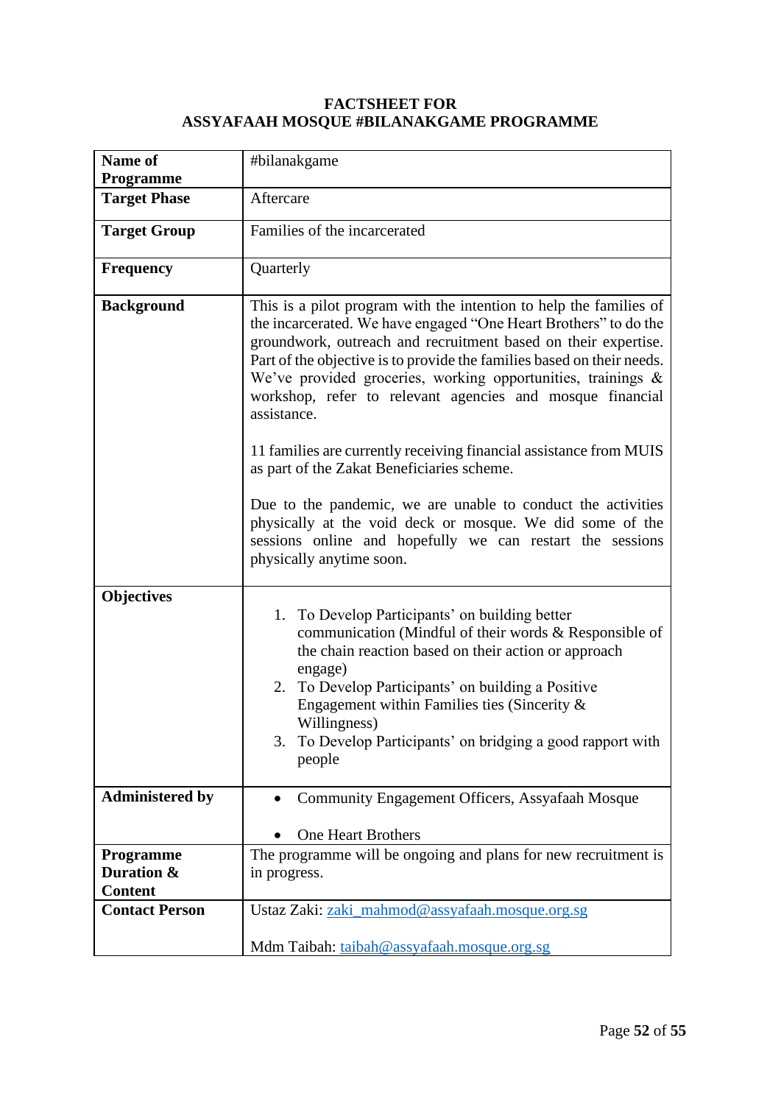#### **FACTSHEET FOR ASSYAFAAH MOSQUE #BILANAKGAME PROGRAMME**

| Name of<br>Programme                      | #bilanakgame                                                                                                                                                                                                                                                                                                                                                                                                                                                                                                                                       |
|-------------------------------------------|----------------------------------------------------------------------------------------------------------------------------------------------------------------------------------------------------------------------------------------------------------------------------------------------------------------------------------------------------------------------------------------------------------------------------------------------------------------------------------------------------------------------------------------------------|
| <b>Target Phase</b>                       | Aftercare                                                                                                                                                                                                                                                                                                                                                                                                                                                                                                                                          |
| <b>Target Group</b>                       | Families of the incarcerated                                                                                                                                                                                                                                                                                                                                                                                                                                                                                                                       |
| <b>Frequency</b>                          | Quarterly                                                                                                                                                                                                                                                                                                                                                                                                                                                                                                                                          |
| <b>Background</b>                         | This is a pilot program with the intention to help the families of<br>the incarcerated. We have engaged "One Heart Brothers" to do the<br>groundwork, outreach and recruitment based on their expertise.<br>Part of the objective is to provide the families based on their needs.<br>We've provided groceries, working opportunities, trainings &<br>workshop, refer to relevant agencies and mosque financial<br>assistance.<br>11 families are currently receiving financial assistance from MUIS<br>as part of the Zakat Beneficiaries scheme. |
|                                           | Due to the pandemic, we are unable to conduct the activities<br>physically at the void deck or mosque. We did some of the<br>sessions online and hopefully we can restart the sessions<br>physically anytime soon.                                                                                                                                                                                                                                                                                                                                 |
| <b>Objectives</b>                         | 1. To Develop Participants' on building better<br>communication (Mindful of their words & Responsible of<br>the chain reaction based on their action or approach<br>engage)<br>2. To Develop Participants' on building a Positive<br>Engagement within Families ties (Sincerity $\&$<br>Willingness)<br>3. To Develop Participants' on bridging a good rapport with<br>people                                                                                                                                                                      |
| <b>Administered by</b>                    | Community Engagement Officers, Assyafaah Mosque<br><b>One Heart Brothers</b>                                                                                                                                                                                                                                                                                                                                                                                                                                                                       |
| Programme<br>Duration &<br><b>Content</b> | The programme will be ongoing and plans for new recruitment is<br>in progress.                                                                                                                                                                                                                                                                                                                                                                                                                                                                     |
| <b>Contact Person</b>                     | Ustaz Zaki: zaki_mahmod@assyafaah.mosque.org.sg<br>Mdm Taibah: taibah@assyafaah.mosque.org.sg                                                                                                                                                                                                                                                                                                                                                                                                                                                      |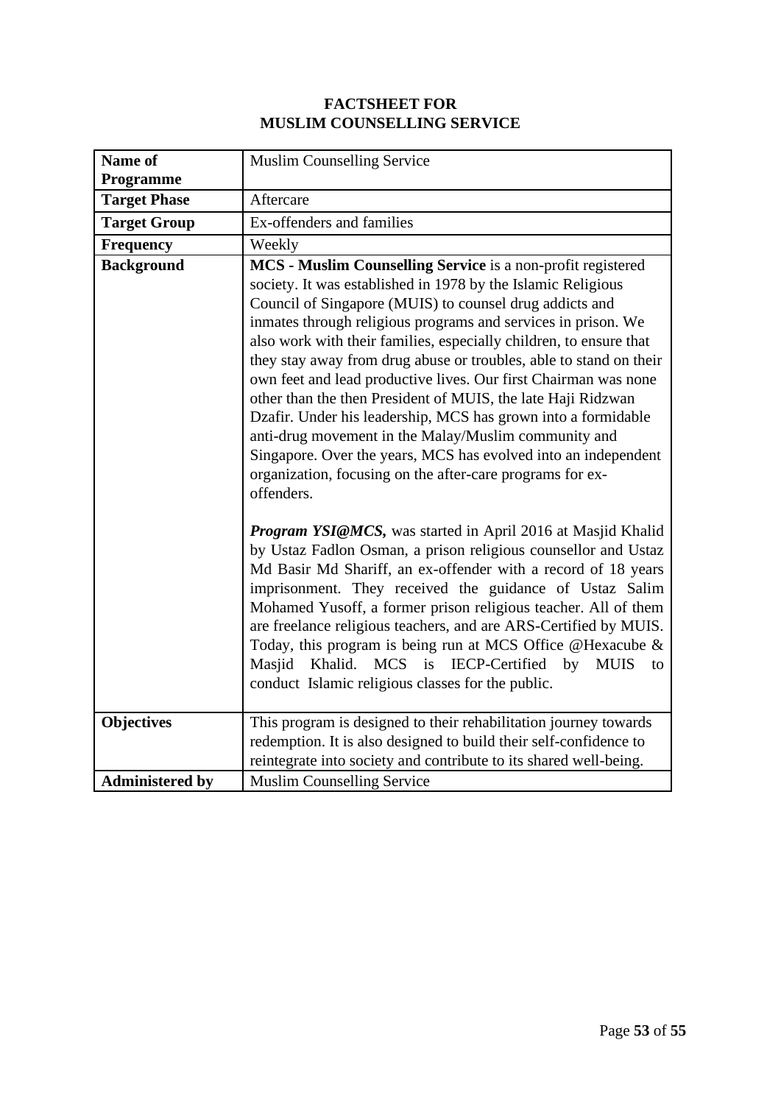## **FACTSHEET FOR MUSLIM COUNSELLING SERVICE**

| Name of                                     | <b>Muslim Counselling Service</b>                                                                                                                                                                                                                                                                                                                                                                                                                                                                                                                                                                                                                                                                                                                                                                                                                                                                                                                                                                                                                                                                                                                                                                                                                                                                                                                                                                                               |
|---------------------------------------------|---------------------------------------------------------------------------------------------------------------------------------------------------------------------------------------------------------------------------------------------------------------------------------------------------------------------------------------------------------------------------------------------------------------------------------------------------------------------------------------------------------------------------------------------------------------------------------------------------------------------------------------------------------------------------------------------------------------------------------------------------------------------------------------------------------------------------------------------------------------------------------------------------------------------------------------------------------------------------------------------------------------------------------------------------------------------------------------------------------------------------------------------------------------------------------------------------------------------------------------------------------------------------------------------------------------------------------------------------------------------------------------------------------------------------------|
| Programme                                   |                                                                                                                                                                                                                                                                                                                                                                                                                                                                                                                                                                                                                                                                                                                                                                                                                                                                                                                                                                                                                                                                                                                                                                                                                                                                                                                                                                                                                                 |
| <b>Target Phase</b>                         | Aftercare                                                                                                                                                                                                                                                                                                                                                                                                                                                                                                                                                                                                                                                                                                                                                                                                                                                                                                                                                                                                                                                                                                                                                                                                                                                                                                                                                                                                                       |
| <b>Target Group</b>                         | Ex-offenders and families                                                                                                                                                                                                                                                                                                                                                                                                                                                                                                                                                                                                                                                                                                                                                                                                                                                                                                                                                                                                                                                                                                                                                                                                                                                                                                                                                                                                       |
| <b>Frequency</b>                            | Weekly                                                                                                                                                                                                                                                                                                                                                                                                                                                                                                                                                                                                                                                                                                                                                                                                                                                                                                                                                                                                                                                                                                                                                                                                                                                                                                                                                                                                                          |
| <b>Background</b>                           | MCS - Muslim Counselling Service is a non-profit registered<br>society. It was established in 1978 by the Islamic Religious<br>Council of Singapore (MUIS) to counsel drug addicts and<br>inmates through religious programs and services in prison. We<br>also work with their families, especially children, to ensure that<br>they stay away from drug abuse or troubles, able to stand on their<br>own feet and lead productive lives. Our first Chairman was none<br>other than the then President of MUIS, the late Haji Ridzwan<br>Dzafir. Under his leadership, MCS has grown into a formidable<br>anti-drug movement in the Malay/Muslim community and<br>Singapore. Over the years, MCS has evolved into an independent<br>organization, focusing on the after-care programs for ex-<br>offenders.<br>Program YSI@MCS, was started in April 2016 at Masjid Khalid<br>by Ustaz Fadlon Osman, a prison religious counsellor and Ustaz<br>Md Basir Md Shariff, an ex-offender with a record of 18 years<br>imprisonment. They received the guidance of Ustaz Salim<br>Mohamed Yusoff, a former prison religious teacher. All of them<br>are freelance religious teachers, and are ARS-Certified by MUIS.<br>Today, this program is being run at MCS Office @Hexacube &<br><b>MCS</b><br>Masjid<br>Khalid.<br>is<br><b>IECP-Certified</b><br><b>MUIS</b><br>by<br>to<br>conduct Islamic religious classes for the public. |
| <b>Objectives</b><br><b>Administered by</b> | This program is designed to their rehabilitation journey towards<br>redemption. It is also designed to build their self-confidence to<br>reintegrate into society and contribute to its shared well-being.<br><b>Muslim Counselling Service</b>                                                                                                                                                                                                                                                                                                                                                                                                                                                                                                                                                                                                                                                                                                                                                                                                                                                                                                                                                                                                                                                                                                                                                                                 |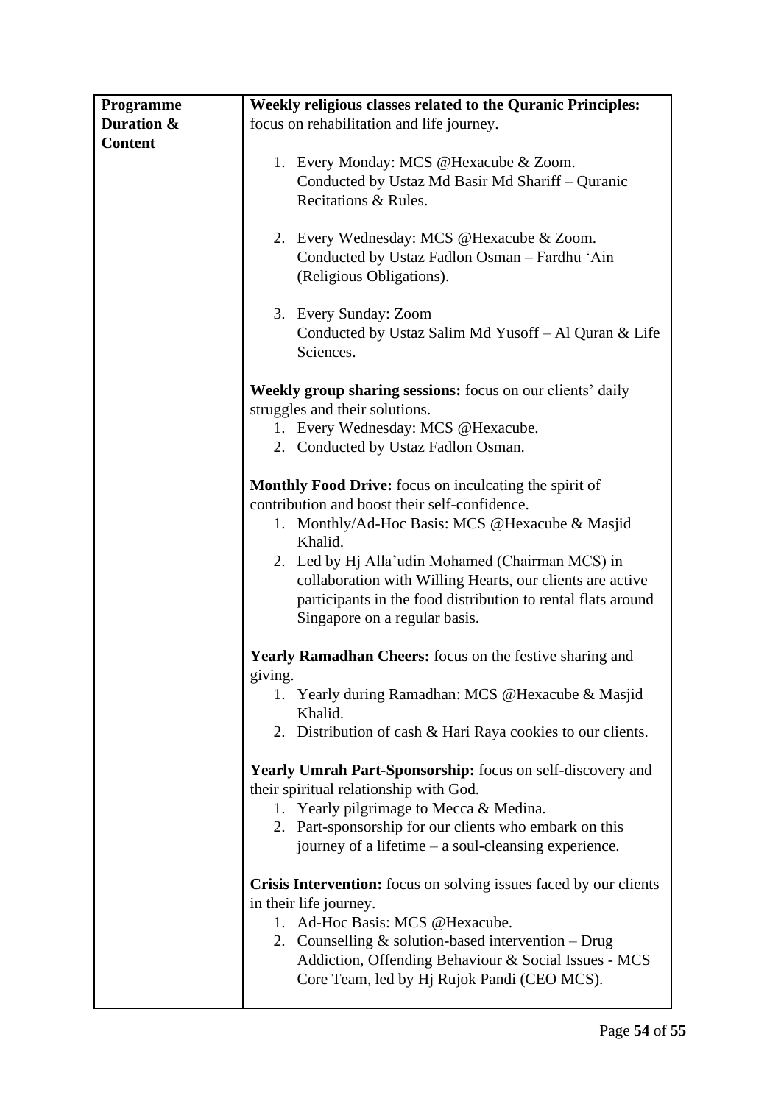| Programme      | <b>Weekly religious classes related to the Quranic Principles:</b>                                                                                                                                             |
|----------------|----------------------------------------------------------------------------------------------------------------------------------------------------------------------------------------------------------------|
| Duration &     | focus on rehabilitation and life journey.                                                                                                                                                                      |
| <b>Content</b> |                                                                                                                                                                                                                |
|                | 1. Every Monday: MCS @Hexacube & Zoom.<br>Conducted by Ustaz Md Basir Md Shariff - Quranic<br>Recitations & Rules.                                                                                             |
|                | 2. Every Wednesday: MCS @Hexacube & Zoom.<br>Conducted by Ustaz Fadlon Osman - Fardhu 'Ain<br>(Religious Obligations).                                                                                         |
|                | 3. Every Sunday: Zoom<br>Conducted by Ustaz Salim Md Yusoff - Al Quran & Life<br>Sciences.                                                                                                                     |
|                | <b>Weekly group sharing sessions:</b> focus on our clients' daily                                                                                                                                              |
|                | struggles and their solutions.                                                                                                                                                                                 |
|                | 1. Every Wednesday: MCS @Hexacube.<br>2. Conducted by Ustaz Fadlon Osman.                                                                                                                                      |
|                | <b>Monthly Food Drive:</b> focus on inculcating the spirit of                                                                                                                                                  |
|                | contribution and boost their self-confidence.                                                                                                                                                                  |
|                | 1. Monthly/Ad-Hoc Basis: MCS @Hexacube & Masjid<br>Khalid.                                                                                                                                                     |
|                | 2. Led by Hj Alla'udin Mohamed (Chairman MCS) in<br>collaboration with Willing Hearts, our clients are active<br>participants in the food distribution to rental flats around<br>Singapore on a regular basis. |
|                | <b>Yearly Ramadhan Cheers:</b> focus on the festive sharing and                                                                                                                                                |
|                | giving.                                                                                                                                                                                                        |
|                | Yearly during Ramadhan: MCS @Hexacube & Masjid<br>Khalid.                                                                                                                                                      |
|                | 2. Distribution of cash & Hari Raya cookies to our clients.                                                                                                                                                    |
|                | <b>Yearly Umrah Part-Sponsorship:</b> focus on self-discovery and<br>their spiritual relationship with God.                                                                                                    |
|                | 1. Yearly pilgrimage to Mecca & Medina.<br>2. Part-sponsorship for our clients who embark on this                                                                                                              |
|                | journey of a lifetime $-$ a soul-cleansing experience.                                                                                                                                                         |
|                | Crisis Intervention: focus on solving issues faced by our clients<br>in their life journey.<br>1. Ad-Hoc Basis: MCS @Hexacube.                                                                                 |
|                | 2. Counselling $&$ solution-based intervention $-$ Drug<br>Addiction, Offending Behaviour & Social Issues - MCS<br>Core Team, led by Hj Rujok Pandi (CEO MCS).                                                 |
|                |                                                                                                                                                                                                                |